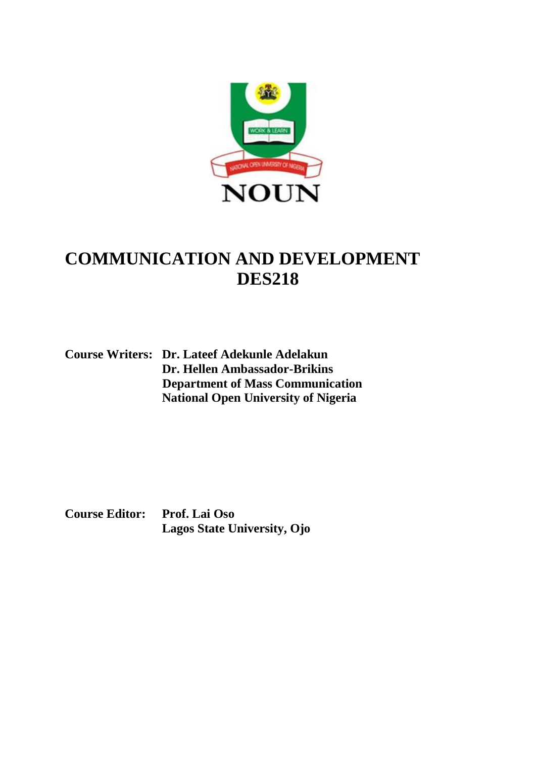

# **COMMUNICATION AND DEVELOPMENT DES218**

**Course Writers: Dr. Lateef Adekunle Adelakun Dr. Hellen Ambassador-Brikins Department of Mass Communication National Open University of Nigeria**

**Course Editor: Prof. Lai Oso Lagos State University, Ojo**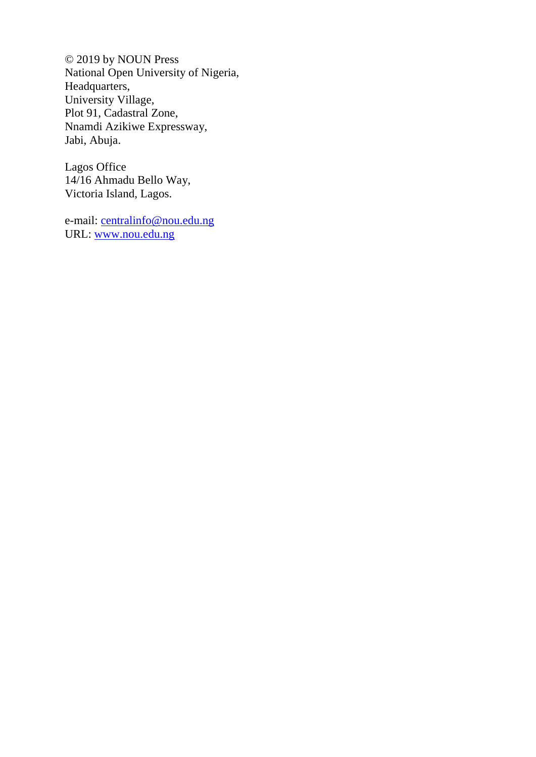© 2019 by NOUN Press National Open University of Nigeria, Headquarters, University Village, Plot 91, Cadastral Zone, Nnamdi Azikiwe Expressway, Jabi, Abuja.

Lagos Office 14/16 Ahmadu Bello Way, Victoria Island, Lagos.

e-mail: [centralinfo@nou.edu.ng](mailto:centralinfo@nou.edu.ng) URL: [www.nou.edu.ng](http://www.nou.edu.ng/)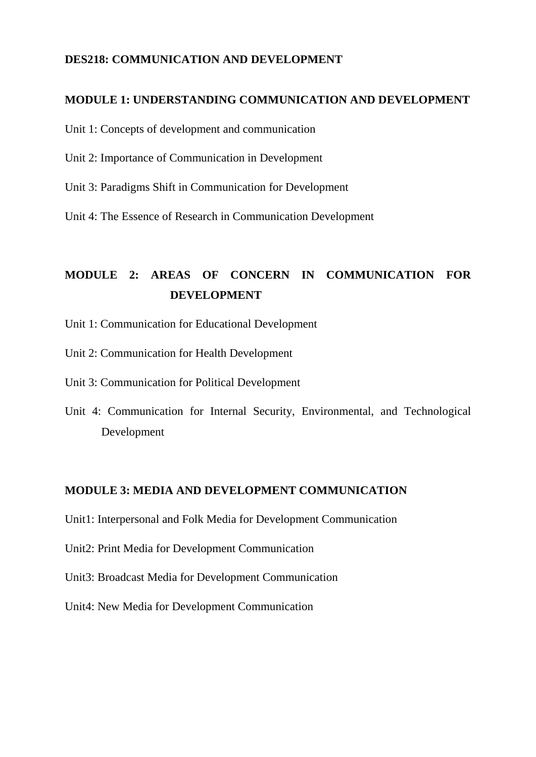### **DES218: COMMUNICATION AND DEVELOPMENT**

#### **MODULE 1: UNDERSTANDING COMMUNICATION AND DEVELOPMENT**

Unit 1: Concepts of development and communication

- Unit 2: Importance of Communication in Development
- Unit 3: Paradigms Shift in Communication for Development

Unit 4: The Essence of Research in Communication Development

## **MODULE 2: AREAS OF CONCERN IN COMMUNICATION FOR DEVELOPMENT**

- Unit 1: Communication for Educational Development
- Unit 2: Communication for Health Development

Unit 3: Communication for Political Development

Unit 4: Communication for Internal Security, Environmental, and Technological Development

#### **MODULE 3: MEDIA AND DEVELOPMENT COMMUNICATION**

Unit1: Interpersonal and Folk Media for Development Communication

Unit2: Print Media for Development Communication

- Unit3: Broadcast Media for Development Communication
- Unit4: New Media for Development Communication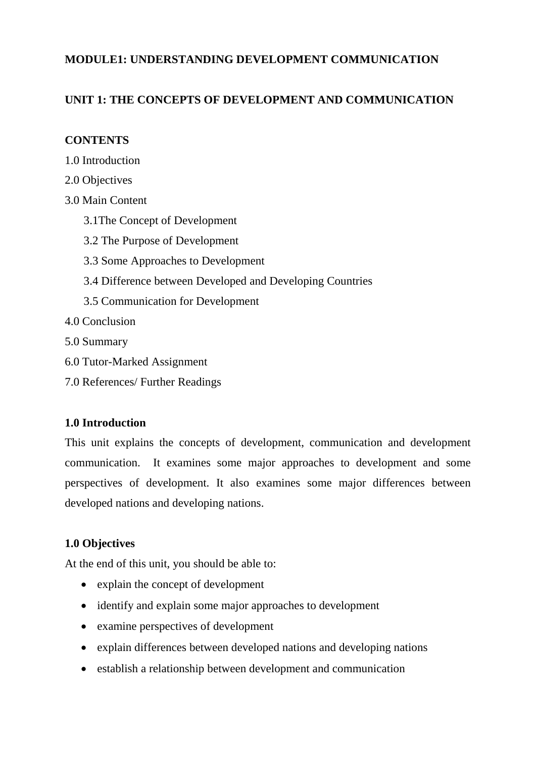### **MODULE1: UNDERSTANDING DEVELOPMENT COMMUNICATION**

### **UNIT 1: THE CONCEPTS OF DEVELOPMENT AND COMMUNICATION**

### **CONTENTS**

- 1.0 Introduction
- 2.0 Objectives
- 3.0 Main Content
	- 3.1The Concept of Development
	- 3.2 The Purpose of Development
	- 3.3 Some Approaches to Development
	- 3.4 Difference between Developed and Developing Countries
	- 3.5 Communication for Development
- 4.0 Conclusion
- 5.0 Summary
- 6.0 Tutor-Marked Assignment
- 7.0 References/ Further Readings

### **1.0 Introduction**

This unit explains the concepts of development, communication and development communication. It examines some major approaches to development and some perspectives of development. It also examines some major differences between developed nations and developing nations.

### **1.0 Objectives**

At the end of this unit, you should be able to:

- explain the concept of development
- identify and explain some major approaches to development
- examine perspectives of development
- explain differences between developed nations and developing nations
- establish a relationship between development and communication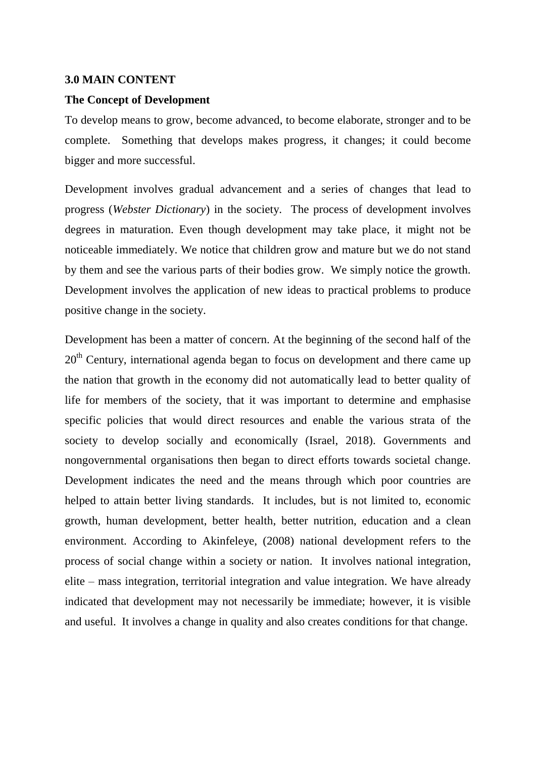#### **3.0 MAIN CONTENT**

#### **The Concept of Development**

To develop means to grow, become advanced, to become elaborate, stronger and to be complete. Something that develops makes progress, it changes; it could become bigger and more successful.

Development involves gradual advancement and a series of changes that lead to progress (*Webster Dictionary*) in the society. The process of development involves degrees in maturation. Even though development may take place, it might not be noticeable immediately. We notice that children grow and mature but we do not stand by them and see the various parts of their bodies grow. We simply notice the growth. Development involves the application of new ideas to practical problems to produce positive change in the society.

Development has been a matter of concern. At the beginning of the second half of the  $20<sup>th</sup>$  Century, international agenda began to focus on development and there came up the nation that growth in the economy did not automatically lead to better quality of life for members of the society, that it was important to determine and emphasise specific policies that would direct resources and enable the various strata of the society to develop socially and economically (Israel, 2018). Governments and nongovernmental organisations then began to direct efforts towards societal change. Development indicates the need and the means through which poor countries are helped to attain better living standards. It includes, but is not limited to, economic growth, human development, better health, better nutrition, education and a clean environment. According to Akinfeleye, (2008) national development refers to the process of social change within a society or nation. It involves national integration, elite – mass integration, territorial integration and value integration. We have already indicated that development may not necessarily be immediate; however, it is visible and useful. It involves a change in quality and also creates conditions for that change.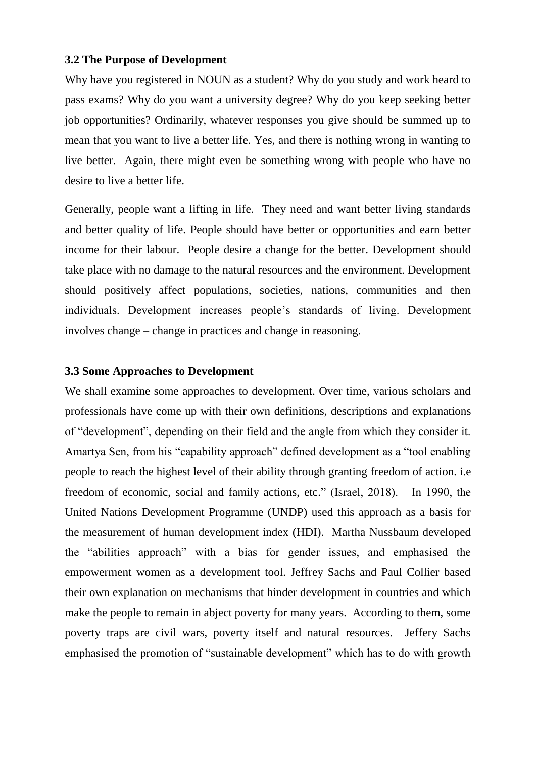#### **3.2 The Purpose of Development**

Why have you registered in NOUN as a student? Why do you study and work heard to pass exams? Why do you want a university degree? Why do you keep seeking better job opportunities? Ordinarily, whatever responses you give should be summed up to mean that you want to live a better life. Yes, and there is nothing wrong in wanting to live better. Again, there might even be something wrong with people who have no desire to live a better life.

Generally, people want a lifting in life. They need and want better living standards and better quality of life. People should have better or opportunities and earn better income for their labour. People desire a change for the better. Development should take place with no damage to the natural resources and the environment. Development should positively affect populations, societies, nations, communities and then individuals. Development increases people"s standards of living. Development involves change – change in practices and change in reasoning.

#### **3.3 Some Approaches to Development**

We shall examine some approaches to development. Over time, various scholars and professionals have come up with their own definitions, descriptions and explanations of "development", depending on their field and the angle from which they consider it. Amartya Sen, from his "capability approach" defined development as a "tool enabling people to reach the highest level of their ability through granting freedom of action. i.e freedom of economic, social and family actions, etc." (Israel, 2018). In 1990, the United Nations Development Programme (UNDP) used this approach as a basis for the measurement of human development index (HDI). Martha Nussbaum developed the "abilities approach" with a bias for gender issues, and emphasised the empowerment women as a development tool. Jeffrey Sachs and Paul Collier based their own explanation on mechanisms that hinder development in countries and which make the people to remain in abject poverty for many years. According to them, some poverty traps are civil wars, poverty itself and natural resources. Jeffery Sachs emphasised the promotion of "sustainable development" which has to do with growth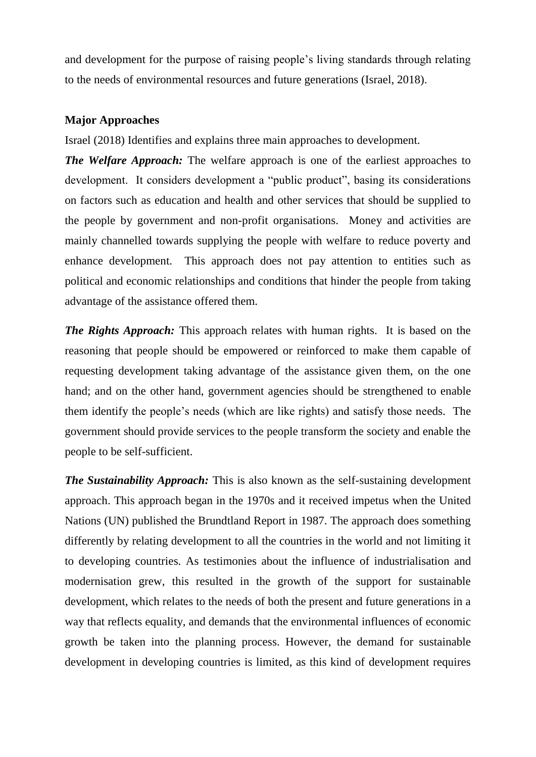and development for the purpose of raising people"s living standards through relating to the needs of environmental resources and future generations (Israel, 2018).

### **Major Approaches**

Israel (2018) Identifies and explains three main approaches to development.

*The Welfare Approach:* The welfare approach is one of the earliest approaches to development. It considers development a "public product", basing its considerations on factors such as education and health and other services that should be supplied to the people by government and non-profit organisations. Money and activities are mainly channelled towards supplying the people with welfare to reduce poverty and enhance development. This approach does not pay attention to entities such as political and economic relationships and conditions that hinder the people from taking advantage of the assistance offered them.

*The Rights Approach:* This approach relates with human rights. It is based on the reasoning that people should be empowered or reinforced to make them capable of requesting development taking advantage of the assistance given them, on the one hand; and on the other hand, government agencies should be strengthened to enable them identify the people"s needs (which are like rights) and satisfy those needs. The government should provide services to the people transform the society and enable the people to be self-sufficient.

*The Sustainability Approach:* This is also known as the self-sustaining development approach. This approach began in the 1970s and it received impetus when the United Nations (UN) published the Brundtland Report in 1987. The approach does something differently by relating development to all the countries in the world and not limiting it to developing countries. As testimonies about the influence of industrialisation and modernisation grew, this resulted in the growth of the support for sustainable development, which relates to the needs of both the present and future generations in a way that reflects equality, and demands that the environmental influences of economic growth be taken into the planning process. However, the demand for sustainable development in developing countries is limited, as this kind of development requires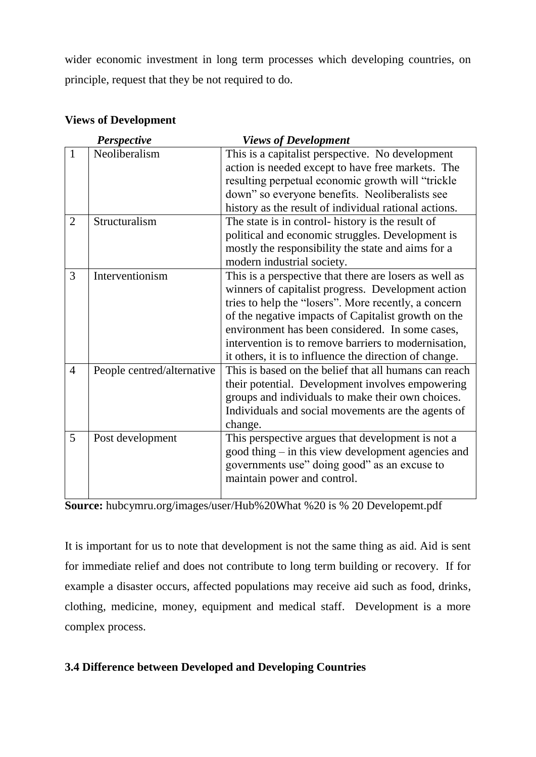wider economic investment in long term processes which developing countries, on principle, request that they be not required to do.

| Perspective    |                            | <b>Views of Development</b>                            |
|----------------|----------------------------|--------------------------------------------------------|
| $\mathbf{1}$   | Neoliberalism              | This is a capitalist perspective. No development       |
|                |                            | action is needed except to have free markets. The      |
|                |                            | resulting perpetual economic growth will "trickle      |
|                |                            | down" so everyone benefits. Neoliberalists see         |
|                |                            | history as the result of individual rational actions.  |
| $\overline{2}$ | Structuralism              | The state is in control- history is the result of      |
|                |                            | political and economic struggles. Development is       |
|                |                            | mostly the responsibility the state and aims for a     |
|                |                            | modern industrial society.                             |
| 3              | Interventionism            | This is a perspective that there are losers as well as |
|                |                            | winners of capitalist progress. Development action     |
|                |                            | tries to help the "losers". More recently, a concern   |
|                |                            | of the negative impacts of Capitalist growth on the    |
|                |                            | environment has been considered. In some cases,        |
|                |                            | intervention is to remove barriers to modernisation,   |
|                |                            | it others, it is to influence the direction of change. |
| $\overline{4}$ | People centred/alternative | This is based on the belief that all humans can reach  |
|                |                            | their potential. Development involves empowering       |
|                |                            | groups and individuals to make their own choices.      |
|                |                            | Individuals and social movements are the agents of     |
|                |                            | change.                                                |
| 5              | Post development           | This perspective argues that development is not a      |
|                |                            | good thing – in this view development agencies and     |
|                |                            | governments use" doing good" as an excuse to           |
|                |                            | maintain power and control.                            |
|                |                            |                                                        |

### **Views of Development**

**Source:** hubcymru.org/images/user/Hub%20What %20 is % 20 Developemt.pdf

It is important for us to note that development is not the same thing as aid. Aid is sent for immediate relief and does not contribute to long term building or recovery. If for example a disaster occurs, affected populations may receive aid such as food, drinks, clothing, medicine, money, equipment and medical staff. Development is a more complex process.

### **3.4 Difference between Developed and Developing Countries**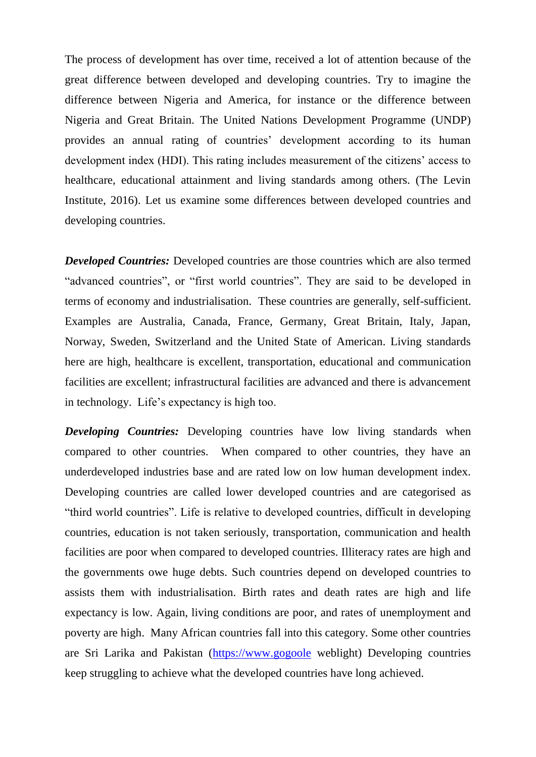The process of development has over time, received a lot of attention because of the great difference between developed and developing countries. Try to imagine the difference between Nigeria and America, for instance or the difference between Nigeria and Great Britain. The United Nations Development Programme (UNDP) provides an annual rating of countries' development according to its human development index (HDI). This rating includes measurement of the citizens' access to healthcare, educational attainment and living standards among others. (The Levin Institute, 2016). Let us examine some differences between developed countries and developing countries.

*Developed Countries:* Developed countries are those countries which are also termed "advanced countries", or "first world countries". They are said to be developed in terms of economy and industrialisation. These countries are generally, self-sufficient. Examples are Australia, Canada, France, Germany, Great Britain, Italy, Japan, Norway, Sweden, Switzerland and the United State of American. Living standards here are high, healthcare is excellent, transportation, educational and communication facilities are excellent; infrastructural facilities are advanced and there is advancement in technology. Life"s expectancy is high too.

*Developing Countries:* Developing countries have low living standards when compared to other countries. When compared to other countries, they have an underdeveloped industries base and are rated low on low human development index. Developing countries are called lower developed countries and are categorised as "third world countries". Life is relative to developed countries, difficult in developing countries, education is not taken seriously, transportation, communication and health facilities are poor when compared to developed countries. Illiteracy rates are high and the governments owe huge debts. Such countries depend on developed countries to assists them with industrialisation. Birth rates and death rates are high and life expectancy is low. Again, living conditions are poor, and rates of unemployment and poverty are high. Many African countries fall into this category. Some other countries are Sri Larika and Pakistan [\(https://www.gogoole](https://www.gogoole/) weblight) Developing countries keep struggling to achieve what the developed countries have long achieved.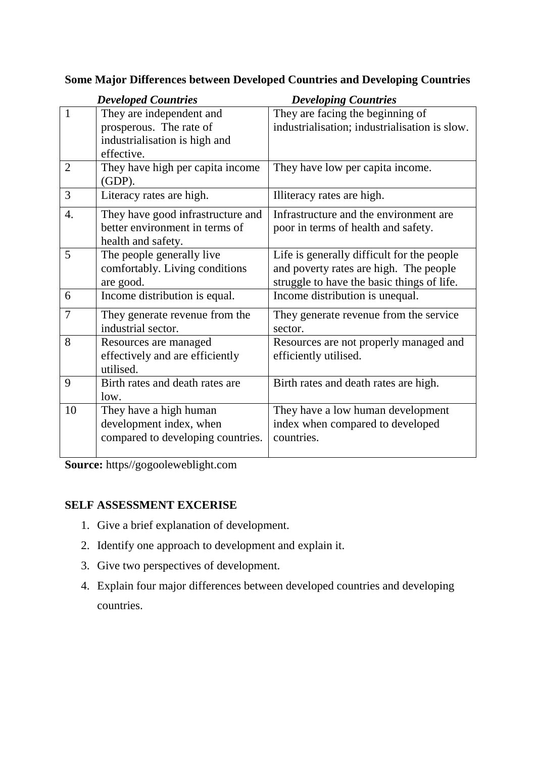|                  | <b>Developed Countries</b>        | <b>Developing Countries</b>                   |
|------------------|-----------------------------------|-----------------------------------------------|
| $\mathbf{1}$     | They are independent and          | They are facing the beginning of              |
|                  | prosperous. The rate of           | industrialisation; industrialisation is slow. |
|                  | industrialisation is high and     |                                               |
|                  | effective.                        |                                               |
| $\overline{2}$   | They have high per capita income  | They have low per capita income.              |
|                  | $(GDP)$ .                         |                                               |
| 3                | Literacy rates are high.          | Illiteracy rates are high.                    |
| $\overline{4}$ . | They have good infrastructure and | Infrastructure and the environment are        |
|                  | better environment in terms of    | poor in terms of health and safety.           |
|                  | health and safety.                |                                               |
| 5                | The people generally live         | Life is generally difficult for the people    |
|                  | comfortably. Living conditions    | and poverty rates are high. The people        |
|                  | are good.                         | struggle to have the basic things of life.    |
| 6                | Income distribution is equal.     | Income distribution is unequal.               |
| 7                | They generate revenue from the    | They generate revenue from the service        |
|                  | industrial sector.                | sector.                                       |
| 8                | Resources are managed             | Resources are not properly managed and        |
|                  | effectively and are efficiently   | efficiently utilised.                         |
|                  | utilised.                         |                                               |
| 9                | Birth rates and death rates are   | Birth rates and death rates are high.         |
|                  | low.                              |                                               |
| 10               | They have a high human            | They have a low human development             |
|                  | development index, when           | index when compared to developed              |
|                  | compared to developing countries. | countries.                                    |
|                  |                                   |                                               |

### **Some Major Differences between Developed Countries and Developing Countries**

**Source:** https//gogooleweblight.com

### **SELF ASSESSMENT EXCERISE**

- 1. Give a brief explanation of development.
- 2. Identify one approach to development and explain it.
- 3. Give two perspectives of development.
- 4. Explain four major differences between developed countries and developing countries.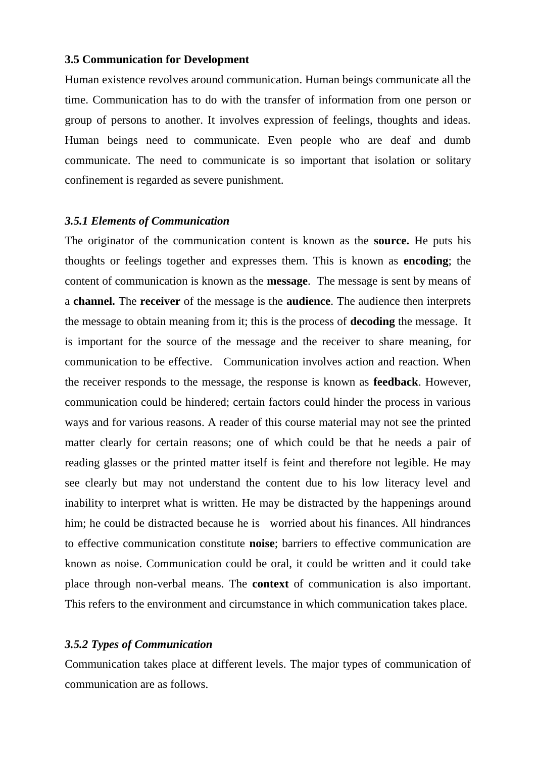#### **3.5 Communication for Development**

Human existence revolves around communication. Human beings communicate all the time. Communication has to do with the transfer of information from one person or group of persons to another. It involves expression of feelings, thoughts and ideas. Human beings need to communicate. Even people who are deaf and dumb communicate. The need to communicate is so important that isolation or solitary confinement is regarded as severe punishment.

#### *3.5.1 Elements of Communication*

The originator of the communication content is known as the **source.** He puts his thoughts or feelings together and expresses them. This is known as **encoding**; the content of communication is known as the **message**. The message is sent by means of a **channel.** The **receiver** of the message is the **audience**. The audience then interprets the message to obtain meaning from it; this is the process of **decoding** the message. It is important for the source of the message and the receiver to share meaning, for communication to be effective. Communication involves action and reaction. When the receiver responds to the message, the response is known as **feedback**. However, communication could be hindered; certain factors could hinder the process in various ways and for various reasons. A reader of this course material may not see the printed matter clearly for certain reasons; one of which could be that he needs a pair of reading glasses or the printed matter itself is feint and therefore not legible. He may see clearly but may not understand the content due to his low literacy level and inability to interpret what is written. He may be distracted by the happenings around him; he could be distracted because he is worried about his finances. All hindrances to effective communication constitute **noise**; barriers to effective communication are known as noise. Communication could be oral, it could be written and it could take place through non-verbal means. The **context** of communication is also important. This refers to the environment and circumstance in which communication takes place.

### *3.5.2 Types of Communication*

Communication takes place at different levels. The major types of communication of communication are as follows.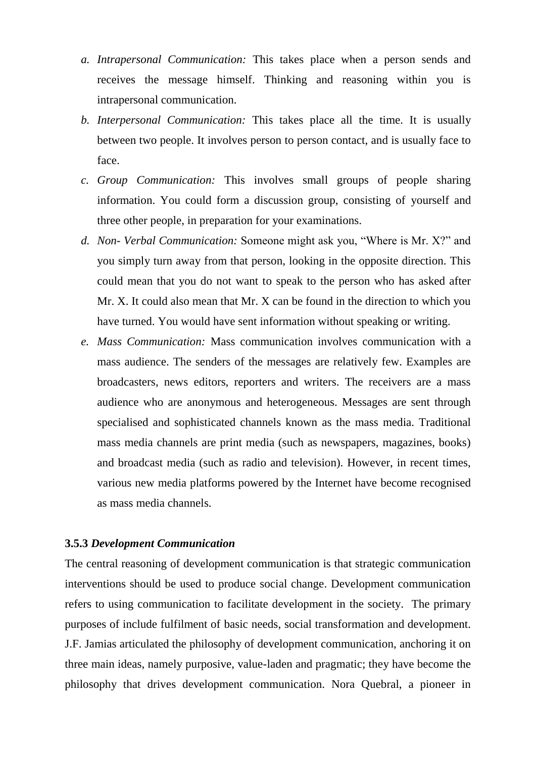- *a. Intrapersonal Communication:* This takes place when a person sends and receives the message himself. Thinking and reasoning within you is intrapersonal communication.
- *b. Interpersonal Communication:* This takes place all the time. It is usually between two people. It involves person to person contact, and is usually face to face.
- *c. Group Communication:* This involves small groups of people sharing information. You could form a discussion group, consisting of yourself and three other people, in preparation for your examinations.
- *d. Non- Verbal Communication:* Someone might ask you, "Where is Mr. X?" and you simply turn away from that person, looking in the opposite direction. This could mean that you do not want to speak to the person who has asked after Mr. X. It could also mean that Mr. X can be found in the direction to which you have turned. You would have sent information without speaking or writing.
- *e. Mass Communication:* Mass communication involves communication with a mass audience. The senders of the messages are relatively few. Examples are broadcasters, news editors, reporters and writers. The receivers are a mass audience who are anonymous and heterogeneous. Messages are sent through specialised and sophisticated channels known as the mass media. Traditional mass media channels are print media (such as newspapers, magazines, books) and broadcast media (such as radio and television). However, in recent times, various new media platforms powered by the Internet have become recognised as mass media channels.

#### **3.5.3** *Development Communication*

The central reasoning of development communication is that strategic communication interventions should be used to produce social change. Development communication refers to using communication to facilitate development in the society. The primary purposes of include fulfilment of basic needs, social transformation and development. J.F. Jamias articulated the philosophy of development communication, anchoring it on three main ideas, namely purposive, value-laden and pragmatic; they have become the philosophy that drives development communication. Nora Quebral, a pioneer in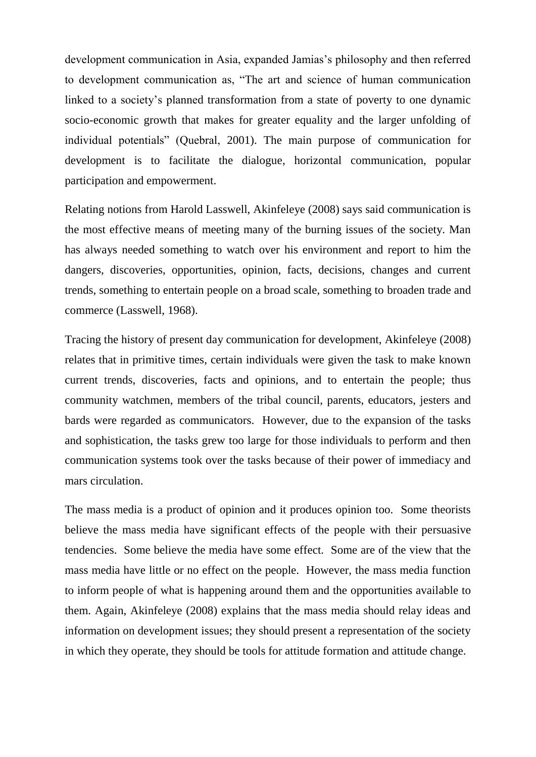development communication in Asia, expanded Jamias"s philosophy and then referred to development communication as, "The art and science of human communication linked to a society's planned transformation from a state of poverty to one dynamic socio-economic growth that makes for greater equality and the larger unfolding of individual potentials" (Quebral, 2001). The main purpose of communication for development is to facilitate the dialogue, horizontal communication, popular participation and empowerment.

Relating notions from Harold Lasswell, Akinfeleye (2008) says said communication is the most effective means of meeting many of the burning issues of the society. Man has always needed something to watch over his environment and report to him the dangers, discoveries, opportunities, opinion, facts, decisions, changes and current trends, something to entertain people on a broad scale, something to broaden trade and commerce (Lasswell, 1968).

Tracing the history of present day communication for development, Akinfeleye (2008) relates that in primitive times, certain individuals were given the task to make known current trends, discoveries, facts and opinions, and to entertain the people; thus community watchmen, members of the tribal council, parents, educators, jesters and bards were regarded as communicators. However, due to the expansion of the tasks and sophistication, the tasks grew too large for those individuals to perform and then communication systems took over the tasks because of their power of immediacy and mars circulation.

The mass media is a product of opinion and it produces opinion too. Some theorists believe the mass media have significant effects of the people with their persuasive tendencies. Some believe the media have some effect. Some are of the view that the mass media have little or no effect on the people. However, the mass media function to inform people of what is happening around them and the opportunities available to them. Again, Akinfeleye (2008) explains that the mass media should relay ideas and information on development issues; they should present a representation of the society in which they operate, they should be tools for attitude formation and attitude change.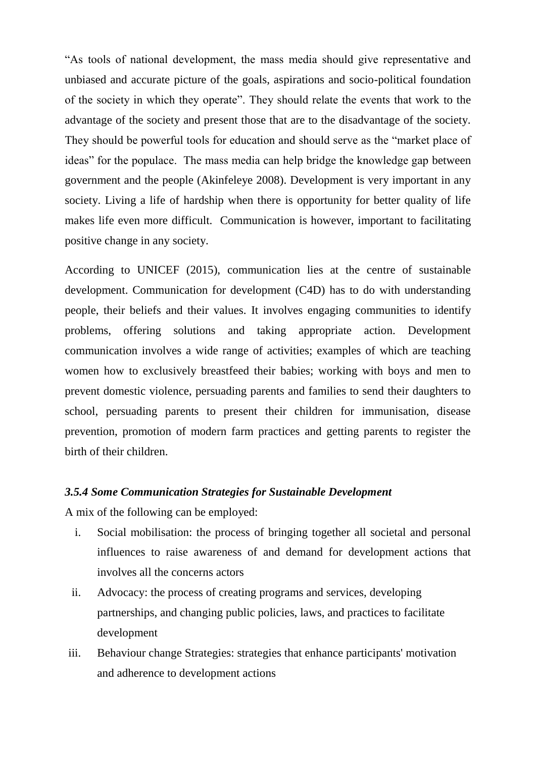"As tools of national development, the mass media should give representative and unbiased and accurate picture of the goals, aspirations and socio-political foundation of the society in which they operate". They should relate the events that work to the advantage of the society and present those that are to the disadvantage of the society. They should be powerful tools for education and should serve as the "market place of ideas" for the populace. The mass media can help bridge the knowledge gap between government and the people (Akinfeleye 2008). Development is very important in any society. Living a life of hardship when there is opportunity for better quality of life makes life even more difficult. Communication is however, important to facilitating positive change in any society.

According to UNICEF (2015), communication lies at the centre of sustainable development. Communication for development (C4D) has to do with understanding people, their beliefs and their values. It involves engaging communities to identify problems, offering solutions and taking appropriate action. Development communication involves a wide range of activities; examples of which are teaching women how to exclusively breastfeed their babies; working with boys and men to prevent domestic violence, persuading parents and families to send their daughters to school, persuading parents to present their children for immunisation, disease prevention, promotion of modern farm practices and getting parents to register the birth of their children.

#### *3.5.4 Some Communication Strategies for Sustainable Development*

A mix of the following can be employed:

- i. Social mobilisation: the process of bringing together all societal and personal influences to raise awareness of and demand for development actions that involves all the concerns actors
- ii. Advocacy: the process of creating programs and services, developing partnerships, and changing public policies, laws, and practices to facilitate development
- iii. Behaviour change Strategies: strategies that enhance participants' motivation and adherence to development actions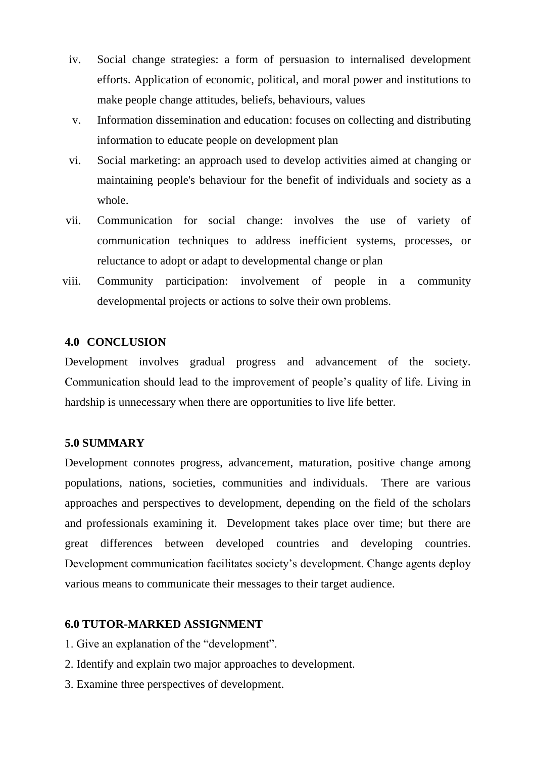- iv. Social change strategies: a form of persuasion to internalised development efforts. Application of economic, political, and moral power and institutions to make people change attitudes, beliefs, behaviours, values
- v. Information dissemination and education: focuses on collecting and distributing information to educate people on development plan
- vi. Social marketing: an approach used to develop activities aimed at changing or maintaining people's behaviour for the benefit of individuals and society as a whole.
- vii. Communication for social change: involves the use of variety of communication techniques to address inefficient systems, processes, or reluctance to adopt or adapt to developmental change or plan
- viii. Community participation: involvement of people in a community developmental projects or actions to solve their own problems.

#### **4.0 CONCLUSION**

Development involves gradual progress and advancement of the society. Communication should lead to the improvement of people"s quality of life. Living in hardship is unnecessary when there are opportunities to live life better.

#### **5.0 SUMMARY**

Development connotes progress, advancement, maturation, positive change among populations, nations, societies, communities and individuals. There are various approaches and perspectives to development, depending on the field of the scholars and professionals examining it. Development takes place over time; but there are great differences between developed countries and developing countries. Development communication facilitates society's development. Change agents deploy various means to communicate their messages to their target audience.

#### **6.0 TUTOR-MARKED ASSIGNMENT**

- 1. Give an explanation of the "development".
- 2. Identify and explain two major approaches to development.
- 3. Examine three perspectives of development.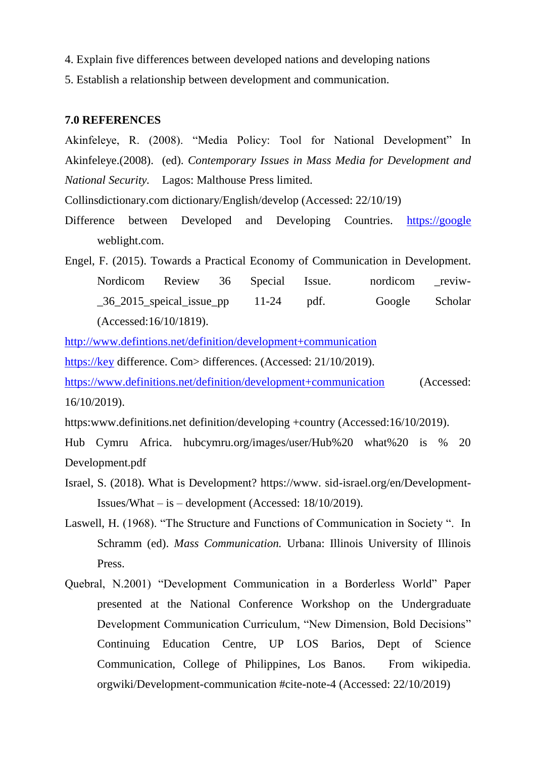- 4. Explain five differences between developed nations and developing nations
- 5. Establish a relationship between development and communication.

#### **7.0 REFERENCES**

Akinfeleye, R. (2008). "Media Policy: Tool for National Development" In Akinfeleye.(2008). (ed). *Contemporary Issues in Mass Media for Development and National Security.* Lagos: Malthouse Press limited.

Collinsdictionary.com dictionary/English/develop (Accessed: 22/10/19)

Difference between Developed and Developing Countries. [https://google](https://google/) weblight.com.

Engel, F. (2015). Towards a Practical Economy of Communication in Development. Nordicom Review 36 Special Issue. nordicom reviw-\_36\_2015\_speical\_issue\_pp 11-24 pdf. Google Scholar (Accessed:16/10/1819).

<http://www.defintions.net/definition/development+communication>

[https://key](https://key/) difference. Com> differences. (Accessed: 21/10/2019).

<https://www.definitions.net/definition/development+communication> (Accessed: 16/10/2019).

https:www.definitions.net definition/developing +country (Accessed:16/10/2019).

Hub Cymru Africa. hubcymru.org/images/user/Hub%20 what%20 is % 20 Development.pdf

- Israel, S. (2018). What is Development? https://www. sid-israel.org/en/Development-Issues/What – is – development (Accessed: 18/10/2019).
- Laswell, H. (1968). "The Structure and Functions of Communication in Society ". In Schramm (ed). *Mass Communication.* Urbana: Illinois University of Illinois Press.
- Quebral, N.2001) "Development Communication in a Borderless World" Paper presented at the National Conference Workshop on the Undergraduate Development Communication Curriculum, "New Dimension, Bold Decisions" Continuing Education Centre, UP LOS Barios, Dept of Science Communication, College of Philippines, Los Banos. From wikipedia. orgwiki/Development-communication #cite-note-4 (Accessed: 22/10/2019)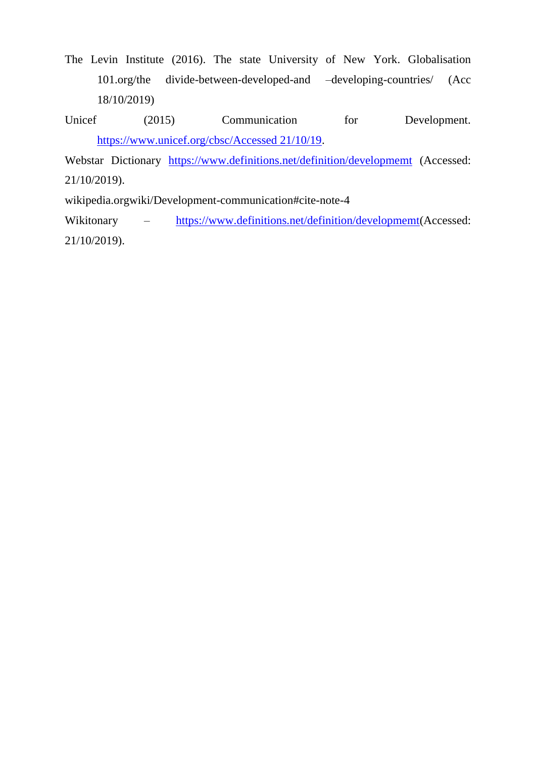- The Levin Institute (2016). The state University of New York. Globalisation 101.org/the divide-between-developed-and –developing-countries/ (Acc 18/10/2019)
- Unicef (2015) Communication for Development. [https://www.unicef.org/cbsc/Accessed 21/10/19.](https://www.unicef.org/cbsc/Accessed%2021/10/19)

Webstar Dictionary <https://www.definitions.net/definition/developmemt> (Accessed: 21/10/2019).

wikipedia.orgwiki/Development-communication#cite-note-4

Wikitonary – [https://www.definitions.net/definition/developmemt\(](https://www.definitions.net/definition/developmemt)Accessed: 21/10/2019).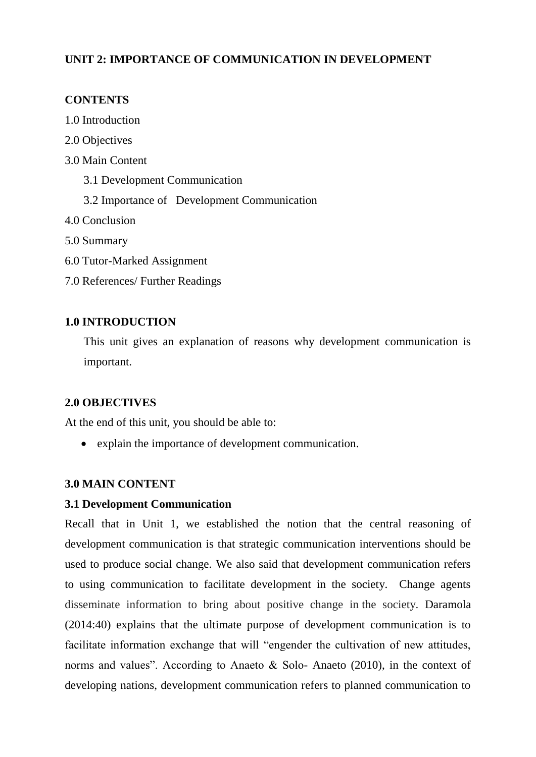### **UNIT 2: IMPORTANCE OF COMMUNICATION IN DEVELOPMENT**

### **CONTENTS**

- 1.0 Introduction
- 2.0 Objectives
- 3.0 Main Content
	- 3.1 Development Communication
	- 3.2 Importance of Development Communication
- 4.0 Conclusion
- 5.0 Summary
- 6.0 Tutor-Marked Assignment
- 7.0 References/ Further Readings

### **1.0 INTRODUCTION**

This unit gives an explanation of reasons why development communication is important.

#### **2.0 OBJECTIVES**

At the end of this unit, you should be able to:

explain the importance of development communication.

#### **3.0 MAIN CONTENT**

#### **3.1 Development Communication**

Recall that in Unit 1, we established the notion that the central reasoning of development communication is that strategic communication interventions should be used to produce social change. We also said that development communication refers to using communication to facilitate development in the society. Change agents disseminate information to bring about positive change in the society. Daramola (2014:40) explains that the ultimate purpose of development communication is to facilitate information exchange that will "engender the cultivation of new attitudes, norms and values". According to Anaeto & Solo- Anaeto (2010), in the context of developing nations, development communication refers to planned communication to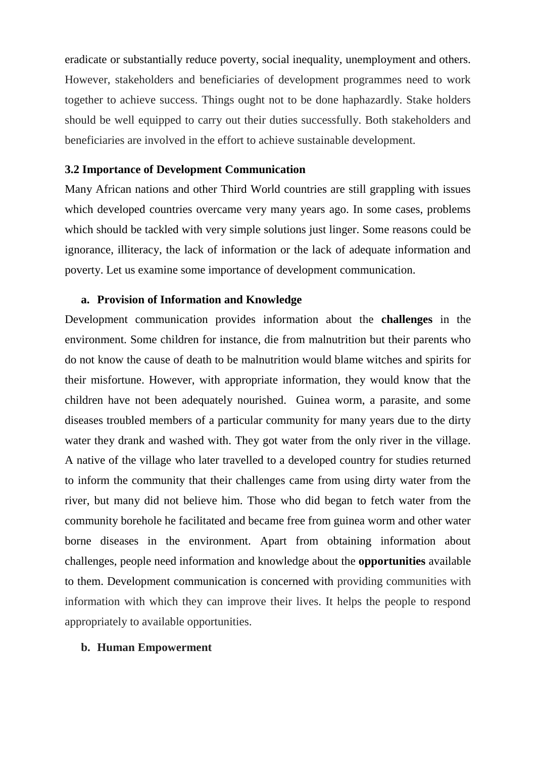eradicate or substantially reduce poverty, social inequality, unemployment and others. However, stakeholders and beneficiaries of development programmes need to work together to achieve success. Things ought not to be done haphazardly. Stake holders should be well equipped to carry out their duties successfully. Both stakeholders and beneficiaries are involved in the effort to achieve sustainable development.

#### **3.2 Importance of Development Communication**

Many African nations and other Third World countries are still grappling with issues which developed countries overcame very many years ago. In some cases, problems which should be tackled with very simple solutions just linger. Some reasons could be ignorance, illiteracy, the lack of information or the lack of adequate information and poverty. Let us examine some importance of development communication.

#### **a. Provision of Information and Knowledge**

Development communication provides information about the **challenges** in the environment. Some children for instance, die from malnutrition but their parents who do not know the cause of death to be malnutrition would blame witches and spirits for their misfortune. However, with appropriate information, they would know that the children have not been adequately nourished. Guinea worm, a parasite, and some diseases troubled members of a particular community for many years due to the dirty water they drank and washed with. They got water from the only river in the village. A native of the village who later travelled to a developed country for studies returned to inform the community that their challenges came from using dirty water from the river, but many did not believe him. Those who did began to fetch water from the community borehole he facilitated and became free from guinea worm and other water borne diseases in the environment. Apart from obtaining information about challenges, people need information and knowledge about the **opportunities** available to them. Development communication is concerned with providing communities with information with which they can improve their lives. It helps the people to respond appropriately to available opportunities.

#### **b. Human Empowerment**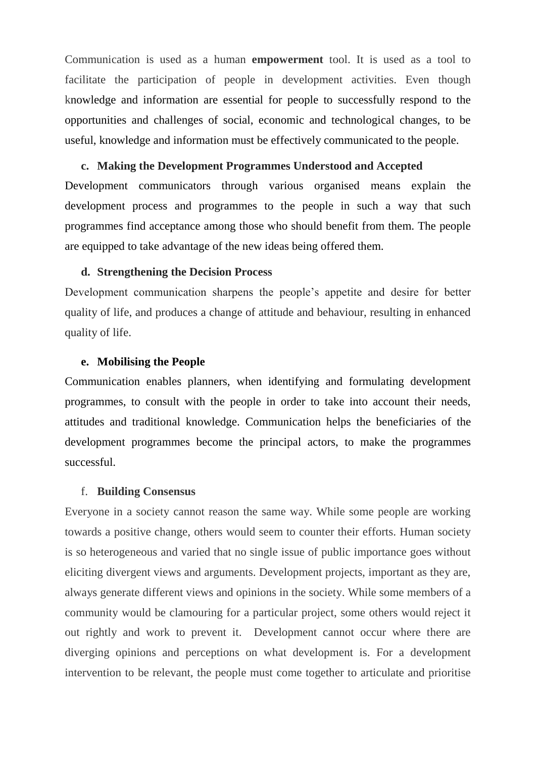Communication is used as a human **empowerment** tool. It is used as a tool to facilitate the participation of people in development activities. Even though knowledge and information are essential for people to successfully respond to the opportunities and challenges of social, economic and technological changes, to be useful, knowledge and information must be effectively communicated to the people.

#### **c. Making the Development Programmes Understood and Accepted**

Development communicators through various organised means explain the development process and programmes to the people in such a way that such programmes find acceptance among those who should benefit from them. The people are equipped to take advantage of the new ideas being offered them.

#### **d. Strengthening the Decision Process**

Development communication sharpens the people"s appetite and desire for better quality of life, and produces a change of attitude and behaviour, resulting in enhanced quality of life.

#### **e. Mobilising the People**

Communication enables planners, when identifying and formulating development programmes, to consult with the people in order to take into account their needs, attitudes and traditional knowledge. Communication helps the beneficiaries of the development programmes become the principal actors, to make the programmes successful.

#### f. **Building Consensus**

Everyone in a society cannot reason the same way. While some people are working towards a positive change, others would seem to counter their efforts. Human society is so heterogeneous and varied that no single issue of public importance goes without eliciting divergent views and arguments. Development projects, important as they are, always generate different views and opinions in the society. While some members of a community would be clamouring for a particular project, some others would reject it out rightly and work to prevent it. Development cannot occur where there are diverging opinions and perceptions on what development is. For a development intervention to be relevant, the people must come together to articulate and prioritise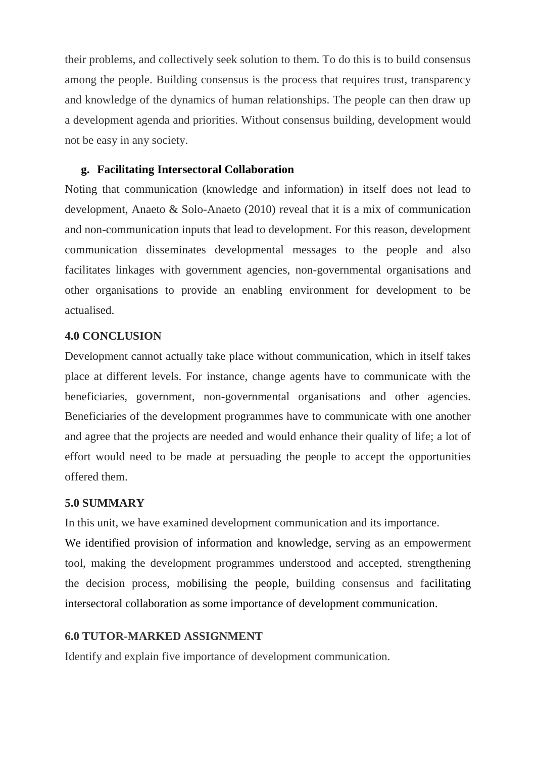their problems, and collectively seek solution to them. To do this is to build consensus among the people. Building consensus is the process that requires trust, transparency and knowledge of the dynamics of human relationships. The people can then draw up a development agenda and priorities. Without consensus building, development would not be easy in any society.

#### **g. Facilitating Intersectoral Collaboration**

Noting that communication (knowledge and information) in itself does not lead to development, Anaeto & Solo-Anaeto (2010) reveal that it is a mix of communication and non-communication inputs that lead to development. For this reason, development communication disseminates developmental messages to the people and also facilitates linkages with government agencies, non-governmental organisations and other organisations to provide an enabling environment for development to be actualised.

#### **4.0 CONCLUSION**

Development cannot actually take place without communication, which in itself takes place at different levels. For instance, change agents have to communicate with the beneficiaries, government, non-governmental organisations and other agencies. Beneficiaries of the development programmes have to communicate with one another and agree that the projects are needed and would enhance their quality of life; a lot of effort would need to be made at persuading the people to accept the opportunities offered them.

#### **5.0 SUMMARY**

In this unit, we have examined development communication and its importance.

We identified provision of information and knowledge, serving as an empowerment tool, making the development programmes understood and accepted, strengthening the decision process, mobilising the people, building consensus and facilitating intersectoral collaboration as some importance of development communication.

### **6.0 TUTOR-MARKED ASSIGNMENT**

Identify and explain five importance of development communication.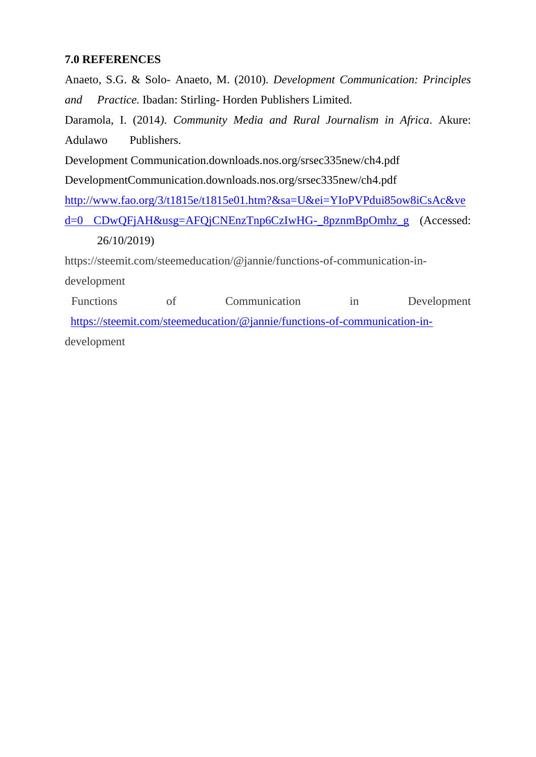### **7.0 REFERENCES**

Anaeto, S.G. & Solo- Anaeto, M. (2010). *Development Communication: Principles and Practice.* Ibadan: Stirling- Horden Publishers Limited. Daramola, I. (2014*). Community Media and Rural Journalism in Africa*. Akure: Adulawo Publishers. Development Communication.downloads.nos.org/srsec335new/ch4.pdf DevelopmentCommunication.downloads.nos.org/srsec335new/ch4.pdf [http://www.fao.org/3/t1815e/t1815e01.htm?&sa=U&ei=YIoPVPdui85ow8iCsAc&ve](http://www.fao.org/3/t1815e/t1815e01.htm?&sa=U&ei=YIoPVPdui85ow8iCsAc&ved=0%20CDwQFjAH&usg=AFQjCNEnzTnp6CzIwHG-_8pznmBpOmhz_g) [d=0 CDwQFjAH&usg=AFQjCNEnzTnp6CzIwHG-\\_8pznmBpOmhz\\_g](http://www.fao.org/3/t1815e/t1815e01.htm?&sa=U&ei=YIoPVPdui85ow8iCsAc&ved=0%20CDwQFjAH&usg=AFQjCNEnzTnp6CzIwHG-_8pznmBpOmhz_g) (Accessed: 26/10/2019) https://steemit.com/steemeducation/@jannie/functions-of-communication-in-

development

Functions of Communication in Development htt[p](https://signup.steemit.com/)s://steemit.com/steemeducation/@jannie/functions-of-communication-indevelopment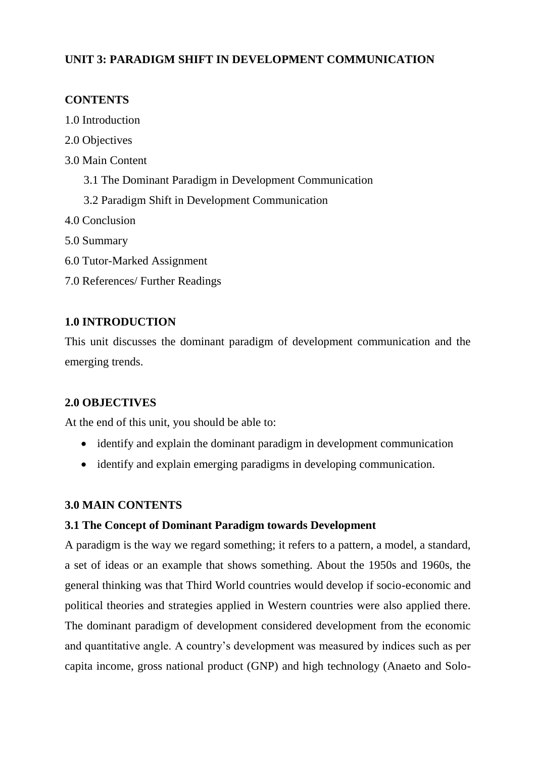### **UNIT 3: PARADIGM SHIFT IN DEVELOPMENT COMMUNICATION**

### **CONTENTS**

- 1.0 Introduction
- 2.0 Objectives
- 3.0 Main Content
	- 3.1 The Dominant Paradigm in Development Communication
	- 3.2 Paradigm Shift in Development Communication
- 4.0 Conclusion
- 5.0 Summary
- 6.0 Tutor-Marked Assignment
- 7.0 References/ Further Readings

### **1.0 INTRODUCTION**

This unit discusses the dominant paradigm of development communication and the emerging trends.

### **2.0 OBJECTIVES**

At the end of this unit, you should be able to:

- identify and explain the dominant paradigm in development communication
- identify and explain emerging paradigms in developing communication.

### **3.0 MAIN CONTENTS**

### **3.1 The Concept of Dominant Paradigm towards Development**

A paradigm is the way we regard something; it refers to a pattern, a model, a standard, a set of ideas or an example that shows something. About the 1950s and 1960s, the general thinking was that Third World countries would develop if socio-economic and political theories and strategies applied in Western countries were also applied there. The dominant paradigm of development considered development from the economic and quantitative angle. A country"s development was measured by indices such as per capita income, gross national product (GNP) and high technology (Anaeto and Solo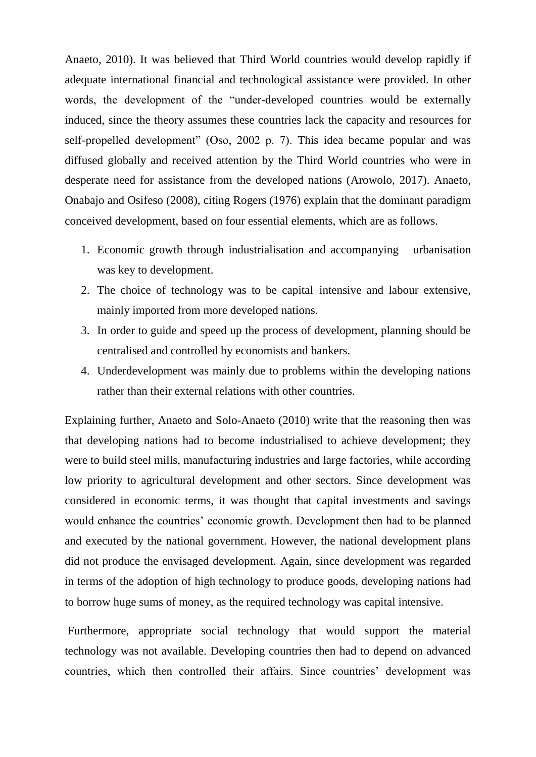Anaeto, 2010). It was believed that Third World countries would develop rapidly if adequate international financial and technological assistance were provided. In other words, the development of the "under-developed countries would be externally induced, since the theory assumes these countries lack the capacity and resources for self-propelled development" (Oso, 2002 p. 7). This idea became popular and was diffused globally and received attention by the Third World countries who were in desperate need for assistance from the developed nations (Arowolo, 2017). Anaeto, Onabajo and Osifeso (2008), citing Rogers (1976) explain that the dominant paradigm conceived development, based on four essential elements, which are as follows.

- 1. Economic growth through industrialisation and accompanying urbanisation was key to development.
- 2. The choice of technology was to be capital–intensive and labour extensive, mainly imported from more developed nations.
- 3. In order to guide and speed up the process of development, planning should be centralised and controlled by economists and bankers.
- 4. Underdevelopment was mainly due to problems within the developing nations rather than their external relations with other countries.

Explaining further, Anaeto and Solo-Anaeto (2010) write that the reasoning then was that developing nations had to become industrialised to achieve development; they were to build steel mills, manufacturing industries and large factories, while according low priority to agricultural development and other sectors. Since development was considered in economic terms, it was thought that capital investments and savings would enhance the countries' economic growth. Development then had to be planned and executed by the national government. However, the national development plans did not produce the envisaged development. Again, since development was regarded in terms of the adoption of high technology to produce goods, developing nations had to borrow huge sums of money, as the required technology was capital intensive.

Furthermore, appropriate social technology that would support the material technology was not available. Developing countries then had to depend on advanced countries, which then controlled their affairs. Since countries' development was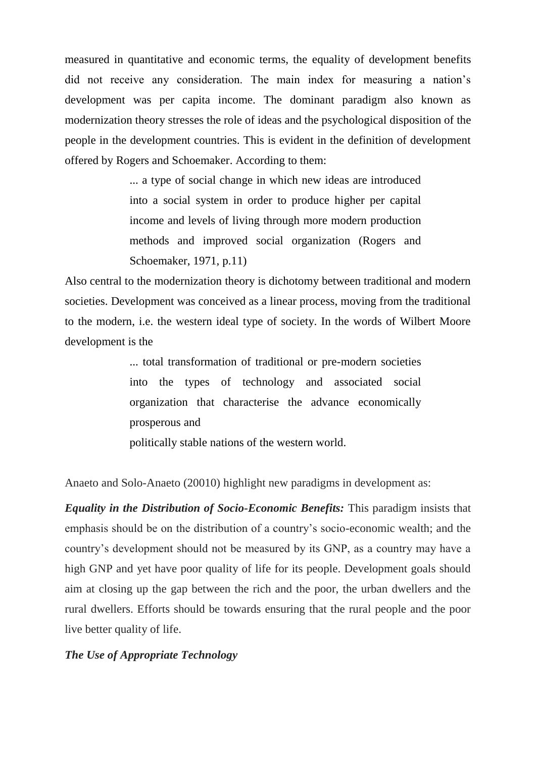measured in quantitative and economic terms, the equality of development benefits did not receive any consideration. The main index for measuring a nation's development was per capita income. The dominant paradigm also known as modernization theory stresses the role of ideas and the psychological disposition of the people in the development countries. This is evident in the definition of development offered by Rogers and Schoemaker. According to them:

> ... a type of social change in which new ideas are introduced into a social system in order to produce higher per capital income and levels of living through more modern production methods and improved social organization (Rogers and Schoemaker, 1971, p.11)

Also central to the modernization theory is dichotomy between traditional and modern societies. Development was conceived as a linear process, moving from the traditional to the modern, i.e. the western ideal type of society. In the words of Wilbert Moore development is the

> ... total transformation of traditional or pre-modern societies into the types of technology and associated social organization that characterise the advance economically prosperous and

politically stable nations of the western world.

Anaeto and Solo-Anaeto (20010) highlight new paradigms in development as:

*Equality in the Distribution of Socio-Economic Benefits:* This paradigm insists that emphasis should be on the distribution of a country"s socio-economic wealth; and the country"s development should not be measured by its GNP, as a country may have a high GNP and yet have poor quality of life for its people. Development goals should aim at closing up the gap between the rich and the poor, the urban dwellers and the rural dwellers. Efforts should be towards ensuring that the rural people and the poor live better quality of life.

### *The Use of Appropriate Technology*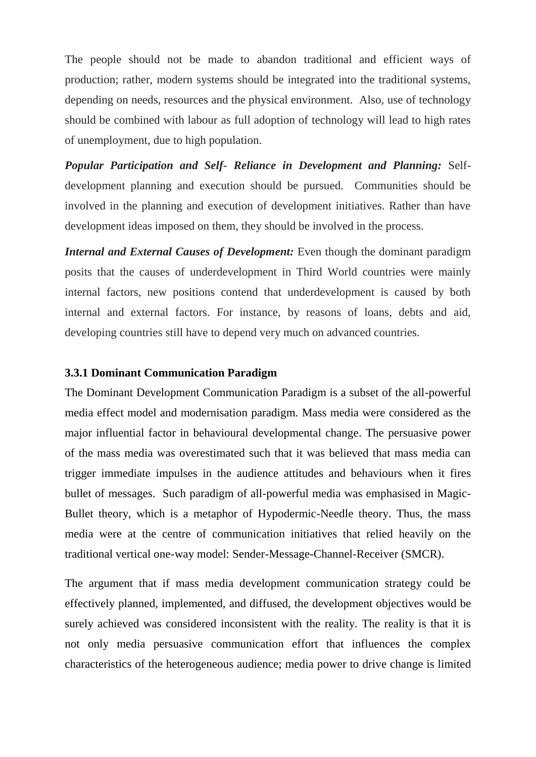The people should not be made to abandon traditional and efficient ways of production; rather, modern systems should be integrated into the traditional systems, depending on needs, resources and the physical environment. Also, use of technology should be combined with labour as full adoption of technology will lead to high rates of unemployment, due to high population.

*Popular Participation and Self- Reliance in Development and Planning:* Selfdevelopment planning and execution should be pursued. Communities should be involved in the planning and execution of development initiatives. Rather than have development ideas imposed on them, they should be involved in the process.

*Internal and External Causes of Development: Even though the dominant paradigm* posits that the causes of underdevelopment in Third World countries were mainly internal factors, new positions contend that underdevelopment is caused by both internal and external factors. For instance, by reasons of loans, debts and aid, developing countries still have to depend very much on advanced countries.

#### **3.3.1 Dominant Communication Paradigm**

The Dominant Development Communication Paradigm is a subset of the all-powerful media effect model and modernisation paradigm. Mass media were considered as the major influential factor in behavioural developmental change. The persuasive power of the mass media was overestimated such that it was believed that mass media can trigger immediate impulses in the audience attitudes and behaviours when it fires bullet of messages. Such paradigm of all-powerful media was emphasised in Magic-Bullet theory, which is a metaphor of Hypodermic-Needle theory. Thus, the mass media were at the centre of communication initiatives that relied heavily on the traditional vertical one-way model: Sender-Message-Channel-Receiver (SMCR).

The argument that if mass media development communication strategy could be effectively planned, implemented, and diffused, the development objectives would be surely achieved was considered inconsistent with the reality. The reality is that it is not only media persuasive communication effort that influences the complex characteristics of the heterogeneous audience; media power to drive change is limited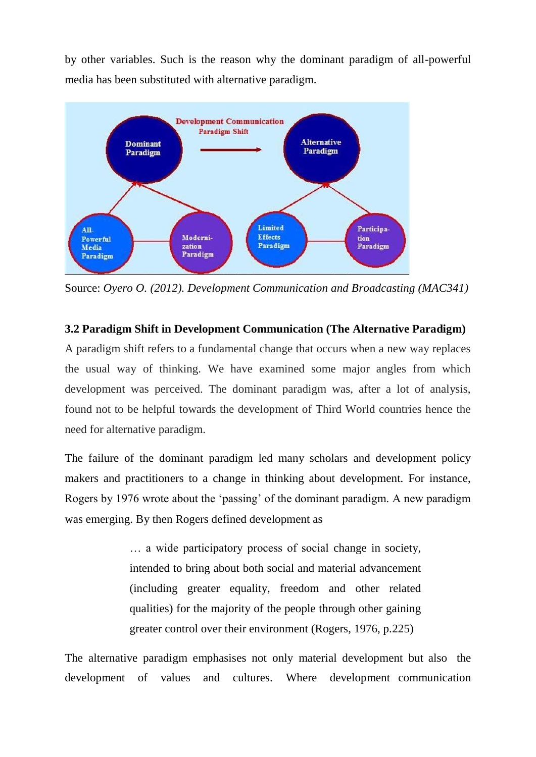by other variables. Such is the reason why the dominant paradigm of all-powerful media has been substituted with alternative paradigm.



Source: *Oyero O. (2012). Development Communication and Broadcasting (MAC341)*

**3.2 Paradigm Shift in Development Communication (The Alternative Paradigm)**

A paradigm shift refers to a fundamental change that occurs when a new way replaces the usual way of thinking. We have examined some major angles from which development was perceived. The dominant paradigm was, after a lot of analysis, found not to be helpful towards the development of Third World countries hence the need for alternative paradigm.

The failure of the dominant paradigm led many scholars and development policy makers and practitioners to a change in thinking about development. For instance, Rogers by 1976 wrote about the "passing" of the dominant paradigm. A new paradigm was emerging. By then Rogers defined development as

> … a wide participatory process of social change in society, intended to bring about both social and material advancement (including greater equality, freedom and other related qualities) for the majority of the people through other gaining greater control over their environment (Rogers, 1976, p.225)

The alternative paradigm emphasises not only material development but also the development of values and cultures. Where development communication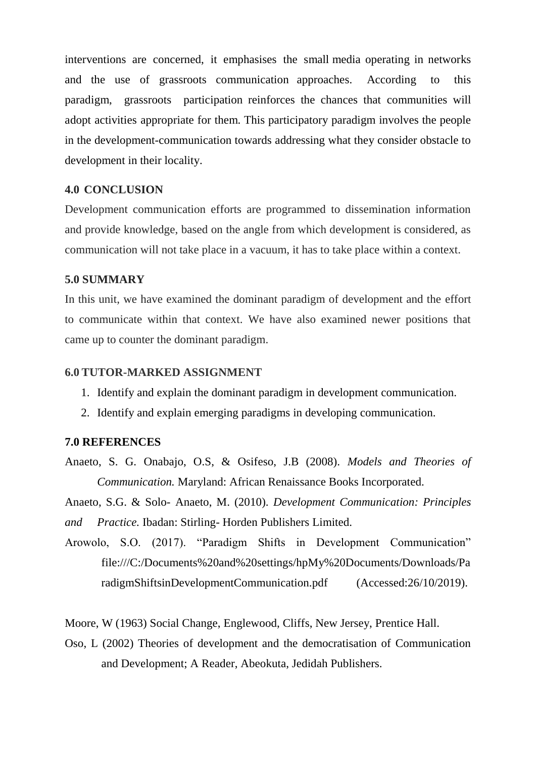interventions are concerned, it emphasises the small media operating in networks and the use of grassroots communication approaches. According to this paradigm, grassroots participation reinforces the chances that communities will adopt activities appropriate for them. This participatory paradigm involves the people in the development-communication towards addressing what they consider obstacle to development in their locality.

#### **4.0 CONCLUSION**

Development communication efforts are programmed to dissemination information and provide knowledge, based on the angle from which development is considered, as communication will not take place in a vacuum, it has to take place within a context.

#### **5.0 SUMMARY**

In this unit, we have examined the dominant paradigm of development and the effort to communicate within that context. We have also examined newer positions that came up to counter the dominant paradigm.

#### **6.0 TUTOR-MARKED ASSIGNMENT**

- 1. Identify and explain the dominant paradigm in development communication.
- 2. Identify and explain emerging paradigms in developing communication.

### **7.0 REFERENCES**

Anaeto, S. G. Onabajo, O.S, & Osifeso, J.B (2008). *Models and Theories of Communication.* Maryland: African Renaissance Books Incorporated.

Anaeto, S.G. & Solo- Anaeto, M. (2010). *Development Communication: Principles and Practice.* Ibadan: Stirling- Horden Publishers Limited.

Arowolo, S.O. (2017). "Paradigm Shifts in Development Communication" file:///C:/Documents%20and%20settings/hpMy%20Documents/Downloads/Pa radigmShiftsinDevelopmentCommunication.pdf (Accessed:26/10/2019).

Moore, W (1963) Social Change, Englewood, Cliffs, New Jersey, Prentice Hall.

Oso, L (2002) Theories of development and the democratisation of Communication and Development; A Reader, Abeokuta, Jedidah Publishers.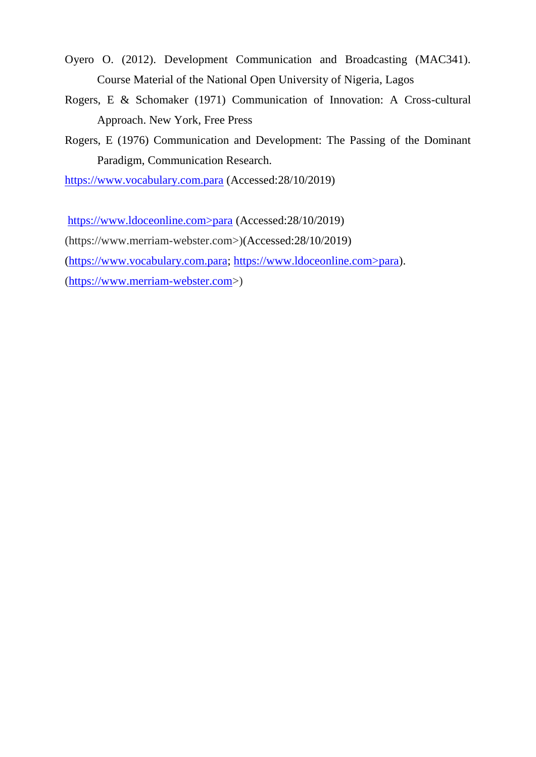- Oyero O. (2012). Development Communication and Broadcasting (MAC341). Course Material of the National Open University of Nigeria, Lagos
- Rogers, E & Schomaker (1971) Communication of Innovation: A Cross-cultural Approach. New York, Free Press
- Rogers, E (1976) Communication and Development: The Passing of the Dominant Paradigm, Communication Research.

[https://www.vocabulary.com.para](https://www.vocabulary.com.para/) (Accessed:28/10/2019)

https://www.ldoceonline.com>para (Accessed:28/10/2019)

(https://www.merriam-webster.com>)(Accessed:28/10/2019)

[\(https://www.vocabulary.com.para;](https://www.vocabulary.com.para/) https://www.ldoceonline.com>para).

[\(https://www.merriam-webster.com>](https://www.merriam-webster.com/))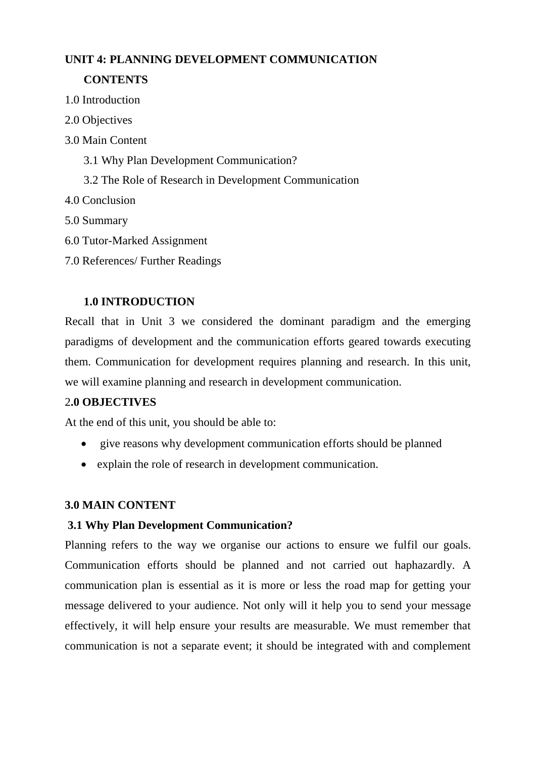## **UNIT 4: PLANNING DEVELOPMENT COMMUNICATION CONTENTS**

- 1.0 Introduction
- 2.0 Objectives
- 3.0 Main Content
	- 3.1 Why Plan Development Communication?
	- 3.2 The Role of Research in Development Communication
- 4.0 Conclusion
- 5.0 Summary
- 6.0 Tutor-Marked Assignment
- 7.0 References/ Further Readings

### **1.0 INTRODUCTION**

Recall that in Unit 3 we considered the dominant paradigm and the emerging paradigms of development and the communication efforts geared towards executing them. Communication for development requires planning and research. In this unit, we will examine planning and research in development communication.

### 2**.0 OBJECTIVES**

At the end of this unit, you should be able to:

- give reasons why development communication efforts should be planned
- explain the role of research in development communication.

### **3.0 MAIN CONTENT**

### **3.1 Why Plan Development Communication?**

Planning refers to the way we organise our actions to ensure we fulfil our goals. Communication efforts should be planned and not carried out haphazardly. A communication plan is essential as it is more or less the road map for getting your message delivered to your audience. Not only will it help you to send your message effectively, it will help ensure your results are measurable. We must remember that communication is not a separate event; it should be integrated with and complement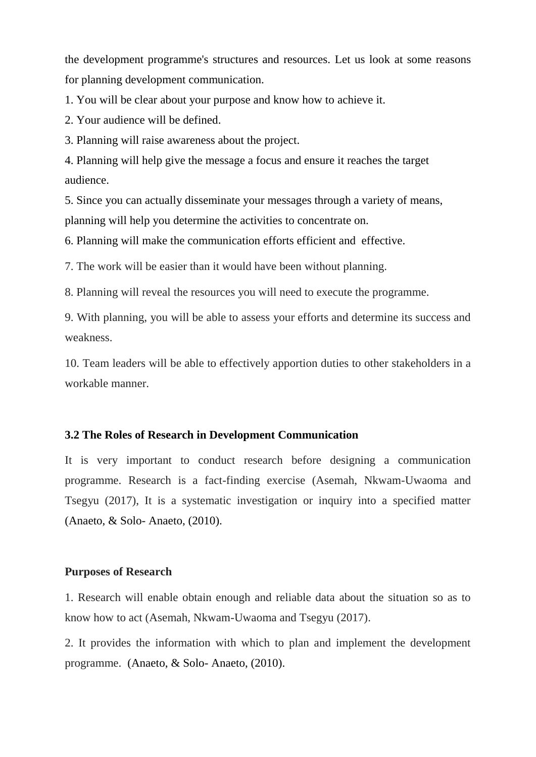the development programme's structures and resources. Let us look at some reasons for planning development communication.

1. You will be clear about your purpose and know how to achieve it.

2. Your audience will be defined.

3. Planning will raise awareness about the project.

4. Planning will help give the message a focus and ensure it reaches the target audience.

5. Since you can actually disseminate your messages through a variety of means, planning will help you determine the activities to concentrate on.

6. Planning will make the communication efforts efficient and effective.

7. The work will be easier than it would have been without planning.

8. Planning will reveal the resources you will need to execute the programme.

9. With planning, you will be able to assess your efforts and determine its success and weakness.

10. Team leaders will be able to effectively apportion duties to other stakeholders in a workable manner.

#### **3.2 The Roles of Research in Development Communication**

It is very important to conduct research before designing a communication programme. Research is a fact-finding exercise (Asemah, Nkwam-Uwaoma and Tsegyu (2017), It is a systematic investigation or inquiry into a specified matter (Anaeto, & Solo- Anaeto, (2010).

#### **Purposes of Research**

1. Research will enable obtain enough and reliable data about the situation so as to know how to act (Asemah, Nkwam-Uwaoma and Tsegyu (2017).

2. It provides the information with which to plan and implement the development programme. (Anaeto, & Solo- Anaeto, (2010).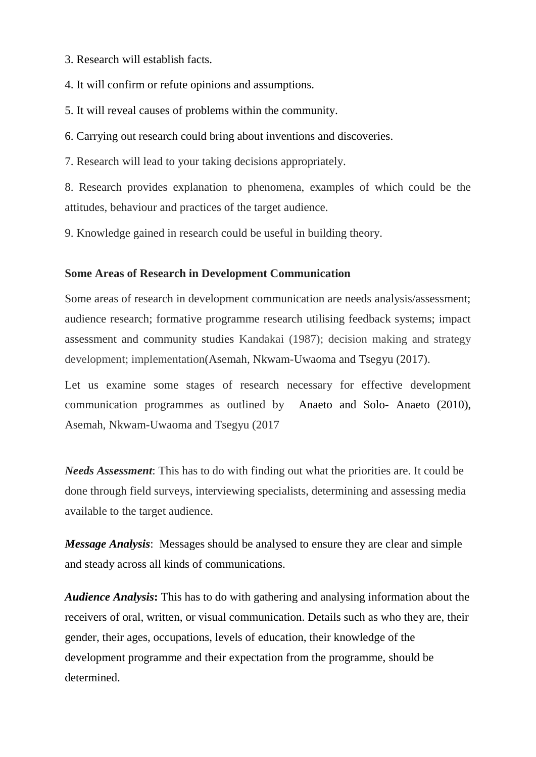- 3. Research will establish facts.
- 4. It will confirm or refute opinions and assumptions.
- 5. It will reveal causes of problems within the community.
- 6. Carrying out research could bring about inventions and discoveries.
- 7. Research will lead to your taking decisions appropriately.

8. Research provides explanation to phenomena, examples of which could be the attitudes, behaviour and practices of the target audience.

9. Knowledge gained in research could be useful in building theory.

#### **Some Areas of Research in Development Communication**

Some areas of research in development communication are needs analysis/assessment; audience research; formative programme research utilising feedback systems; impact assessment and community studies Kandakai (1987); decision making and strategy development; implementation(Asemah, Nkwam-Uwaoma and Tsegyu (2017).

Let us examine some stages of research necessary for effective development communication programmes as outlined by Anaeto and Solo- Anaeto (2010), Asemah, Nkwam-Uwaoma and Tsegyu (2017

*Needs Assessment*: This has to do with finding out what the priorities are. It could be done through field surveys, interviewing specialists, determining and assessing media available to the target audience.

*Message Analysis*: Messages should be analysed to ensure they are clear and simple and steady across all kinds of communications.

*Audience Analysis***:** This has to do with gathering and analysing information about the receivers of oral, written, or visual communication. Details such as who they are, their gender, their ages, occupations, levels of education, their knowledge of the development programme and their expectation from the programme, should be determined.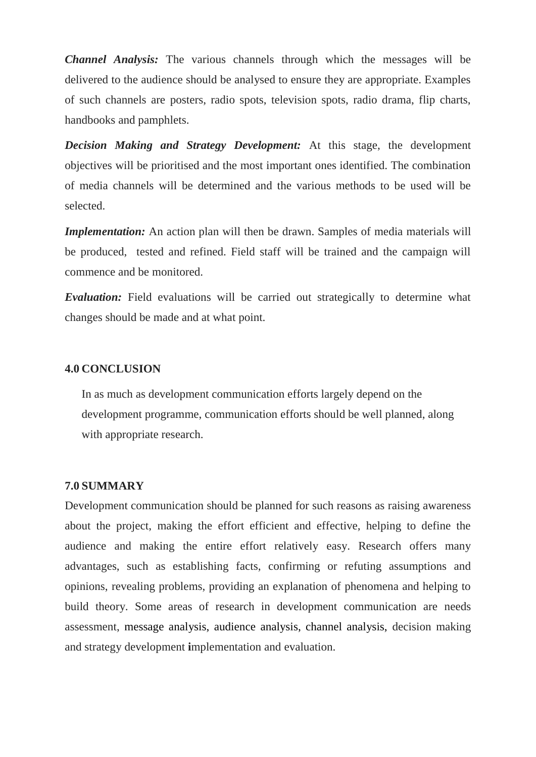*Channel Analysis:* The various channels through which the messages will be delivered to the audience should be analysed to ensure they are appropriate. Examples of such channels are posters, radio spots, television spots, radio drama, flip charts, handbooks and pamphlets.

*Decision Making and Strategy Development:* At this stage, the development objectives will be prioritised and the most important ones identified. The combination of media channels will be determined and the various methods to be used will be selected.

*Implementation:* An action plan will then be drawn. Samples of media materials will be produced, tested and refined. Field staff will be trained and the campaign will commence and be monitored.

*Evaluation:* Field evaluations will be carried out strategically to determine what changes should be made and at what point.

#### **4.0 CONCLUSION**

In as much as development communication efforts largely depend on the development programme, communication efforts should be well planned, along with appropriate research.

#### **7.0 SUMMARY**

Development communication should be planned for such reasons as raising awareness about the project, making the effort efficient and effective, helping to define the audience and making the entire effort relatively easy. Research offers many advantages, such as establishing facts, confirming or refuting assumptions and opinions, revealing problems, providing an explanation of phenomena and helping to build theory. Some areas of research in development communication are needs assessment, message analysis, audience analysis, channel analysis, decision making and strategy development **i**mplementation and evaluation.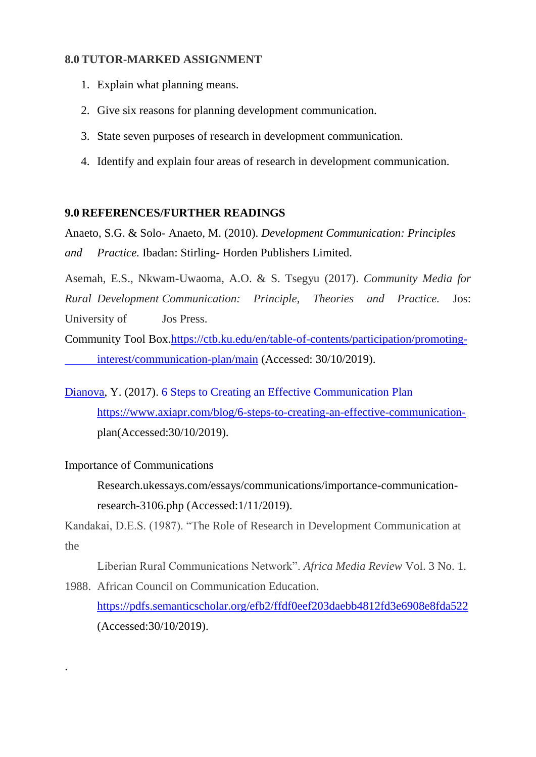### **8.0 TUTOR-MARKED ASSIGNMENT**

- 1. Explain what planning means.
- 2. Give six reasons for planning development communication.
- 3. State seven purposes of research in development communication.
- 4. Identify and explain four areas of research in development communication.

#### **9.0 REFERENCES/FURTHER READINGS**

Anaeto, S.G. & Solo- Anaeto, M. (2010). *Development Communication: Principles and Practice.* Ibadan: Stirling- Horden Publishers Limited.

Asemah, E.S., Nkwam-Uwaoma, A.O. & S. Tsegyu (2017). *Community Media for Rural Development Communication: Principle, Theories and Practice.* Jos: University of Jos Press.

Community Tool Box[.https://ctb.ku.edu/en/table-of-contents/participation/promoting](https://ctb.ku.edu/en/table-of-contents/participation/promoting-%09interest/communication-plan/main)[interest/communication-plan/main](https://ctb.ku.edu/en/table-of-contents/participation/promoting-%09interest/communication-plan/main) (Accessed: 30/10/2019).

[Dianova,](https://www.axiapr.com/blog/author/yulia-dianova) Y. (2017). [6 Steps to Creating an Effective Communication Plan](https://www.axiapr.com/blog/6-steps-to-creating-an-effective-communication-plan) [https://www.axiapr.com/blog/6-steps-to-creating-an-effective-communication](https://www.axiapr.com/blog/6-steps-to-creating-an-effective-communication-)plan(Accessed:30/10/2019).

#### Importance of Communications

.

Research.ukessays.com/essays/communications/importance-communicationresearch-3106.php (Accessed:1/11/2019).

Kandakai, D.E.S. (1987). "The Role of Research in Development Communication at the

Liberian Rural Communications Network". *Africa Media Review* Vol. 3 No. 1.

1988. African Council on Communication Education. <https://pdfs.semanticscholar.org/efb2/ffdf0eef203daebb4812fd3e6908e8fda522> (Accessed:30/10/2019).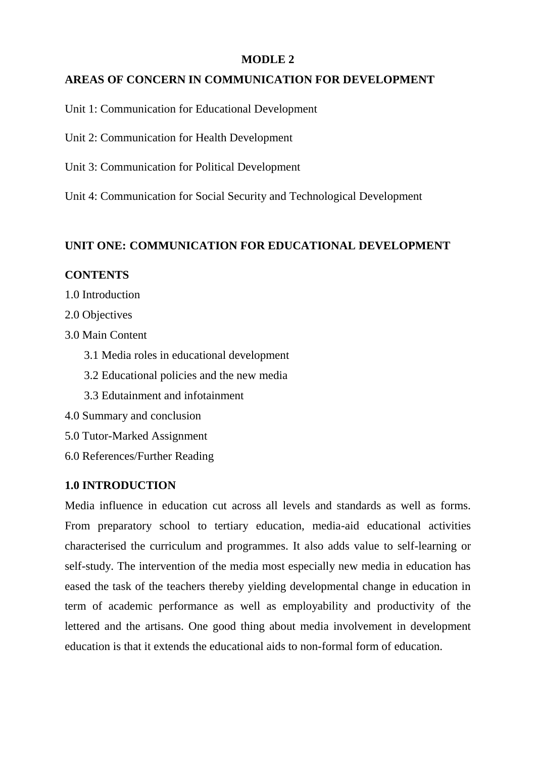#### **MODLE 2**

### **AREAS OF CONCERN IN COMMUNICATION FOR DEVELOPMENT**

Unit 1: Communication for Educational Development

Unit 2: Communication for Health Development

Unit 3: Communication for Political Development

Unit 4: Communication for Social Security and Technological Development

#### **UNIT ONE: COMMUNICATION FOR EDUCATIONAL DEVELOPMENT**

#### **CONTENTS**

- 1.0 Introduction
- 2.0 Objectives
- 3.0 Main Content
	- 3.1 Media roles in educational development
	- 3.2 Educational policies and the new media
	- 3.3 Edutainment and infotainment
- 4.0 Summary and conclusion
- 5.0 Tutor-Marked Assignment
- 6.0 References/Further Reading

### **1.0 INTRODUCTION**

Media influence in education cut across all levels and standards as well as forms. From preparatory school to tertiary education, media-aid educational activities characterised the curriculum and programmes. It also adds value to self-learning or self-study. The intervention of the media most especially new media in education has eased the task of the teachers thereby yielding developmental change in education in term of academic performance as well as employability and productivity of the lettered and the artisans. One good thing about media involvement in development education is that it extends the educational aids to non-formal form of education.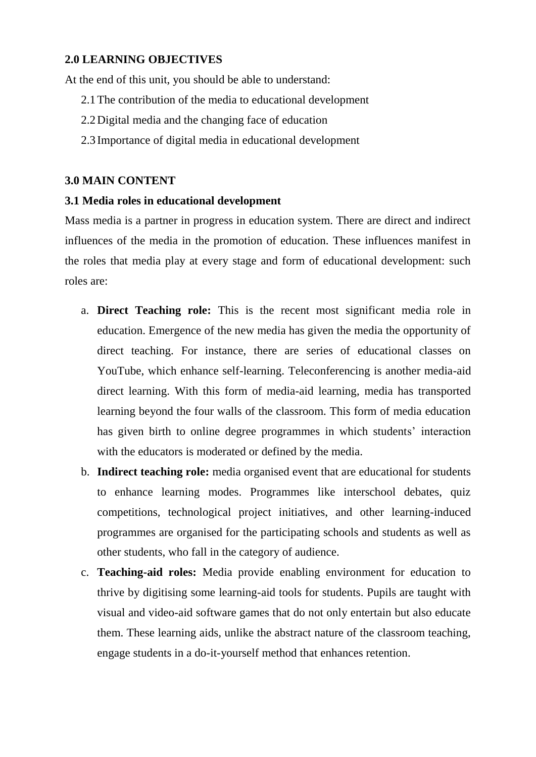### **2.0 LEARNING OBJECTIVES**

At the end of this unit, you should be able to understand:

- 2.1The contribution of the media to educational development
- 2.2Digital media and the changing face of education
- 2.3 Importance of digital media in educational development

### **3.0 MAIN CONTENT**

### **3.1 Media roles in educational development**

Mass media is a partner in progress in education system. There are direct and indirect influences of the media in the promotion of education. These influences manifest in the roles that media play at every stage and form of educational development: such roles are:

- a. **Direct Teaching role:** This is the recent most significant media role in education. Emergence of the new media has given the media the opportunity of direct teaching. For instance, there are series of educational classes on YouTube, which enhance self-learning. Teleconferencing is another media-aid direct learning. With this form of media-aid learning, media has transported learning beyond the four walls of the classroom. This form of media education has given birth to online degree programmes in which students' interaction with the educators is moderated or defined by the media.
- b. **Indirect teaching role:** media organised event that are educational for students to enhance learning modes. Programmes like interschool debates, quiz competitions, technological project initiatives, and other learning-induced programmes are organised for the participating schools and students as well as other students, who fall in the category of audience.
- c. **Teaching-aid roles:** Media provide enabling environment for education to thrive by digitising some learning-aid tools for students. Pupils are taught with visual and video-aid software games that do not only entertain but also educate them. These learning aids, unlike the abstract nature of the classroom teaching, engage students in a do-it-yourself method that enhances retention.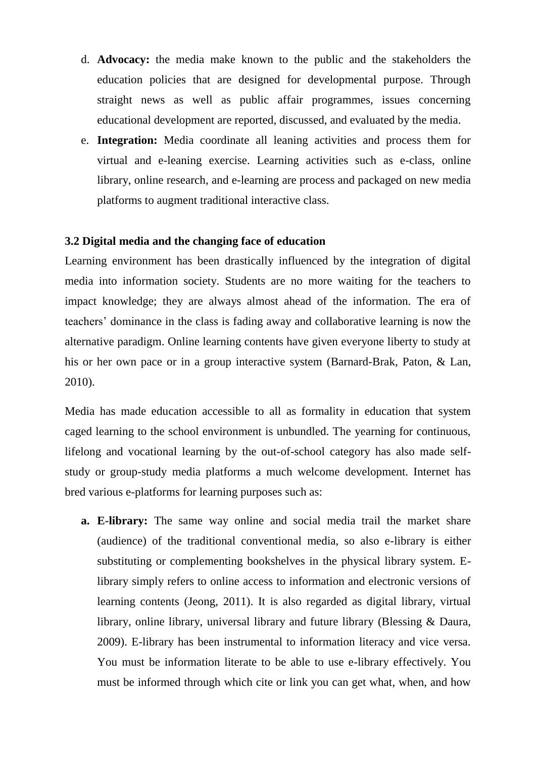- d. **Advocacy:** the media make known to the public and the stakeholders the education policies that are designed for developmental purpose. Through straight news as well as public affair programmes, issues concerning educational development are reported, discussed, and evaluated by the media.
- e. **Integration:** Media coordinate all leaning activities and process them for virtual and e-leaning exercise. Learning activities such as e-class, online library, online research, and e-learning are process and packaged on new media platforms to augment traditional interactive class.

# **3.2 Digital media and the changing face of education**

Learning environment has been drastically influenced by the integration of digital media into information society. Students are no more waiting for the teachers to impact knowledge; they are always almost ahead of the information. The era of teachers" dominance in the class is fading away and collaborative learning is now the alternative paradigm. Online learning contents have given everyone liberty to study at his or her own pace or in a group interactive system (Barnard-Brak, Paton, & Lan, 2010).

Media has made education accessible to all as formality in education that system caged learning to the school environment is unbundled. The yearning for continuous, lifelong and vocational learning by the out-of-school category has also made selfstudy or group-study media platforms a much welcome development. Internet has bred various e-platforms for learning purposes such as:

**a. E-library:** The same way online and social media trail the market share (audience) of the traditional conventional media, so also e-library is either substituting or complementing bookshelves in the physical library system. Elibrary simply refers to online access to information and electronic versions of learning contents (Jeong, 2011). It is also regarded as digital library, virtual library, online library, universal library and future library (Blessing & Daura, 2009). E-library has been instrumental to information literacy and vice versa. You must be information literate to be able to use e-library effectively. You must be informed through which cite or link you can get what, when, and how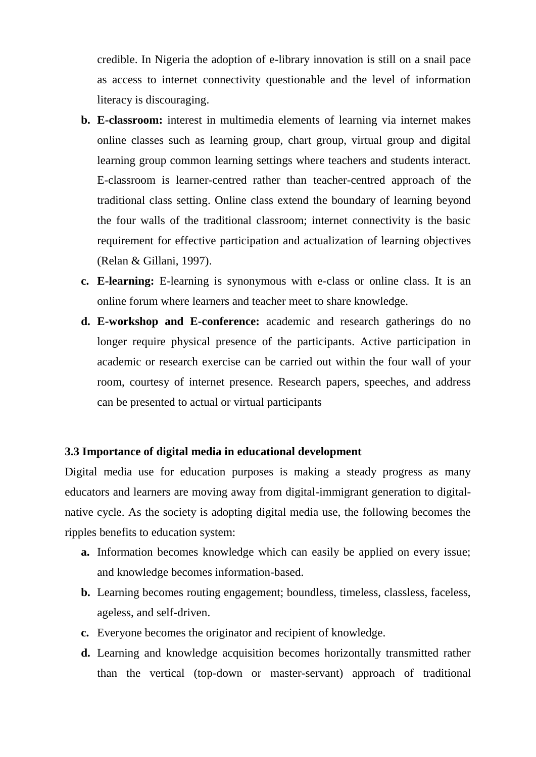credible. In Nigeria the adoption of e-library innovation is still on a snail pace as access to internet connectivity questionable and the level of information literacy is discouraging.

- **b. E-classroom:** interest in multimedia elements of learning via internet makes online classes such as learning group, chart group, virtual group and digital learning group common learning settings where teachers and students interact. E-classroom is learner-centred rather than teacher-centred approach of the traditional class setting. Online class extend the boundary of learning beyond the four walls of the traditional classroom; internet connectivity is the basic requirement for effective participation and actualization of learning objectives (Relan & Gillani, 1997).
- **c. E-learning:** E-learning is synonymous with e-class or online class. It is an online forum where learners and teacher meet to share knowledge.
- **d. E-workshop and E-conference:** academic and research gatherings do no longer require physical presence of the participants. Active participation in academic or research exercise can be carried out within the four wall of your room, courtesy of internet presence. Research papers, speeches, and address can be presented to actual or virtual participants

## **3.3 Importance of digital media in educational development**

Digital media use for education purposes is making a steady progress as many educators and learners are moving away from digital-immigrant generation to digitalnative cycle. As the society is adopting digital media use, the following becomes the ripples benefits to education system:

- **a.** Information becomes knowledge which can easily be applied on every issue; and knowledge becomes information-based.
- **b.** Learning becomes routing engagement; boundless, timeless, classless, faceless, ageless, and self-driven.
- **c.** Everyone becomes the originator and recipient of knowledge.
- **d.** Learning and knowledge acquisition becomes horizontally transmitted rather than the vertical (top-down or master-servant) approach of traditional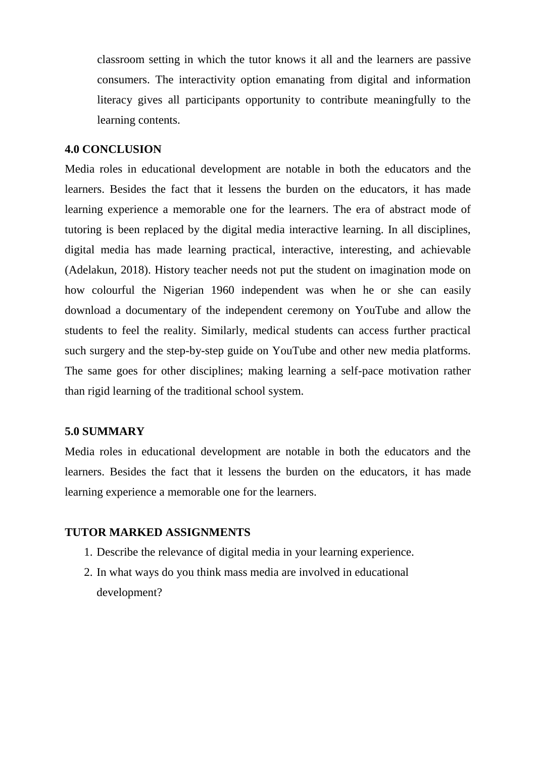classroom setting in which the tutor knows it all and the learners are passive consumers. The interactivity option emanating from digital and information literacy gives all participants opportunity to contribute meaningfully to the learning contents.

#### **4.0 CONCLUSION**

Media roles in educational development are notable in both the educators and the learners. Besides the fact that it lessens the burden on the educators, it has made learning experience a memorable one for the learners. The era of abstract mode of tutoring is been replaced by the digital media interactive learning. In all disciplines, digital media has made learning practical, interactive, interesting, and achievable (Adelakun, 2018). History teacher needs not put the student on imagination mode on how colourful the Nigerian 1960 independent was when he or she can easily download a documentary of the independent ceremony on YouTube and allow the students to feel the reality. Similarly, medical students can access further practical such surgery and the step-by-step guide on YouTube and other new media platforms. The same goes for other disciplines; making learning a self-pace motivation rather than rigid learning of the traditional school system.

# **5.0 SUMMARY**

Media roles in educational development are notable in both the educators and the learners. Besides the fact that it lessens the burden on the educators, it has made learning experience a memorable one for the learners.

#### **TUTOR MARKED ASSIGNMENTS**

- 1. Describe the relevance of digital media in your learning experience.
- 2. In what ways do you think mass media are involved in educational development?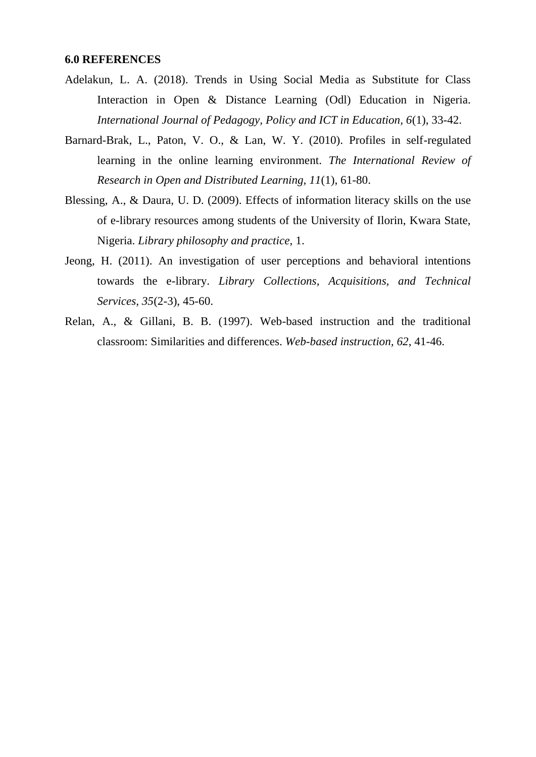#### **6.0 REFERENCES**

- Adelakun, L. A. (2018). Trends in Using Social Media as Substitute for Class Interaction in Open & Distance Learning (Odl) Education in Nigeria. *International Journal of Pedagogy, Policy and ICT in Education, 6*(1), 33-42.
- Barnard-Brak, L., Paton, V. O., & Lan, W. Y. (2010). Profiles in self-regulated learning in the online learning environment. *The International Review of Research in Open and Distributed Learning, 11*(1), 61-80.
- Blessing, A., & Daura, U. D. (2009). Effects of information literacy skills on the use of e-library resources among students of the University of Ilorin, Kwara State, Nigeria. *Library philosophy and practice*, 1.
- Jeong, H. (2011). An investigation of user perceptions and behavioral intentions towards the e-library. *Library Collections, Acquisitions, and Technical Services, 35*(2-3), 45-60.
- Relan, A., & Gillani, B. B. (1997). Web-based instruction and the traditional classroom: Similarities and differences. *Web-based instruction, 62*, 41-46.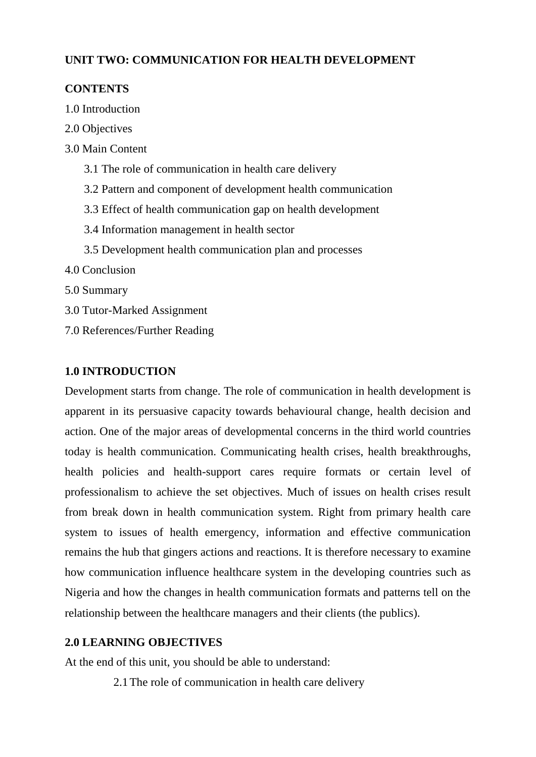# **UNIT TWO: COMMUNICATION FOR HEALTH DEVELOPMENT**

# **CONTENTS**

- 1.0 Introduction
- 2.0 Objectives
- 3.0 Main Content
	- 3.1 The role of communication in health care delivery
	- 3.2 Pattern and component of development health communication
	- 3.3 Effect of health communication gap on health development
	- 3.4 Information management in health sector
	- 3.5 Development health communication plan and processes
- 4.0 Conclusion
- 5.0 Summary
- 3.0 Tutor-Marked Assignment
- 7.0 References/Further Reading

# **1.0 INTRODUCTION**

Development starts from change. The role of communication in health development is apparent in its persuasive capacity towards behavioural change, health decision and action. One of the major areas of developmental concerns in the third world countries today is health communication. Communicating health crises, health breakthroughs, health policies and health-support cares require formats or certain level of professionalism to achieve the set objectives. Much of issues on health crises result from break down in health communication system. Right from primary health care system to issues of health emergency, information and effective communication remains the hub that gingers actions and reactions. It is therefore necessary to examine how communication influence healthcare system in the developing countries such as Nigeria and how the changes in health communication formats and patterns tell on the relationship between the healthcare managers and their clients (the publics).

# **2.0 LEARNING OBJECTIVES**

At the end of this unit, you should be able to understand:

2.1The role of communication in health care delivery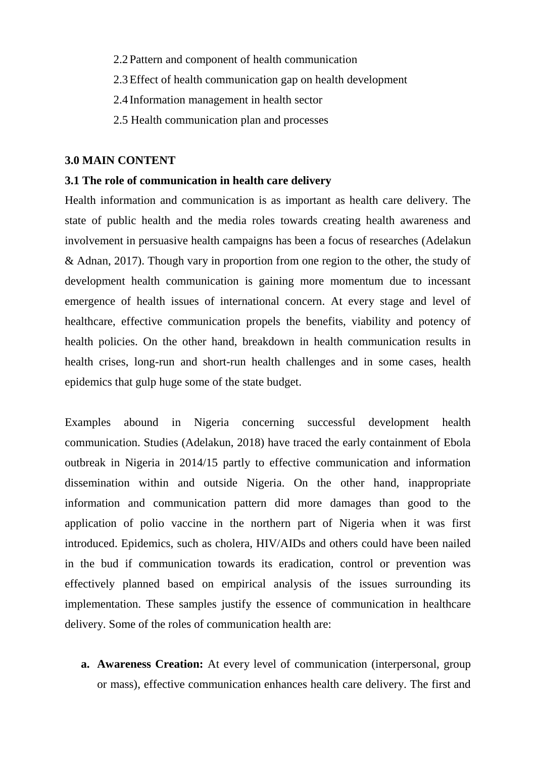- 2.2Pattern and component of health communication
- 2.3Effect of health communication gap on health development
- 2.4 Information management in health sector
- 2.5 Health communication plan and processes

#### **3.0 MAIN CONTENT**

## **3.1 The role of communication in health care delivery**

Health information and communication is as important as health care delivery. The state of public health and the media roles towards creating health awareness and involvement in persuasive health campaigns has been a focus of researches (Adelakun & Adnan, 2017). Though vary in proportion from one region to the other, the study of development health communication is gaining more momentum due to incessant emergence of health issues of international concern. At every stage and level of healthcare, effective communication propels the benefits, viability and potency of health policies. On the other hand, breakdown in health communication results in health crises, long-run and short-run health challenges and in some cases, health epidemics that gulp huge some of the state budget.

Examples abound in Nigeria concerning successful development health communication. Studies (Adelakun, 2018) have traced the early containment of Ebola outbreak in Nigeria in 2014/15 partly to effective communication and information dissemination within and outside Nigeria. On the other hand, inappropriate information and communication pattern did more damages than good to the application of polio vaccine in the northern part of Nigeria when it was first introduced. Epidemics, such as cholera, HIV/AIDs and others could have been nailed in the bud if communication towards its eradication, control or prevention was effectively planned based on empirical analysis of the issues surrounding its implementation. These samples justify the essence of communication in healthcare delivery. Some of the roles of communication health are:

**a. Awareness Creation:** At every level of communication (interpersonal, group or mass), effective communication enhances health care delivery. The first and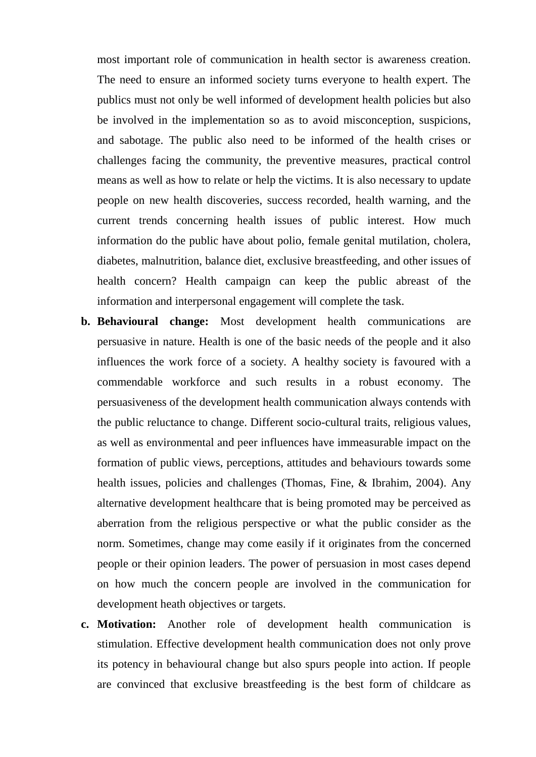most important role of communication in health sector is awareness creation. The need to ensure an informed society turns everyone to health expert. The publics must not only be well informed of development health policies but also be involved in the implementation so as to avoid misconception, suspicions, and sabotage. The public also need to be informed of the health crises or challenges facing the community, the preventive measures, practical control means as well as how to relate or help the victims. It is also necessary to update people on new health discoveries, success recorded, health warning, and the current trends concerning health issues of public interest. How much information do the public have about polio, female genital mutilation, cholera, diabetes, malnutrition, balance diet, exclusive breastfeeding, and other issues of health concern? Health campaign can keep the public abreast of the information and interpersonal engagement will complete the task.

- **b. Behavioural change:** Most development health communications are persuasive in nature. Health is one of the basic needs of the people and it also influences the work force of a society. A healthy society is favoured with a commendable workforce and such results in a robust economy. The persuasiveness of the development health communication always contends with the public reluctance to change. Different socio-cultural traits, religious values, as well as environmental and peer influences have immeasurable impact on the formation of public views, perceptions, attitudes and behaviours towards some health issues, policies and challenges (Thomas, Fine, & Ibrahim, 2004). Any alternative development healthcare that is being promoted may be perceived as aberration from the religious perspective or what the public consider as the norm. Sometimes, change may come easily if it originates from the concerned people or their opinion leaders. The power of persuasion in most cases depend on how much the concern people are involved in the communication for development heath objectives or targets.
- **c. Motivation:** Another role of development health communication is stimulation. Effective development health communication does not only prove its potency in behavioural change but also spurs people into action. If people are convinced that exclusive breastfeeding is the best form of childcare as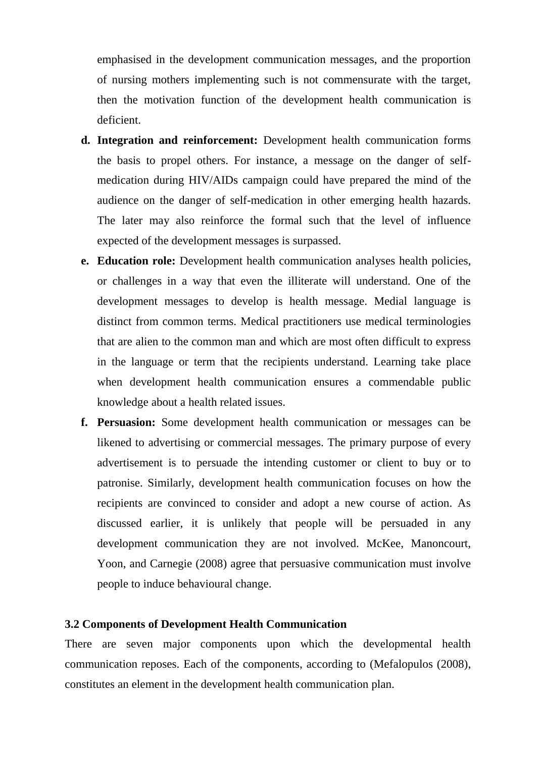emphasised in the development communication messages, and the proportion of nursing mothers implementing such is not commensurate with the target, then the motivation function of the development health communication is deficient.

- **d. Integration and reinforcement:** Development health communication forms the basis to propel others. For instance, a message on the danger of selfmedication during HIV/AIDs campaign could have prepared the mind of the audience on the danger of self-medication in other emerging health hazards. The later may also reinforce the formal such that the level of influence expected of the development messages is surpassed.
- **e. Education role:** Development health communication analyses health policies, or challenges in a way that even the illiterate will understand. One of the development messages to develop is health message. Medial language is distinct from common terms. Medical practitioners use medical terminologies that are alien to the common man and which are most often difficult to express in the language or term that the recipients understand. Learning take place when development health communication ensures a commendable public knowledge about a health related issues.
- **f. Persuasion:** Some development health communication or messages can be likened to advertising or commercial messages. The primary purpose of every advertisement is to persuade the intending customer or client to buy or to patronise. Similarly, development health communication focuses on how the recipients are convinced to consider and adopt a new course of action. As discussed earlier, it is unlikely that people will be persuaded in any development communication they are not involved. McKee, Manoncourt, Yoon, and Carnegie (2008) agree that persuasive communication must involve people to induce behavioural change.

## **3.2 Components of Development Health Communication**

There are seven major components upon which the developmental health communication reposes. Each of the components, according to (Mefalopulos (2008), constitutes an element in the development health communication plan.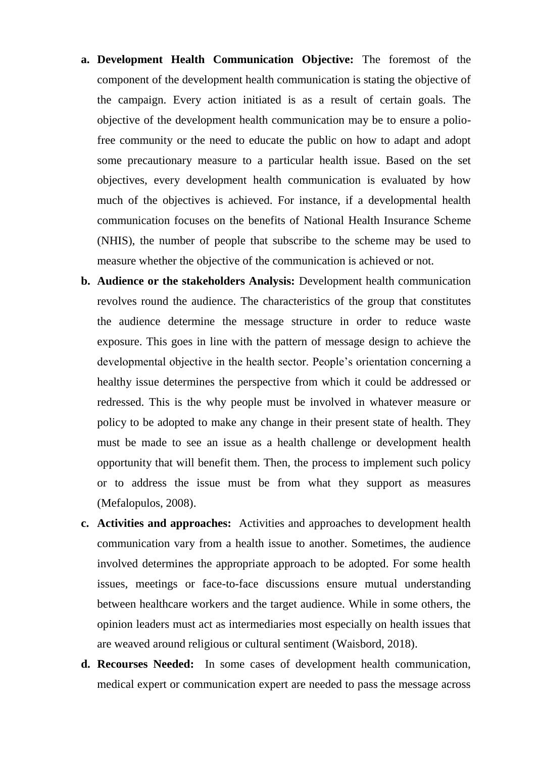- **a. Development Health Communication Objective:** The foremost of the component of the development health communication is stating the objective of the campaign. Every action initiated is as a result of certain goals. The objective of the development health communication may be to ensure a poliofree community or the need to educate the public on how to adapt and adopt some precautionary measure to a particular health issue. Based on the set objectives, every development health communication is evaluated by how much of the objectives is achieved. For instance, if a developmental health communication focuses on the benefits of National Health Insurance Scheme (NHIS), the number of people that subscribe to the scheme may be used to measure whether the objective of the communication is achieved or not.
- **b. Audience or the stakeholders Analysis:** Development health communication revolves round the audience. The characteristics of the group that constitutes the audience determine the message structure in order to reduce waste exposure. This goes in line with the pattern of message design to achieve the developmental objective in the health sector. People"s orientation concerning a healthy issue determines the perspective from which it could be addressed or redressed. This is the why people must be involved in whatever measure or policy to be adopted to make any change in their present state of health. They must be made to see an issue as a health challenge or development health opportunity that will benefit them. Then, the process to implement such policy or to address the issue must be from what they support as measures (Mefalopulos, 2008).
- **c. Activities and approaches:** Activities and approaches to development health communication vary from a health issue to another. Sometimes, the audience involved determines the appropriate approach to be adopted. For some health issues, meetings or face-to-face discussions ensure mutual understanding between healthcare workers and the target audience. While in some others, the opinion leaders must act as intermediaries most especially on health issues that are weaved around religious or cultural sentiment (Waisbord, 2018).
- **d. Recourses Needed:** In some cases of development health communication, medical expert or communication expert are needed to pass the message across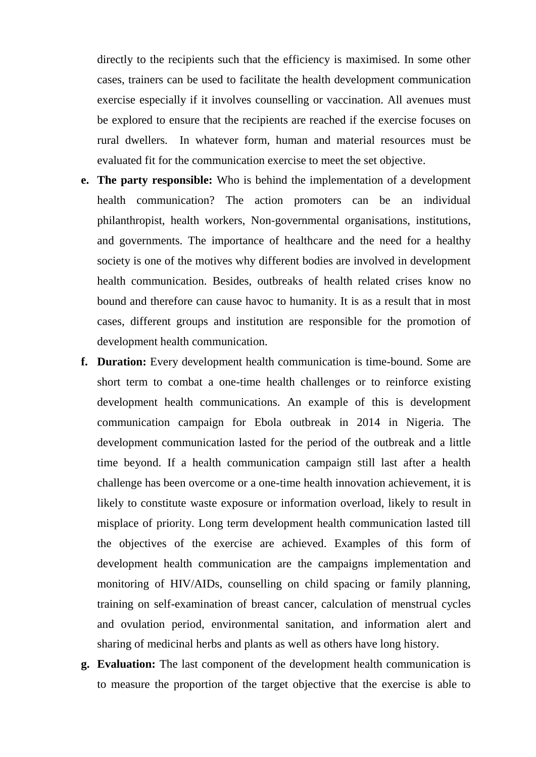directly to the recipients such that the efficiency is maximised. In some other cases, trainers can be used to facilitate the health development communication exercise especially if it involves counselling or vaccination. All avenues must be explored to ensure that the recipients are reached if the exercise focuses on rural dwellers. In whatever form, human and material resources must be evaluated fit for the communication exercise to meet the set objective.

- **e. The party responsible:** Who is behind the implementation of a development health communication? The action promoters can be an individual philanthropist, health workers, Non-governmental organisations, institutions, and governments. The importance of healthcare and the need for a healthy society is one of the motives why different bodies are involved in development health communication. Besides, outbreaks of health related crises know no bound and therefore can cause havoc to humanity. It is as a result that in most cases, different groups and institution are responsible for the promotion of development health communication.
- **f. Duration:** Every development health communication is time-bound. Some are short term to combat a one-time health challenges or to reinforce existing development health communications. An example of this is development communication campaign for Ebola outbreak in 2014 in Nigeria. The development communication lasted for the period of the outbreak and a little time beyond. If a health communication campaign still last after a health challenge has been overcome or a one-time health innovation achievement, it is likely to constitute waste exposure or information overload, likely to result in misplace of priority. Long term development health communication lasted till the objectives of the exercise are achieved. Examples of this form of development health communication are the campaigns implementation and monitoring of HIV/AIDs, counselling on child spacing or family planning, training on self-examination of breast cancer, calculation of menstrual cycles and ovulation period, environmental sanitation, and information alert and sharing of medicinal herbs and plants as well as others have long history.
- **g. Evaluation:** The last component of the development health communication is to measure the proportion of the target objective that the exercise is able to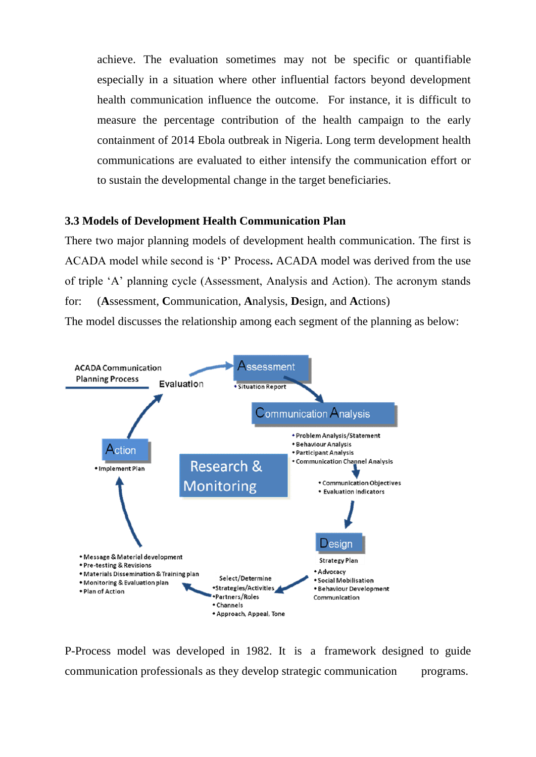achieve. The evaluation sometimes may not be specific or quantifiable especially in a situation where other influential factors beyond development health communication influence the outcome. For instance, it is difficult to measure the percentage contribution of the health campaign to the early containment of 2014 Ebola outbreak in Nigeria. Long term development health communications are evaluated to either intensify the communication effort or to sustain the developmental change in the target beneficiaries.

#### **3.3 Models of Development Health Communication Plan**

There two major planning models of development health communication. The first is ACADA model while second is "P" Process**.** ACADA model was derived from the use of triple "A" planning cycle (Assessment, Analysis and Action). The acronym stands for: (**A**ssessment, **C**ommunication, **A**nalysis, **D**esign, and **A**ctions)

The model discusses the relationship among each segment of the planning as below:



P-Process model was developed in 1982. It is a framework designed to guide communication professionals as they develop strategic communication programs.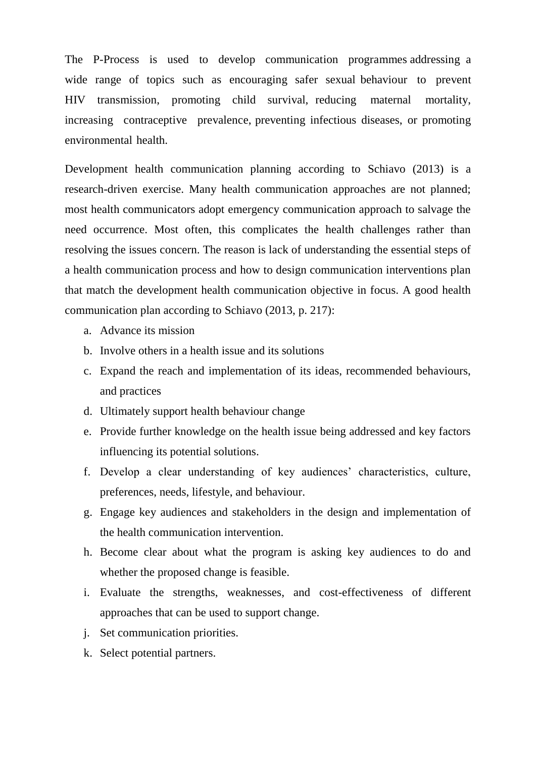The P-Process is used to develop communication programmes addressing a wide range of topics such as encouraging safer sexual behaviour to prevent HIV transmission, promoting child survival, reducing maternal mortality, increasing contraceptive prevalence, preventing infectious diseases, or promoting environmental health.

Development health communication planning according to Schiavo (2013) is a research-driven exercise. Many health communication approaches are not planned; most health communicators adopt emergency communication approach to salvage the need occurrence. Most often, this complicates the health challenges rather than resolving the issues concern. The reason is lack of understanding the essential steps of a health communication process and how to design communication interventions plan that match the development health communication objective in focus. A good health communication plan according to Schiavo (2013, p. 217):

- a. Advance its mission
- b. Involve others in a health issue and its solutions
- c. Expand the reach and implementation of its ideas, recommended behaviours, and practices
- d. Ultimately support health behaviour change
- e. Provide further knowledge on the health issue being addressed and key factors influencing its potential solutions.
- f. Develop a clear understanding of key audiences" characteristics, culture, preferences, needs, lifestyle, and behaviour.
- g. Engage key audiences and stakeholders in the design and implementation of the health communication intervention.
- h. Become clear about what the program is asking key audiences to do and whether the proposed change is feasible.
- i. Evaluate the strengths, weaknesses, and cost-effectiveness of different approaches that can be used to support change.
- j. Set communication priorities.
- k. Select potential partners.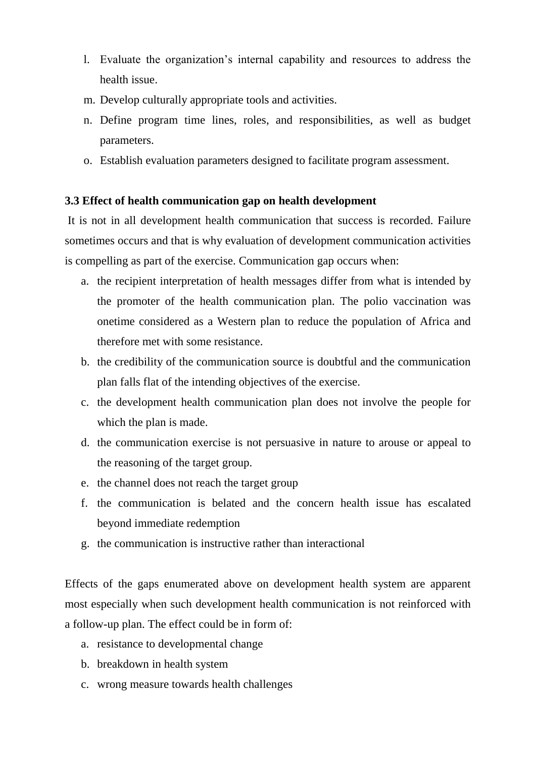- l. Evaluate the organization"s internal capability and resources to address the health issue.
- m. Develop culturally appropriate tools and activities.
- n. Define program time lines, roles, and responsibilities, as well as budget parameters.
- o. Establish evaluation parameters designed to facilitate program assessment.

#### **3.3 Effect of health communication gap on health development**

It is not in all development health communication that success is recorded. Failure sometimes occurs and that is why evaluation of development communication activities is compelling as part of the exercise. Communication gap occurs when:

- a. the recipient interpretation of health messages differ from what is intended by the promoter of the health communication plan. The polio vaccination was onetime considered as a Western plan to reduce the population of Africa and therefore met with some resistance.
- b. the credibility of the communication source is doubtful and the communication plan falls flat of the intending objectives of the exercise.
- c. the development health communication plan does not involve the people for which the plan is made.
- d. the communication exercise is not persuasive in nature to arouse or appeal to the reasoning of the target group.
- e. the channel does not reach the target group
- f. the communication is belated and the concern health issue has escalated beyond immediate redemption
- g. the communication is instructive rather than interactional

Effects of the gaps enumerated above on development health system are apparent most especially when such development health communication is not reinforced with a follow-up plan. The effect could be in form of:

- a. resistance to developmental change
- b. breakdown in health system
- c. wrong measure towards health challenges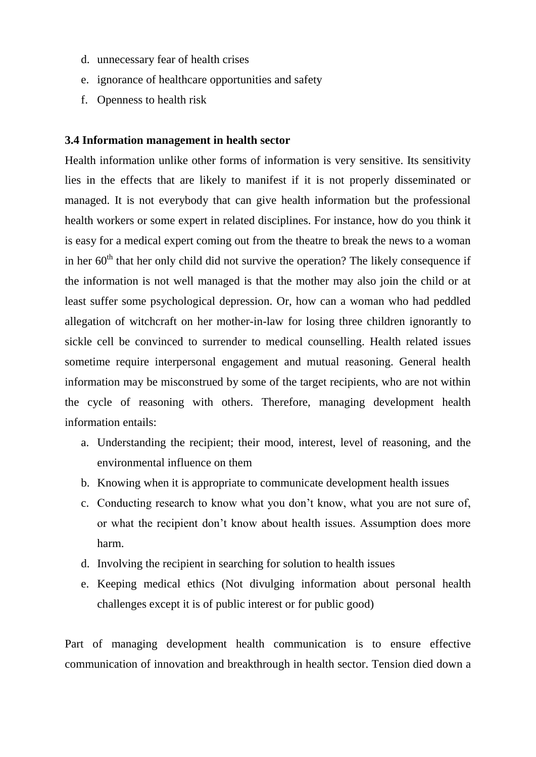- d. unnecessary fear of health crises
- e. ignorance of healthcare opportunities and safety
- f. Openness to health risk

#### **3.4 Information management in health sector**

Health information unlike other forms of information is very sensitive. Its sensitivity lies in the effects that are likely to manifest if it is not properly disseminated or managed. It is not everybody that can give health information but the professional health workers or some expert in related disciplines. For instance, how do you think it is easy for a medical expert coming out from the theatre to break the news to a woman in her  $60<sup>th</sup>$  that her only child did not survive the operation? The likely consequence if the information is not well managed is that the mother may also join the child or at least suffer some psychological depression. Or, how can a woman who had peddled allegation of witchcraft on her mother-in-law for losing three children ignorantly to sickle cell be convinced to surrender to medical counselling. Health related issues sometime require interpersonal engagement and mutual reasoning. General health information may be misconstrued by some of the target recipients, who are not within the cycle of reasoning with others. Therefore, managing development health information entails:

- a. Understanding the recipient; their mood, interest, level of reasoning, and the environmental influence on them
- b. Knowing when it is appropriate to communicate development health issues
- c. Conducting research to know what you don"t know, what you are not sure of, or what the recipient don"t know about health issues. Assumption does more harm.
- d. Involving the recipient in searching for solution to health issues
- e. Keeping medical ethics (Not divulging information about personal health challenges except it is of public interest or for public good)

Part of managing development health communication is to ensure effective communication of innovation and breakthrough in health sector. Tension died down a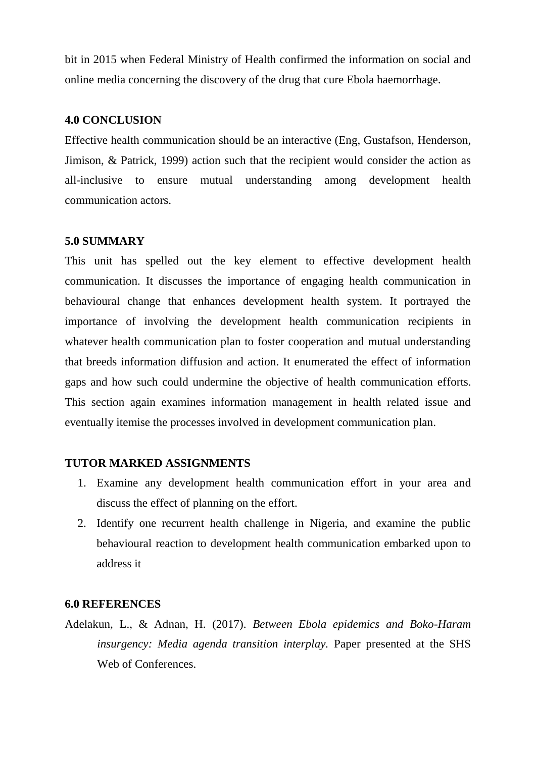bit in 2015 when Federal Ministry of Health confirmed the information on social and online media concerning the discovery of the drug that cure Ebola haemorrhage.

#### **4.0 CONCLUSION**

Effective health communication should be an interactive (Eng, Gustafson, Henderson, Jimison, & Patrick, 1999) action such that the recipient would consider the action as all-inclusive to ensure mutual understanding among development health communication actors.

#### **5.0 SUMMARY**

This unit has spelled out the key element to effective development health communication. It discusses the importance of engaging health communication in behavioural change that enhances development health system. It portrayed the importance of involving the development health communication recipients in whatever health communication plan to foster cooperation and mutual understanding that breeds information diffusion and action. It enumerated the effect of information gaps and how such could undermine the objective of health communication efforts. This section again examines information management in health related issue and eventually itemise the processes involved in development communication plan.

# **TUTOR MARKED ASSIGNMENTS**

- 1. Examine any development health communication effort in your area and discuss the effect of planning on the effort.
- 2. Identify one recurrent health challenge in Nigeria, and examine the public behavioural reaction to development health communication embarked upon to address it

#### **6.0 REFERENCES**

Adelakun, L., & Adnan, H. (2017). *Between Ebola epidemics and Boko-Haram insurgency: Media agenda transition interplay.* Paper presented at the SHS Web of Conferences.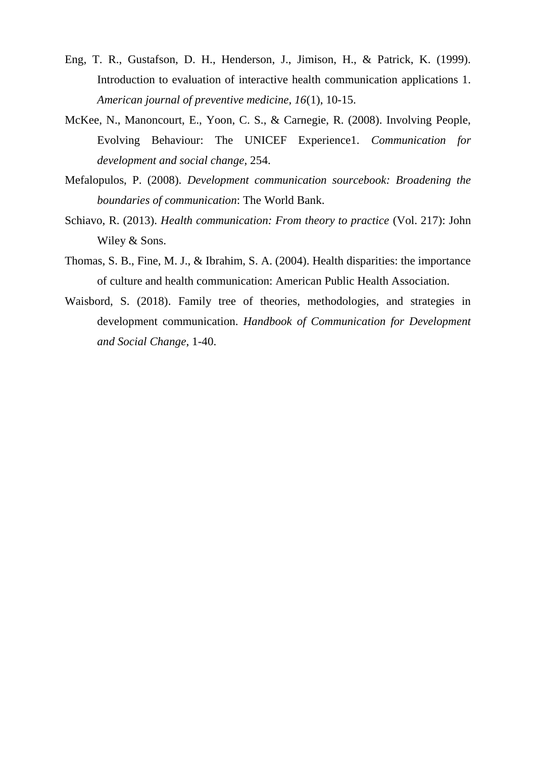- Eng, T. R., Gustafson, D. H., Henderson, J., Jimison, H., & Patrick, K. (1999). Introduction to evaluation of interactive health communication applications 1. *American journal of preventive medicine, 16*(1), 10-15.
- McKee, N., Manoncourt, E., Yoon, C. S., & Carnegie, R. (2008). Involving People, Evolving Behaviour: The UNICEF Experience1. *Communication for development and social change*, 254.
- Mefalopulos, P. (2008). *Development communication sourcebook: Broadening the boundaries of communication*: The World Bank.
- Schiavo, R. (2013). *Health communication: From theory to practice* (Vol. 217): John Wiley & Sons.
- Thomas, S. B., Fine, M. J., & Ibrahim, S. A. (2004). Health disparities: the importance of culture and health communication: American Public Health Association.
- Waisbord, S. (2018). Family tree of theories, methodologies, and strategies in development communication. *Handbook of Communication for Development and Social Change*, 1-40.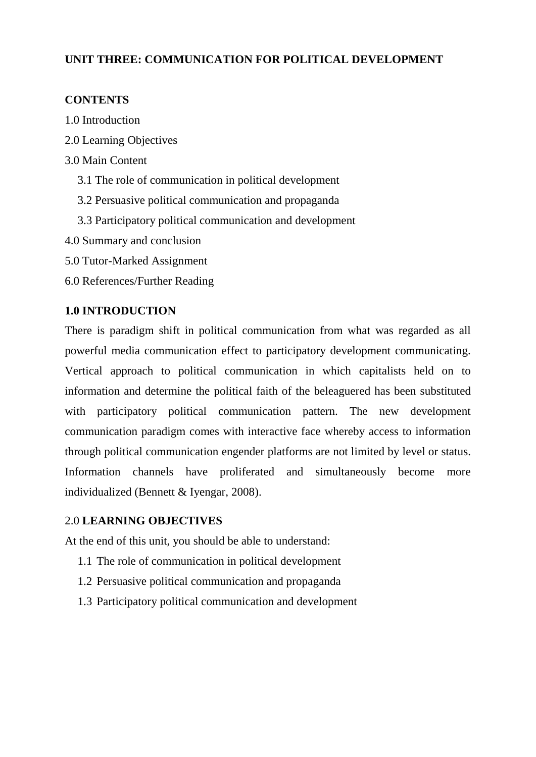# **UNIT THREE: COMMUNICATION FOR POLITICAL DEVELOPMENT**

# **CONTENTS**

- 1.0 Introduction
- 2.0 Learning Objectives
- 3.0 Main Content
	- 3.1 The role of communication in political development
	- 3.2 Persuasive political communication and propaganda
	- 3.3 Participatory political communication and development
- 4.0 Summary and conclusion
- 5.0 Tutor-Marked Assignment
- 6.0 References/Further Reading

# **1.0 INTRODUCTION**

There is paradigm shift in political communication from what was regarded as all powerful media communication effect to participatory development communicating. Vertical approach to political communication in which capitalists held on to information and determine the political faith of the beleaguered has been substituted with participatory political communication pattern. The new development communication paradigm comes with interactive face whereby access to information through political communication engender platforms are not limited by level or status. Information channels have proliferated and simultaneously become more individualized (Bennett & Iyengar, 2008).

# 2.0 **LEARNING OBJECTIVES**

At the end of this unit, you should be able to understand:

- 1.1 The role of communication in political development
- 1.2 Persuasive political communication and propaganda
- 1.3 Participatory political communication and development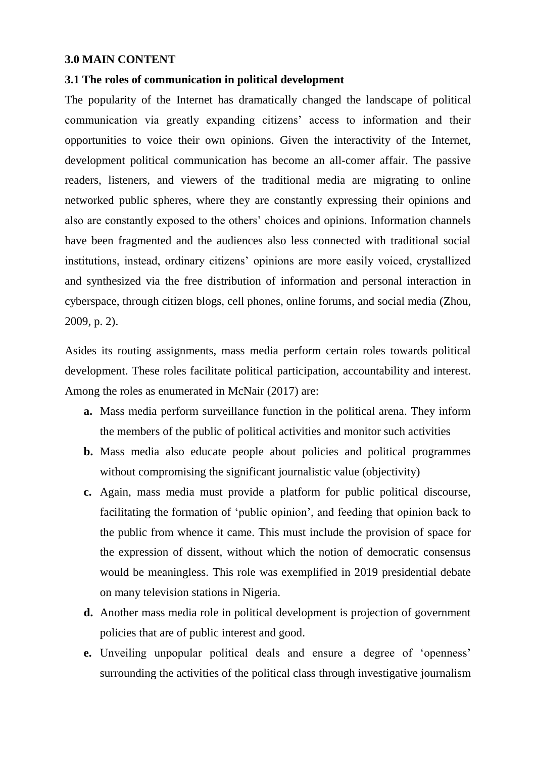#### **3.0 MAIN CONTENT**

#### **3.1 The roles of communication in political development**

The popularity of the Internet has dramatically changed the landscape of political communication via greatly expanding citizens" access to information and their opportunities to voice their own opinions. Given the interactivity of the Internet, development political communication has become an all-comer affair. The passive readers, listeners, and viewers of the traditional media are migrating to online networked public spheres, where they are constantly expressing their opinions and also are constantly exposed to the others" choices and opinions. Information channels have been fragmented and the audiences also less connected with traditional social institutions, instead, ordinary citizens" opinions are more easily voiced, crystallized and synthesized via the free distribution of information and personal interaction in cyberspace, through citizen blogs, cell phones, online forums, and social media (Zhou, 2009, p. 2).

Asides its routing assignments, mass media perform certain roles towards political development. These roles facilitate political participation, accountability and interest. Among the roles as enumerated in McNair (2017) are:

- **a.** Mass media perform surveillance function in the political arena. They inform the members of the public of political activities and monitor such activities
- **b.** Mass media also educate people about policies and political programmes without compromising the significant journalistic value (objectivity)
- **c.** Again, mass media must provide a platform for public political discourse, facilitating the formation of "public opinion", and feeding that opinion back to the public from whence it came. This must include the provision of space for the expression of dissent, without which the notion of democratic consensus would be meaningless. This role was exemplified in 2019 presidential debate on many television stations in Nigeria.
- **d.** Another mass media role in political development is projection of government policies that are of public interest and good.
- **e.** Unveiling unpopular political deals and ensure a degree of "openness" surrounding the activities of the political class through investigative journalism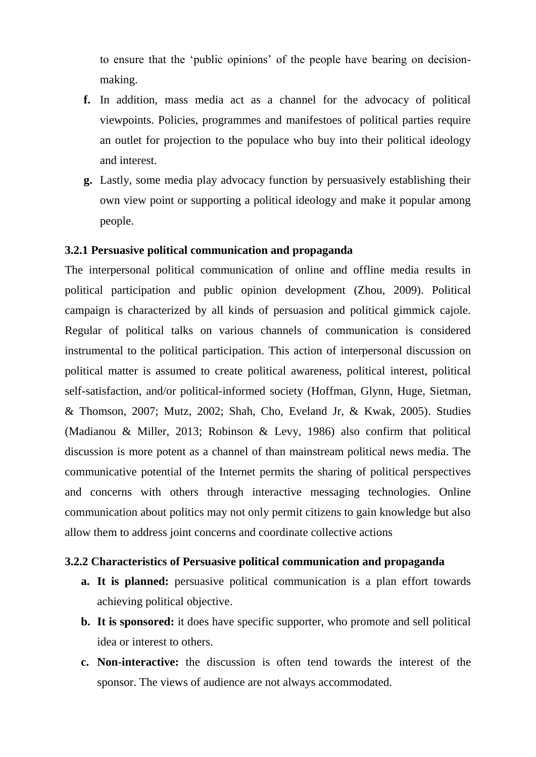to ensure that the "public opinions" of the people have bearing on decisionmaking.

- **f.** In addition, mass media act as a channel for the advocacy of political viewpoints. Policies, programmes and manifestoes of political parties require an outlet for projection to the populace who buy into their political ideology and interest.
- **g.** Lastly, some media play advocacy function by persuasively establishing their own view point or supporting a political ideology and make it popular among people.

#### **3.2.1 Persuasive political communication and propaganda**

The interpersonal political communication of online and offline media results in political participation and public opinion development (Zhou, 2009). Political campaign is characterized by all kinds of persuasion and political gimmick cajole. Regular of political talks on various channels of communication is considered instrumental to the political participation. This action of interpersonal discussion on political matter is assumed to create political awareness, political interest, political self-satisfaction, and/or political-informed society (Hoffman, Glynn, Huge, Sietman, & Thomson, 2007; Mutz, 2002; Shah, Cho, Eveland Jr, & Kwak, 2005). Studies (Madianou & Miller, 2013; Robinson & Levy, 1986) also confirm that political discussion is more potent as a channel of than mainstream political news media. The communicative potential of the Internet permits the sharing of political perspectives and concerns with others through interactive messaging technologies. Online communication about politics may not only permit citizens to gain knowledge but also allow them to address joint concerns and coordinate collective actions

## **3.2.2 Characteristics of Persuasive political communication and propaganda**

- **a. It is planned:** persuasive political communication is a plan effort towards achieving political objective.
- **b. It is sponsored:** it does have specific supporter, who promote and sell political idea or interest to others.
- **c. Non-interactive:** the discussion is often tend towards the interest of the sponsor. The views of audience are not always accommodated.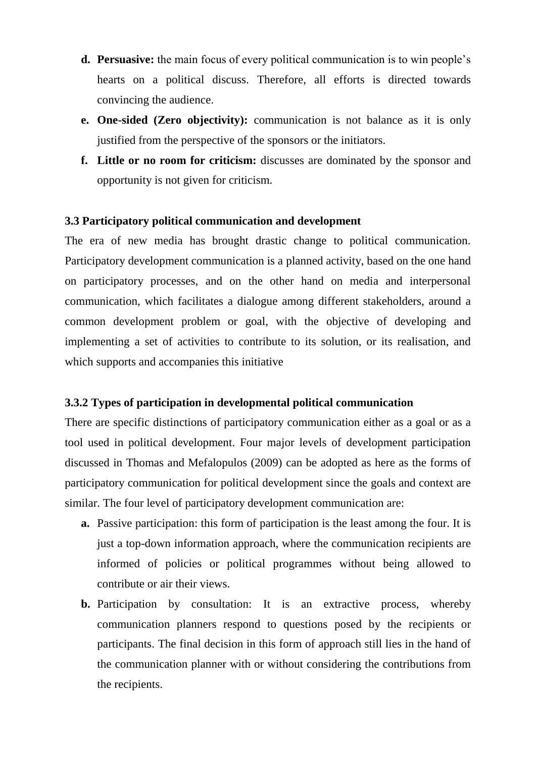- **d. Persuasive:** the main focus of every political communication is to win people"s hearts on a political discuss. Therefore, all efforts is directed towards convincing the audience.
- **e. One-sided (Zero objectivity):** communication is not balance as it is only justified from the perspective of the sponsors or the initiators.
- **f. Little or no room for criticism:** discusses are dominated by the sponsor and opportunity is not given for criticism.

# **3.3 Participatory political communication and development**

The era of new media has brought drastic change to political communication. Participatory development communication is a planned activity, based on the one hand on participatory processes, and on the other hand on media and interpersonal communication, which facilitates a dialogue among different stakeholders, around a common development problem or goal, with the objective of developing and implementing a set of activities to contribute to its solution, or its realisation, and which supports and accompanies this initiative

#### **3.3.2 Types of participation in developmental political communication**

There are specific distinctions of participatory communication either as a goal or as a tool used in political development. Four major levels of development participation discussed in Thomas and Mefalopulos (2009) can be adopted as here as the forms of participatory communication for political development since the goals and context are similar. The four level of participatory development communication are:

- **a.** Passive participation: this form of participation is the least among the four. It is just a top-down information approach, where the communication recipients are informed of policies or political programmes without being allowed to contribute or air their views.
- **b.** Participation by consultation: It is an extractive process, whereby communication planners respond to questions posed by the recipients or participants. The final decision in this form of approach still lies in the hand of the communication planner with or without considering the contributions from the recipients.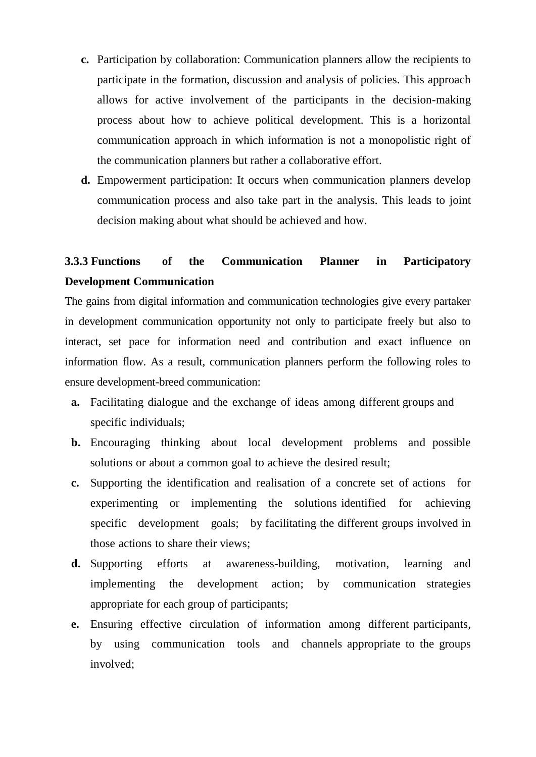- **c.** Participation by collaboration: Communication planners allow the recipients to participate in the formation, discussion and analysis of policies. This approach allows for active involvement of the participants in the decision-making process about how to achieve political development. This is a horizontal communication approach in which information is not a monopolistic right of the communication planners but rather a collaborative effort.
- **d.** Empowerment participation: It occurs when communication planners develop communication process and also take part in the analysis. This leads to joint decision making about what should be achieved and how.

# **3.3.3 Functions of the Communication Planner in Participatory Development Communication**

The gains from digital information and communication technologies give every partaker in development communication opportunity not only to participate freely but also to interact, set pace for information need and contribution and exact influence on information flow. As a result, communication planners perform the following roles to ensure development-breed communication:

- **a.** Facilitating dialogue and the exchange of ideas among different groups and specific individuals;
- **b.** Encouraging thinking about local development problems and possible solutions or about a common goal to achieve the desired result;
- **c.** Supporting the identification and realisation of a concrete set of actions for experimenting or implementing the solutions identified for achieving specific development goals; by facilitating the different groups involved in those actions to share their views;
- **d.** Supporting efforts at awareness-building, motivation, learning and implementing the development action; by communication strategies appropriate for each group of participants;
- **e.** Ensuring effective circulation of information among different participants, by using communication tools and channels appropriate to the groups involved;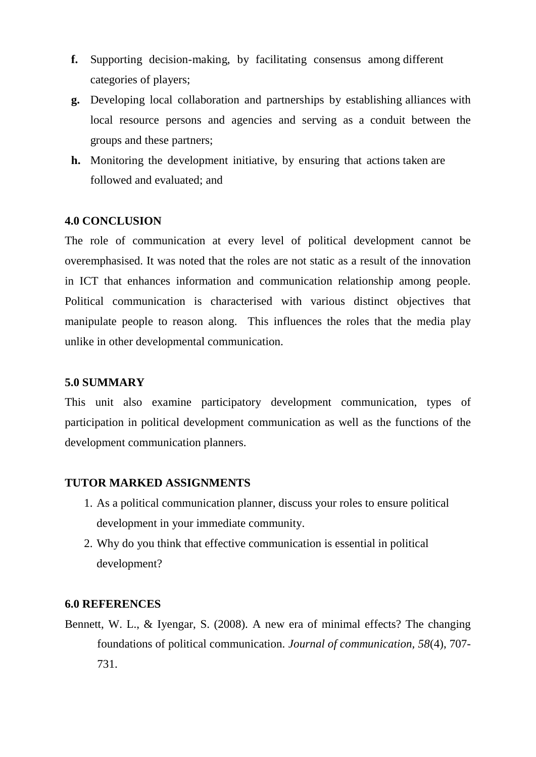- **f.** Supporting decision-making, by facilitating consensus among different categories of players;
- **g.** Developing local collaboration and partnerships by establishing alliances with local resource persons and agencies and serving as a conduit between the groups and these partners;
- **h.** Monitoring the development initiative, by ensuring that actions taken are followed and evaluated; and

# **4.0 CONCLUSION**

The role of communication at every level of political development cannot be overemphasised. It was noted that the roles are not static as a result of the innovation in ICT that enhances information and communication relationship among people. Political communication is characterised with various distinct objectives that manipulate people to reason along. This influences the roles that the media play unlike in other developmental communication.

## **5.0 SUMMARY**

This unit also examine participatory development communication, types of participation in political development communication as well as the functions of the development communication planners.

#### **TUTOR MARKED ASSIGNMENTS**

- 1. As a political communication planner, discuss your roles to ensure political development in your immediate community.
- 2. Why do you think that effective communication is essential in political development?

#### **6.0 REFERENCES**

Bennett, W. L., & Iyengar, S. (2008). A new era of minimal effects? The changing foundations of political communication. *Journal of communication, 58*(4), 707- 731.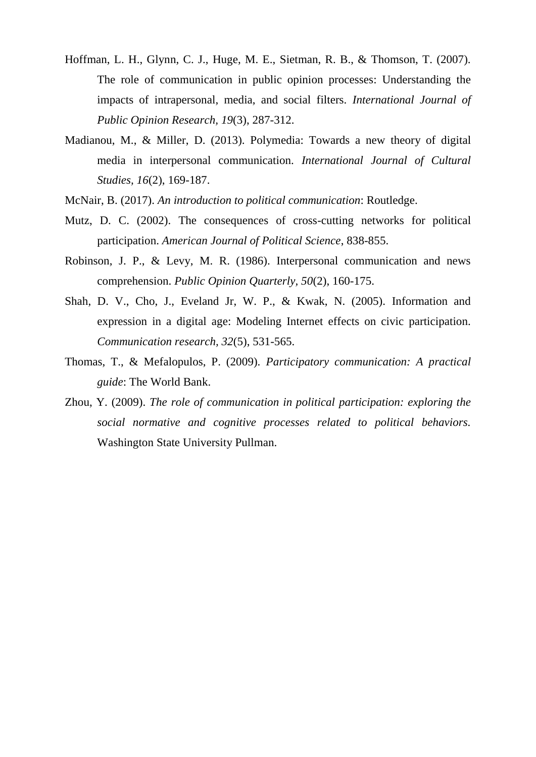- Hoffman, L. H., Glynn, C. J., Huge, M. E., Sietman, R. B., & Thomson, T. (2007). The role of communication in public opinion processes: Understanding the impacts of intrapersonal, media, and social filters. *International Journal of Public Opinion Research, 19*(3), 287-312.
- Madianou, M., & Miller, D. (2013). Polymedia: Towards a new theory of digital media in interpersonal communication. *International Journal of Cultural Studies, 16*(2), 169-187.
- McNair, B. (2017). *An introduction to political communication*: Routledge.
- Mutz, D. C. (2002). The consequences of cross-cutting networks for political participation. *American Journal of Political Science*, 838-855.
- Robinson, J. P., & Levy, M. R. (1986). Interpersonal communication and news comprehension. *Public Opinion Quarterly, 50*(2), 160-175.
- Shah, D. V., Cho, J., Eveland Jr, W. P., & Kwak, N. (2005). Information and expression in a digital age: Modeling Internet effects on civic participation. *Communication research, 32*(5), 531-565.
- Thomas, T., & Mefalopulos, P. (2009). *Participatory communication: A practical guide*: The World Bank.
- Zhou, Y. (2009). *The role of communication in political participation: exploring the social normative and cognitive processes related to political behaviors.* Washington State University Pullman.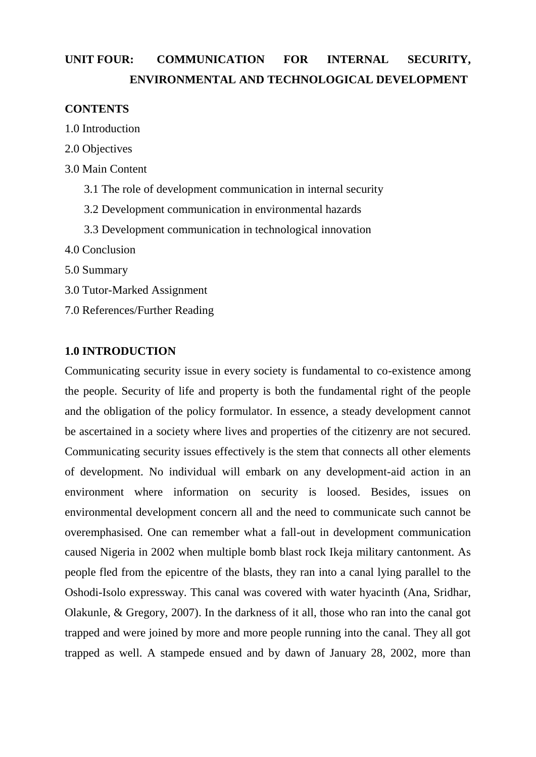# **UNIT FOUR: COMMUNICATION FOR INTERNAL SECURITY, ENVIRONMENTAL AND TECHNOLOGICAL DEVELOPMENT**

## **CONTENTS**

- 1.0 Introduction
- 2.0 Objectives
- 3.0 Main Content
	- 3.1 The role of development communication in internal security
	- 3.2 Development communication in environmental hazards
	- 3.3 Development communication in technological innovation
- 4.0 Conclusion
- 5.0 Summary
- 3.0 Tutor-Marked Assignment
- 7.0 References/Further Reading

## **1.0 INTRODUCTION**

Communicating security issue in every society is fundamental to co-existence among the people. Security of life and property is both the fundamental right of the people and the obligation of the policy formulator. In essence, a steady development cannot be ascertained in a society where lives and properties of the citizenry are not secured. Communicating security issues effectively is the stem that connects all other elements of development. No individual will embark on any development-aid action in an environment where information on security is loosed. Besides, issues on environmental development concern all and the need to communicate such cannot be overemphasised. One can remember what a fall-out in development communication caused Nigeria in 2002 when multiple bomb blast rock Ikeja military cantonment. As people fled from the epicentre of the blasts, they ran into a canal lying parallel to the Oshodi-Isolo expressway. This canal was covered with water hyacinth (Ana, Sridhar, Olakunle, & Gregory, 2007). In the darkness of it all, those who ran into the canal got trapped and were joined by more and more people running into the canal. They all got trapped as well. A stampede ensued and by dawn of January 28, 2002, more than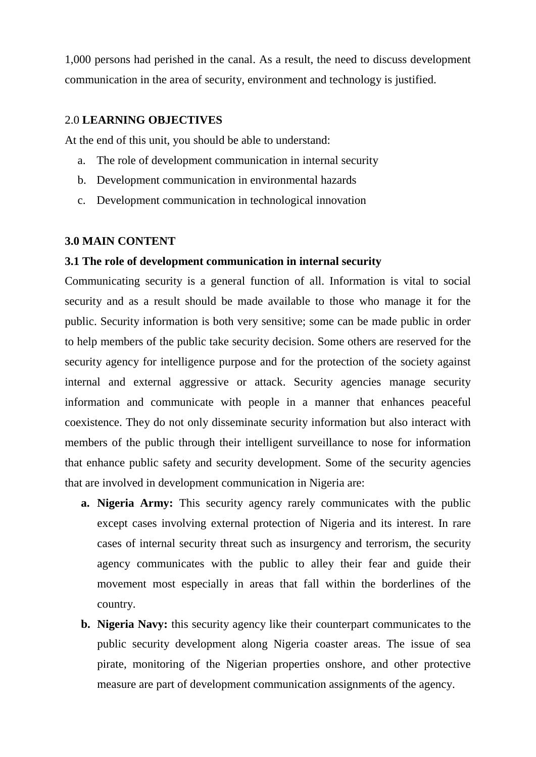1,000 persons had perished in the canal. As a result, the need to discuss development communication in the area of security, environment and technology is justified.

#### 2.0 **LEARNING OBJECTIVES**

At the end of this unit, you should be able to understand:

- a. The role of development communication in internal security
- b. Development communication in environmental hazards
- c. Development communication in technological innovation

#### **3.0 MAIN CONTENT**

#### **3.1 The role of development communication in internal security**

Communicating security is a general function of all. Information is vital to social security and as a result should be made available to those who manage it for the public. Security information is both very sensitive; some can be made public in order to help members of the public take security decision. Some others are reserved for the security agency for intelligence purpose and for the protection of the society against internal and external aggressive or attack. Security agencies manage security information and communicate with people in a manner that enhances peaceful coexistence. They do not only disseminate security information but also interact with members of the public through their intelligent surveillance to nose for information that enhance public safety and security development. Some of the security agencies that are involved in development communication in Nigeria are:

- **a. Nigeria Army:** This security agency rarely communicates with the public except cases involving external protection of Nigeria and its interest. In rare cases of internal security threat such as insurgency and terrorism, the security agency communicates with the public to alley their fear and guide their movement most especially in areas that fall within the borderlines of the country.
- **b. Nigeria Navy:** this security agency like their counterpart communicates to the public security development along Nigeria coaster areas. The issue of sea pirate, monitoring of the Nigerian properties onshore, and other protective measure are part of development communication assignments of the agency.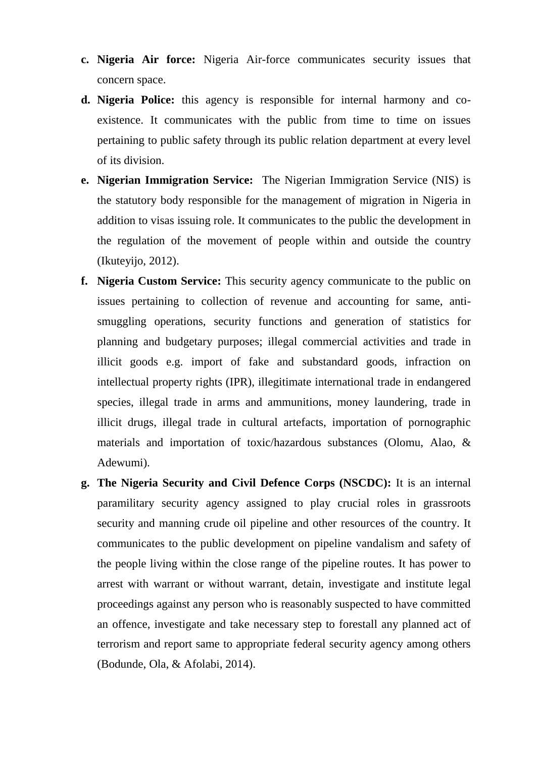- **c. Nigeria Air force:** Nigeria Air-force communicates security issues that concern space.
- **d. Nigeria Police:** this agency is responsible for internal harmony and coexistence. It communicates with the public from time to time on issues pertaining to public safety through its public relation department at every level of its division.
- **e. Nigerian Immigration Service:** The Nigerian Immigration Service (NIS) is the statutory body responsible for the management of migration in Nigeria in addition to visas issuing role. It communicates to the public the development in the regulation of the movement of people within and outside the country (Ikuteyijo, 2012).
- **f. Nigeria Custom Service:** This security agency communicate to the public on issues pertaining to collection of revenue and accounting for same, antismuggling operations, security functions and generation of statistics for planning and budgetary purposes; illegal commercial activities and trade in illicit goods e.g. import of fake and substandard goods, infraction on intellectual property rights (IPR), illegitimate international trade in endangered species, illegal trade in arms and ammunitions, money laundering, trade in illicit drugs, illegal trade in cultural artefacts, importation of pornographic materials and importation of toxic/hazardous substances (Olomu, Alao, & Adewumi).
- **g. The Nigeria Security and Civil Defence Corps (NSCDC):** It is an internal paramilitary security agency assigned to play crucial roles in grassroots security and manning crude oil pipeline and other resources of the country. It communicates to the public development on pipeline vandalism and safety of the people living within the close range of the pipeline routes. It has power to arrest with warrant or without warrant, detain, investigate and institute legal proceedings against any person who is reasonably suspected to have committed an offence, investigate and take necessary step to forestall any planned act of terrorism and report same to appropriate federal security agency among others (Bodunde, Ola, & Afolabi, 2014).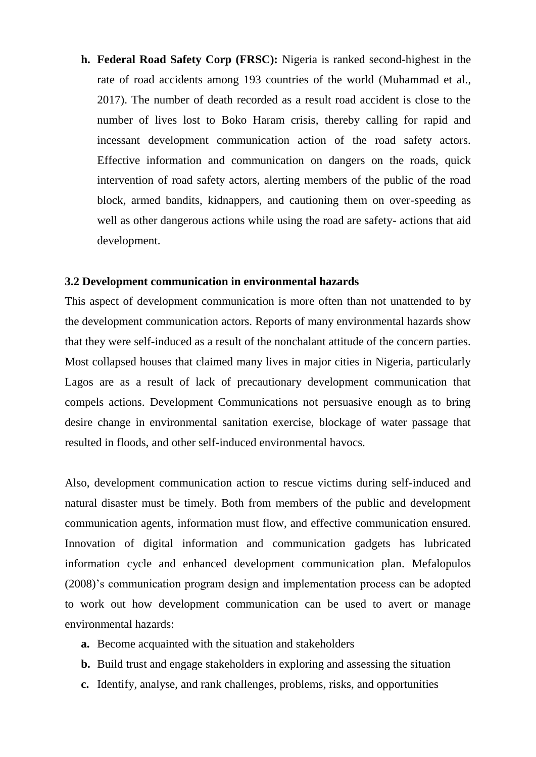**h. Federal Road Safety Corp (FRSC):** Nigeria is ranked second-highest in the rate of road accidents among 193 countries of the world (Muhammad et al., 2017). The number of death recorded as a result road accident is close to the number of lives lost to Boko Haram crisis, thereby calling for rapid and incessant development communication action of the road safety actors. Effective information and communication on dangers on the roads, quick intervention of road safety actors, alerting members of the public of the road block, armed bandits, kidnappers, and cautioning them on over-speeding as well as other dangerous actions while using the road are safety- actions that aid development.

#### **3.2 Development communication in environmental hazards**

This aspect of development communication is more often than not unattended to by the development communication actors. Reports of many environmental hazards show that they were self-induced as a result of the nonchalant attitude of the concern parties. Most collapsed houses that claimed many lives in major cities in Nigeria, particularly Lagos are as a result of lack of precautionary development communication that compels actions. Development Communications not persuasive enough as to bring desire change in environmental sanitation exercise, blockage of water passage that resulted in floods, and other self-induced environmental havocs.

Also, development communication action to rescue victims during self-induced and natural disaster must be timely. Both from members of the public and development communication agents, information must flow, and effective communication ensured. Innovation of digital information and communication gadgets has lubricated information cycle and enhanced development communication plan. Mefalopulos (2008)"s communication program design and implementation process can be adopted to work out how development communication can be used to avert or manage environmental hazards:

- **a.** Become acquainted with the situation and stakeholders
- **b.** Build trust and engage stakeholders in exploring and assessing the situation
- **c.** Identify, analyse, and rank challenges, problems, risks, and opportunities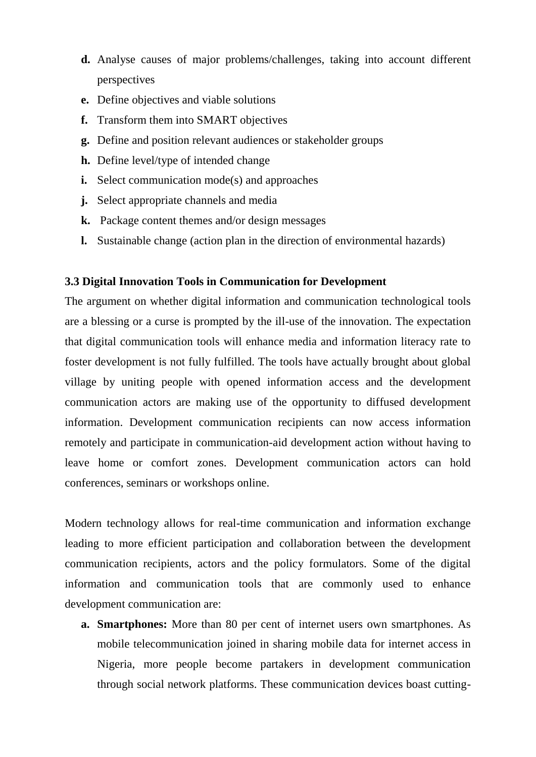- **d.** Analyse causes of major problems/challenges, taking into account different perspectives
- **e.** Define objectives and viable solutions
- **f.** Transform them into SMART objectives
- **g.** Define and position relevant audiences or stakeholder groups
- **h.** Define level/type of intended change
- **i.** Select communication mode(s) and approaches
- **j.** Select appropriate channels and media
- **k.** Package content themes and/or design messages
- **l.** Sustainable change (action plan in the direction of environmental hazards)

#### **3.3 Digital Innovation Tools in Communication for Development**

The argument on whether digital information and communication technological tools are a blessing or a curse is prompted by the ill-use of the innovation. The expectation that digital communication tools will enhance media and information literacy rate to foster development is not fully fulfilled. The tools have actually brought about global village by uniting people with opened information access and the development communication actors are making use of the opportunity to diffused development information. Development communication recipients can now access information remotely and participate in communication-aid development action without having to leave home or comfort zones. Development communication actors can hold conferences, seminars or workshops online.

Modern technology allows for real-time communication and information exchange leading to more efficient participation and collaboration between the development communication recipients, actors and the policy formulators. Some of the digital information and communication tools that are commonly used to enhance development communication are:

**a. Smartphones:** More than 80 per cent of internet users own smartphones. As mobile telecommunication joined in sharing mobile data for internet access in Nigeria, more people become partakers in development communication through social network platforms. These communication devices boast cutting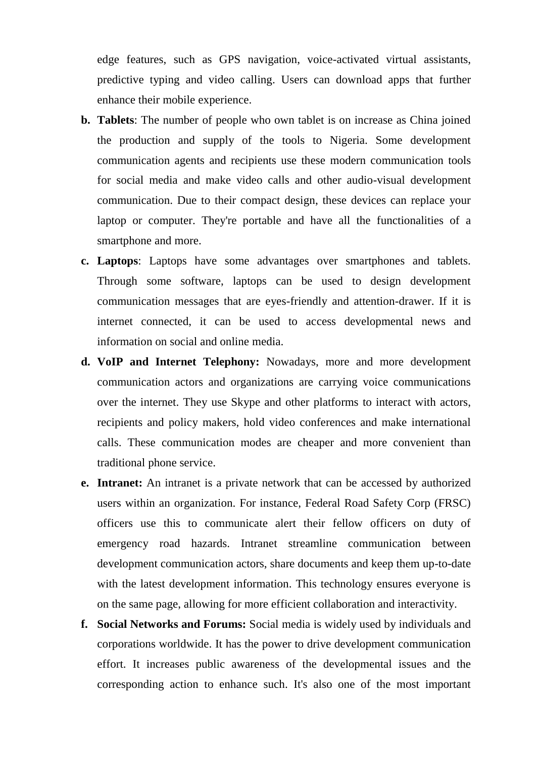edge features, such as GPS navigation, voice-activated virtual assistants, predictive typing and video calling. Users can download apps that further enhance their mobile experience.

- **b. Tablets**: The number of people who own tablet is on increase as China joined the production and supply of the tools to Nigeria. Some development communication agents and recipients use these modern communication tools for social media and make video calls and other audio-visual development communication. Due to their compact design, these devices can replace your laptop or computer. They're portable and have all the functionalities of a smartphone and more.
- **c. Laptops**: Laptops have some advantages over smartphones and tablets. Through some software, laptops can be used to design development communication messages that are eyes-friendly and attention-drawer. If it is internet connected, it can be used to access developmental news and information on social and online media.
- **d. VoIP and Internet Telephony:** Nowadays, more and more development communication actors and organizations are carrying voice communications over the internet. They use Skype and other platforms to interact with actors, recipients and policy makers, hold video conferences and make international calls. These communication modes are cheaper and more convenient than traditional phone service.
- **e. Intranet:** An intranet is a private network that can be accessed by authorized users within an organization. For instance, Federal Road Safety Corp (FRSC) officers use this to communicate alert their fellow officers on duty of emergency road hazards. Intranet streamline communication between development communication actors, share documents and keep them up-to-date with the latest development information. This technology ensures everyone is on the same page, allowing for more efficient collaboration and interactivity.
- **f. Social Networks and Forums:** Social media is widely used by individuals and corporations worldwide. It has the power to drive development communication effort. It increases public awareness of the developmental issues and the corresponding action to enhance such. It's also one of the most important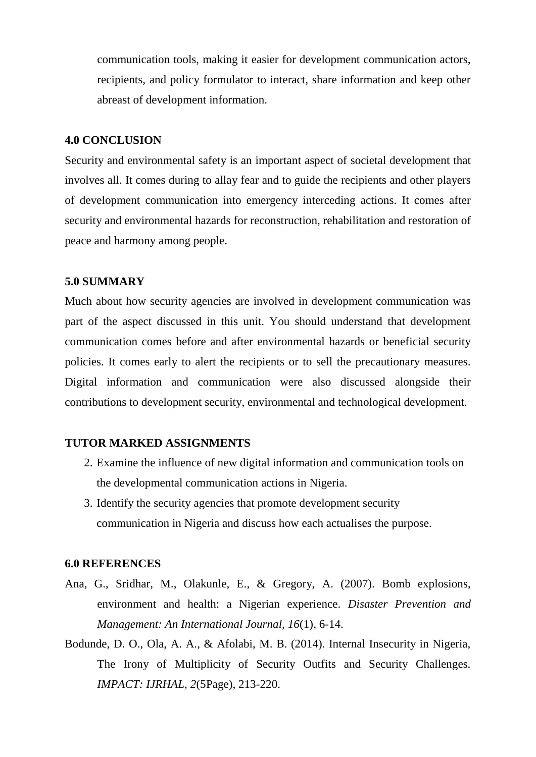communication tools, making it easier for development communication actors, recipients, and policy formulator to interact, share information and keep other abreast of development information.

#### **4.0 CONCLUSION**

Security and environmental safety is an important aspect of societal development that involves all. It comes during to allay fear and to guide the recipients and other players of development communication into emergency interceding actions. It comes after security and environmental hazards for reconstruction, rehabilitation and restoration of peace and harmony among people.

#### **5.0 SUMMARY**

Much about how security agencies are involved in development communication was part of the aspect discussed in this unit. You should understand that development communication comes before and after environmental hazards or beneficial security policies. It comes early to alert the recipients or to sell the precautionary measures. Digital information and communication were also discussed alongside their contributions to development security, environmental and technological development.

# **TUTOR MARKED ASSIGNMENTS**

- 2. Examine the influence of new digital information and communication tools on the developmental communication actions in Nigeria.
- 3. Identify the security agencies that promote development security communication in Nigeria and discuss how each actualises the purpose.

#### **6.0 REFERENCES**

- Ana, G., Sridhar, M., Olakunle, E., & Gregory, A. (2007). Bomb explosions, environment and health: a Nigerian experience. *Disaster Prevention and Management: An International Journal, 16*(1), 6-14.
- Bodunde, D. O., Ola, A. A., & Afolabi, M. B. (2014). Internal Insecurity in Nigeria, The Irony of Multiplicity of Security Outfits and Security Challenges. *IMPACT: IJRHAL, 2*(5Page), 213-220.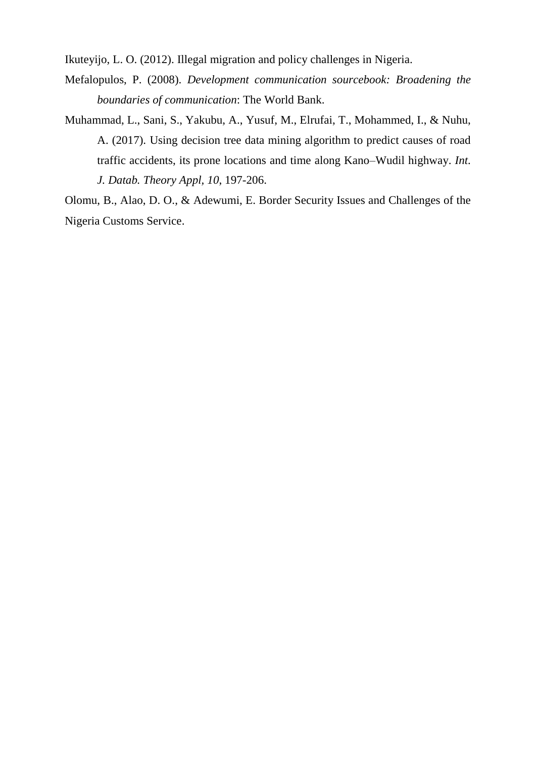Ikuteyijo, L. O. (2012). Illegal migration and policy challenges in Nigeria.

- Mefalopulos, P. (2008). *Development communication sourcebook: Broadening the boundaries of communication*: The World Bank.
- Muhammad, L., Sani, S., Yakubu, A., Yusuf, M., Elrufai, T., Mohammed, I., & Nuhu, A. (2017). Using decision tree data mining algorithm to predict causes of road traffic accidents, its prone locations and time along Kano–Wudil highway. *Int. J. Datab. Theory Appl, 10*, 197-206.

Olomu, B., Alao, D. O., & Adewumi, E. Border Security Issues and Challenges of the Nigeria Customs Service.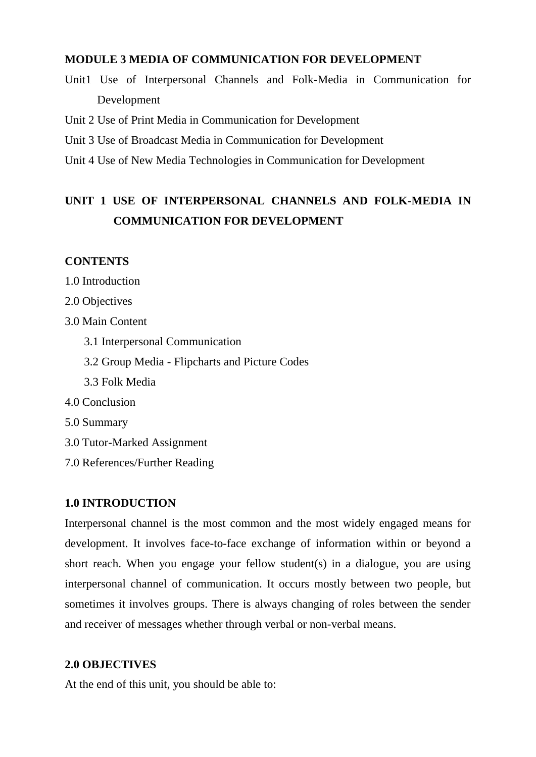# **MODULE 3 MEDIA OF COMMUNICATION FOR DEVELOPMENT**

Unit1 Use of Interpersonal Channels and Folk-Media in Communication for Development

Unit 2 Use of Print Media in Communication for Development

Unit 3 Use of Broadcast Media in Communication for Development

Unit 4 Use of New Media Technologies in Communication for Development

# **UNIT 1 USE OF INTERPERSONAL CHANNELS AND FOLK-MEDIA IN COMMUNICATION FOR DEVELOPMENT**

### **CONTENTS**

1.0 Introduction

2.0 Objectives

3.0 Main Content

- 3.1 Interpersonal Communication
- 3.2 Group Media Flipcharts and Picture Codes
- 3.3 Folk Media
- 4.0 Conclusion
- 5.0 Summary
- 3.0 Tutor-Marked Assignment
- 7.0 References/Further Reading

#### **1.0 INTRODUCTION**

Interpersonal channel is the most common and the most widely engaged means for development. It involves face-to-face exchange of information within or beyond a short reach. When you engage your fellow student(s) in a dialogue, you are using interpersonal channel of communication. It occurs mostly between two people, but sometimes it involves groups. There is always changing of roles between the sender and receiver of messages whether through verbal or non-verbal means.

# **2.0 OBJECTIVES**

At the end of this unit, you should be able to: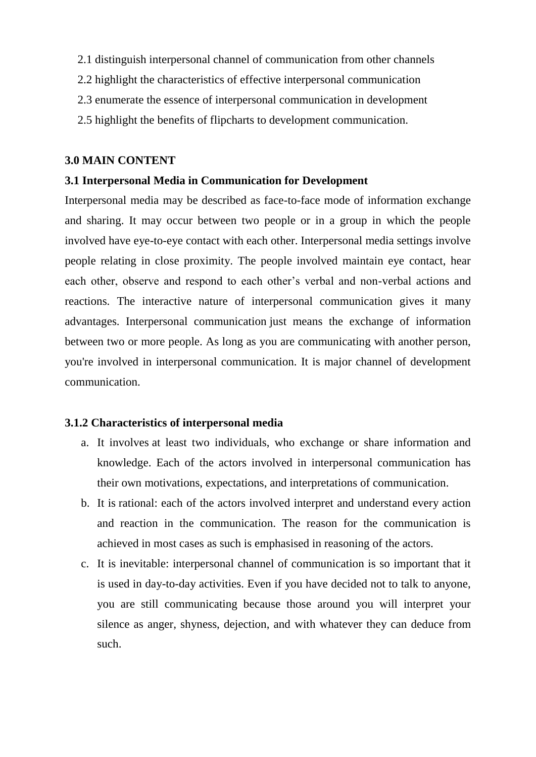- 2.1 distinguish interpersonal channel of communication from other channels
- 2.2 highlight the characteristics of effective interpersonal communication
- 2.3 enumerate the essence of interpersonal communication in development
- 2.5 highlight the benefits of flipcharts to development communication.

#### **3.0 MAIN CONTENT**

#### **3.1 Interpersonal Media in Communication for Development**

Interpersonal media may be described as face-to-face mode of information exchange and sharing. It may occur between two people or in a group in which the people involved have eye-to-eye contact with each other. Interpersonal media settings involve people relating in close proximity. The people involved maintain eye contact, hear each other, observe and respond to each other"s verbal and non-verbal actions and reactions. The interactive nature of interpersonal communication gives it many advantages. Interpersonal communication just means the exchange of information between two or more people. As long as you are communicating with another person, you're involved in interpersonal communication. It is major channel of development communication.

#### **3.1.2 Characteristics of interpersonal media**

- a. It involves at least two individuals, who exchange or share information and knowledge. Each of the actors involved in interpersonal communication has their own motivations, expectations, and interpretations of communication.
- b. It is rational: each of the actors involved interpret and understand every action and reaction in the communication. The reason for the communication is achieved in most cases as such is emphasised in reasoning of the actors.
- c. It is inevitable: interpersonal channel of communication is so important that it is used in day-to-day activities. Even if you have decided not to talk to anyone, you are still communicating because those around you will interpret your silence as anger, shyness, dejection, and with whatever they can deduce from such.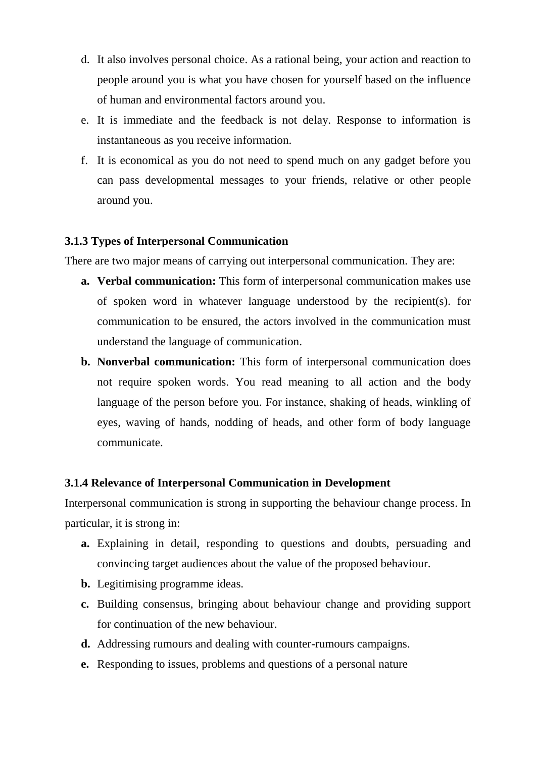- d. It also involves personal choice. As a rational being, your action and reaction to people around you is what you have chosen for yourself based on the influence of human and environmental factors around you.
- e. It is immediate and the feedback is not delay. Response to information is instantaneous as you receive information.
- f. It is economical as you do not need to spend much on any gadget before you can pass developmental messages to your friends, relative or other people around you.

# **3.1.3 Types of Interpersonal Communication**

There are two major means of carrying out interpersonal communication. They are:

- **a. Verbal communication:** This form of interpersonal communication makes use of spoken word in whatever language understood by the recipient(s). for communication to be ensured, the actors involved in the communication must understand the language of communication.
- **b. Nonverbal communication:** This form of interpersonal communication does not require spoken words. You read meaning to all action and the body language of the person before you. For instance, shaking of heads, winkling of eyes, waving of hands, nodding of heads, and other form of body language communicate.

#### **3.1.4 Relevance of Interpersonal Communication in Development**

Interpersonal communication is strong in supporting the behaviour change process. In particular, it is strong in:

- **a.** Explaining in detail, responding to questions and doubts, persuading and convincing target audiences about the value of the proposed behaviour.
- **b.** Legitimising programme ideas.
- **c.** Building consensus, bringing about behaviour change and providing support for continuation of the new behaviour.
- **d.** Addressing rumours and dealing with counter-rumours campaigns.
- **e.** Responding to issues, problems and questions of a personal nature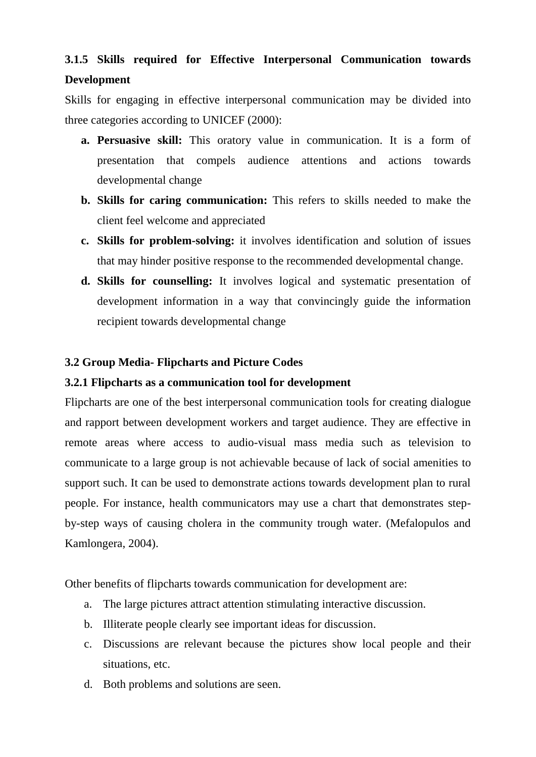# **3.1.5 Skills required for Effective Interpersonal Communication towards Development**

Skills for engaging in effective interpersonal communication may be divided into three categories according to UNICEF (2000):

- **a. Persuasive skill:** This oratory value in communication. It is a form of presentation that compels audience attentions and actions towards developmental change
- **b. Skills for caring communication:** This refers to skills needed to make the client feel welcome and appreciated
- **c. Skills for problem-solving:** it involves identification and solution of issues that may hinder positive response to the recommended developmental change.
- **d. Skills for counselling:** It involves logical and systematic presentation of development information in a way that convincingly guide the information recipient towards developmental change

# **3.2 Group Media- Flipcharts and Picture Codes**

# **3.2.1 Flipcharts as a communication tool for development**

Flipcharts are one of the best interpersonal communication tools for creating dialogue and rapport between development workers and target audience. They are effective in remote areas where access to audio-visual mass media such as television to communicate to a large group is not achievable because of lack of social amenities to support such. It can be used to demonstrate actions towards development plan to rural people. For instance, health communicators may use a chart that demonstrates stepby-step ways of causing cholera in the community trough water. (Mefalopulos and Kamlongera, 2004).

Other benefits of flipcharts towards communication for development are:

- a. The large pictures attract attention stimulating interactive discussion.
- b. Illiterate people clearly see important ideas for discussion.
- c. Discussions are relevant because the pictures show local people and their situations, etc.
- d. Both problems and solutions are seen.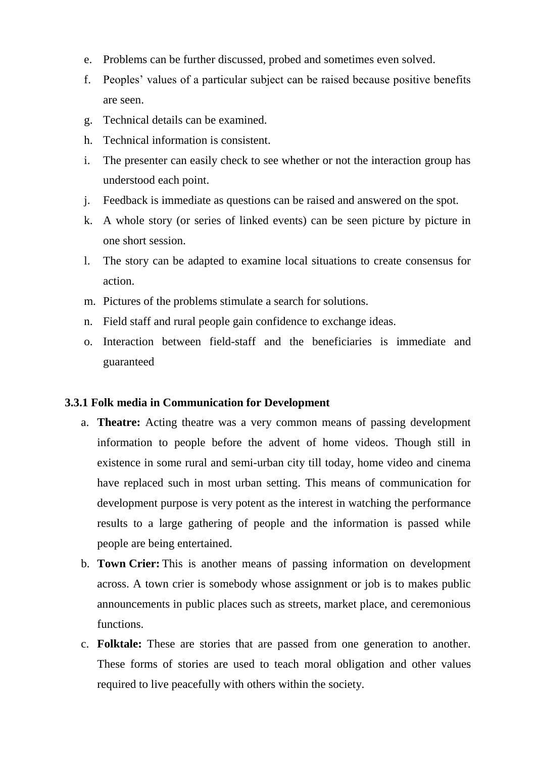- e. Problems can be further discussed, probed and sometimes even solved.
- f. Peoples" values of a particular subject can be raised because positive benefits are seen.
- g. Technical details can be examined.
- h. Technical information is consistent.
- i. The presenter can easily check to see whether or not the interaction group has understood each point.
- j. Feedback is immediate as questions can be raised and answered on the spot.
- k. A whole story (or series of linked events) can be seen picture by picture in one short session.
- l. The story can be adapted to examine local situations to create consensus for action.
- m. Pictures of the problems stimulate a search for solutions.
- n. Field staff and rural people gain confidence to exchange ideas.
- o. Interaction between field-staff and the beneficiaries is immediate and guaranteed

# **3.3.1 Folk media in Communication for Development**

- a. **Theatre:** Acting theatre was a very common means of passing development information to people before the advent of home videos. Though still in existence in some rural and semi-urban city till today, home video and cinema have replaced such in most urban setting. This means of communication for development purpose is very potent as the interest in watching the performance results to a large gathering of people and the information is passed while people are being entertained.
- b. **Town Crier:** This is another means of passing information on development across. A town crier is somebody whose assignment or job is to makes public announcements in public places such as streets, market place, and ceremonious functions.
- c. **Folktale:** These are stories that are passed from one generation to another. These forms of stories are used to teach moral obligation and other values required to live peacefully with others within the society.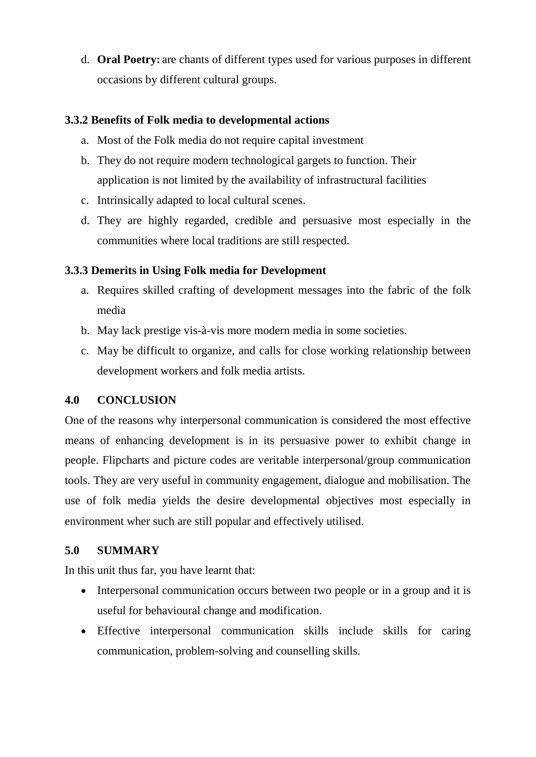d. **Oral Poetry:** are chants of different types used for various purposes in different occasions by different cultural groups.

# **3.3.2 Benefits of Folk media to developmental actions**

- a. Most of the Folk media do not require capital investment
- b. They do not require modern technological gargets to function. Their application is not limited by the availability of infrastructural facilities
- c. Intrinsically adapted to local cultural scenes.
- d. They are highly regarded, credible and persuasive most especially in the communities where local traditions are still respected.

# **3.3.3 Demerits in Using Folk media for Development**

- a. Requires skilled crafting of development messages into the fabric of the folk media
- b. May lack prestige vis-à-vis more modern media in some societies.
- c. May be difficult to organize, and calls for close working relationship between development workers and folk media artists.

# **4.0 CONCLUSION**

One of the reasons why interpersonal communication is considered the most effective means of enhancing development is in its persuasive power to exhibit change in people. Flipcharts and picture codes are veritable interpersonal/group communication tools. They are very useful in community engagement, dialogue and mobilisation. The use of folk media yields the desire developmental objectives most especially in environment wher such are still popular and effectively utilised.

# **5.0 SUMMARY**

In this unit thus far, you have learnt that:

- Interpersonal communication occurs between two people or in a group and it is useful for behavioural change and modification.
- Effective interpersonal communication skills include skills for caring communication, problem-solving and counselling skills.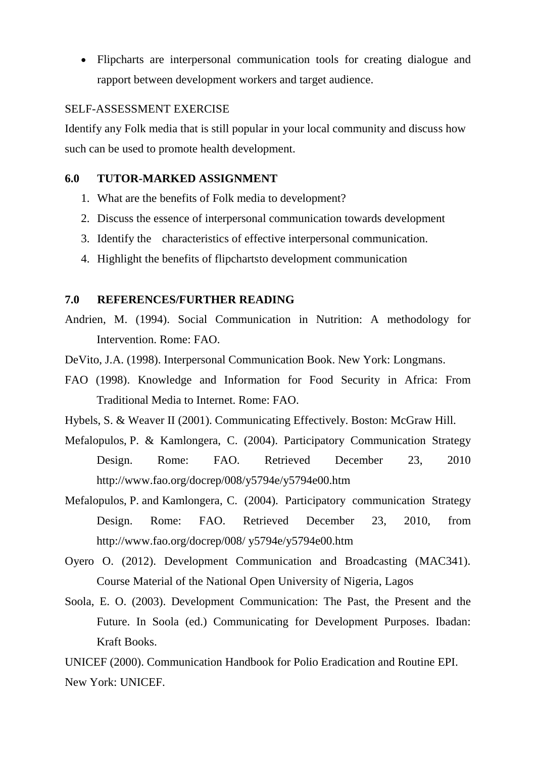Flipcharts are interpersonal communication tools for creating dialogue and rapport between development workers and target audience.

#### SELF-ASSESSMENT EXERCISE

Identify any Folk media that is still popular in your local community and discuss how such can be used to promote health development.

## **6.0 TUTOR-MARKED ASSIGNMENT**

- 1. What are the benefits of Folk media to development?
- 2. Discuss the essence of interpersonal communication towards development
- 3. Identify the characteristics of effective interpersonal communication.
- 4. Highlight the benefits of flipchartsto development communication

## **7.0 REFERENCES/FURTHER READING**

- Andrien, M. (1994). Social Communication in Nutrition: A methodology for Intervention. Rome: FAO.
- DeVito, J.A. (1998). Interpersonal Communication Book. New York: Longmans.
- FAO (1998). Knowledge and Information for Food Security in Africa: From Traditional Media to Internet. Rome: FAO.
- Hybels, S. & Weaver II (2001). Communicating Effectively. Boston: McGraw Hill.
- Mefalopulos, P. & Kamlongera, C. (2004). Participatory Communication Strategy Design. Rome: FAO. Retrieved December 23, 2010 http://www.fao.org/docrep/008/y5794e/y5794e00.htm
- Mefalopulos, P. and Kamlongera, C. (2004). Participatory communication Strategy Design. Rome: FAO. Retrieved December 23, 2010, from http://www.fao.org/docrep/008/ y5794e/y5794e00.htm
- Oyero O. (2012). Development Communication and Broadcasting (MAC341). Course Material of the National Open University of Nigeria, Lagos
- Soola, E. O. (2003). Development Communication: The Past, the Present and the Future. In Soola (ed.) Communicating for Development Purposes. Ibadan: Kraft Books.

UNICEF (2000). Communication Handbook for Polio Eradication and Routine EPI. New York: UNICEF.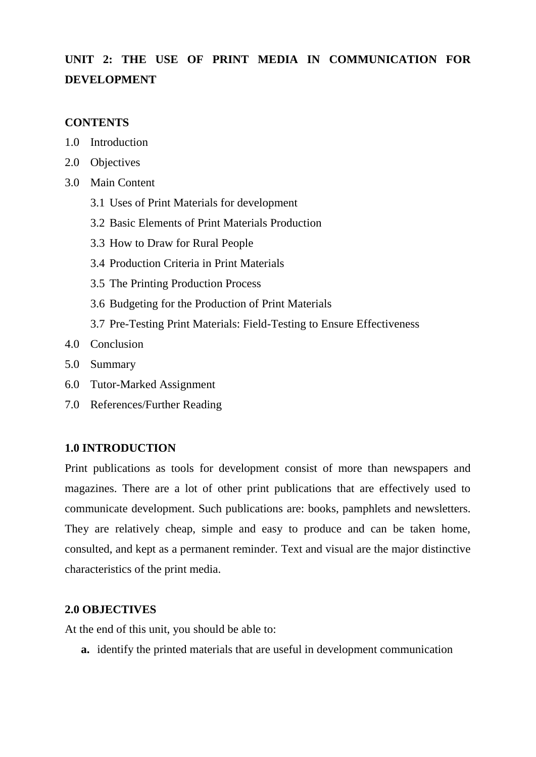# **UNIT 2: THE USE OF PRINT MEDIA IN COMMUNICATION FOR DEVELOPMENT**

## **CONTENTS**

- 1.0 Introduction
- 2.0 Objectives
- 3.0 Main Content
	- 3.1 Uses of Print Materials for development
	- 3.2 Basic Elements of Print Materials Production
	- 3.3 How to Draw for Rural People
	- 3.4 Production Criteria in Print Materials
	- 3.5 The Printing Production Process
	- 3.6 Budgeting for the Production of Print Materials
	- 3.7 Pre-Testing Print Materials: Field-Testing to Ensure Effectiveness
- 4.0 Conclusion
- 5.0 Summary
- 6.0 Tutor-Marked Assignment
- 7.0 References/Further Reading

# **1.0 INTRODUCTION**

Print publications as tools for development consist of more than newspapers and magazines. There are a lot of other print publications that are effectively used to communicate development. Such publications are: books, pamphlets and newsletters. They are relatively cheap, simple and easy to produce and can be taken home, consulted, and kept as a permanent reminder. Text and visual are the major distinctive characteristics of the print media.

#### **2.0 OBJECTIVES**

At the end of this unit, you should be able to:

**a.** identify the printed materials that are useful in development communication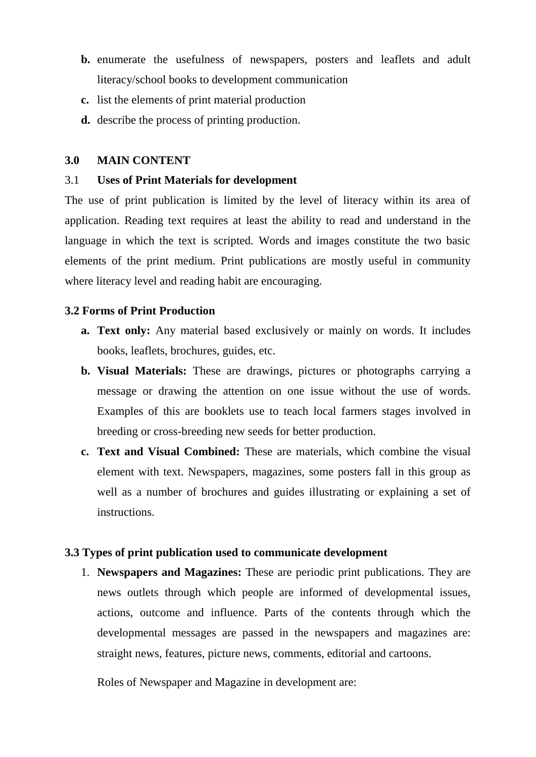- **b.** enumerate the usefulness of newspapers, posters and leaflets and adult literacy/school books to development communication
- **c.** list the elements of print material production
- **d.** describe the process of printing production.

#### **3.0 MAIN CONTENT**

#### 3.1 **Uses of Print Materials for development**

The use of print publication is limited by the level of literacy within its area of application. Reading text requires at least the ability to read and understand in the language in which the text is scripted. Words and images constitute the two basic elements of the print medium. Print publications are mostly useful in community where literacy level and reading habit are encouraging.

## **3.2 Forms of Print Production**

- **a. Text only:** Any material based exclusively or mainly on words. It includes books, leaflets, brochures, guides, etc.
- **b. Visual Materials:** These are drawings, pictures or photographs carrying a message or drawing the attention on one issue without the use of words. Examples of this are booklets use to teach local farmers stages involved in breeding or cross-breeding new seeds for better production.
- **c. Text and Visual Combined:** These are materials, which combine the visual element with text. Newspapers, magazines, some posters fall in this group as well as a number of brochures and guides illustrating or explaining a set of instructions.

#### **3.3 Types of print publication used to communicate development**

1. **Newspapers and Magazines:** These are periodic print publications. They are news outlets through which people are informed of developmental issues, actions, outcome and influence. Parts of the contents through which the developmental messages are passed in the newspapers and magazines are: straight news, features, picture news, comments, editorial and cartoons.

Roles of Newspaper and Magazine in development are: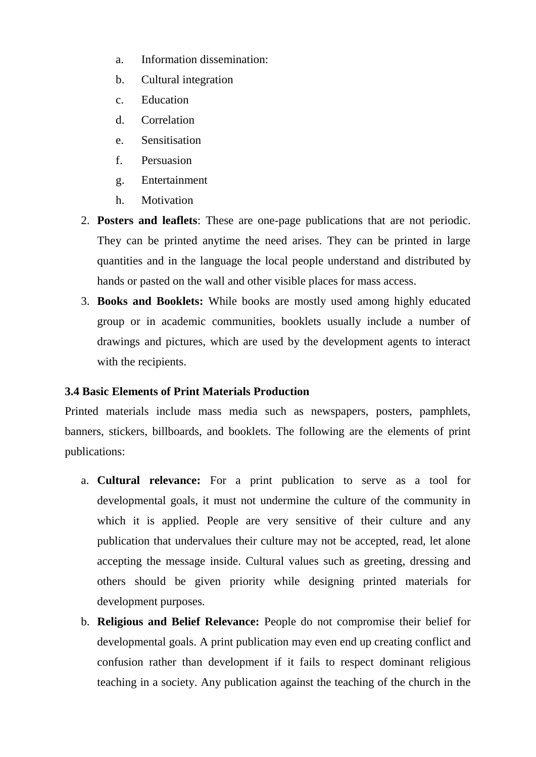- a. Information dissemination:
- b. Cultural integration
- c. Education
- d. Correlation
- e. Sensitisation
- f. Persuasion
- g. Entertainment
- h. Motivation
- 2. **Posters and leaflets**: These are one-page publications that are not periodic. They can be printed anytime the need arises. They can be printed in large quantities and in the language the local people understand and distributed by hands or pasted on the wall and other visible places for mass access.
- 3. **Books and Booklets:** While books are mostly used among highly educated group or in academic communities, booklets usually include a number of drawings and pictures, which are used by the development agents to interact with the recipients.

# **3.4 Basic Elements of Print Materials Production**

Printed materials include mass media such as newspapers, posters, pamphlets, banners, stickers, billboards, and booklets. The following are the elements of print publications:

- a. **Cultural relevance:** For a print publication to serve as a tool for developmental goals, it must not undermine the culture of the community in which it is applied. People are very sensitive of their culture and any publication that undervalues their culture may not be accepted, read, let alone accepting the message inside. Cultural values such as greeting, dressing and others should be given priority while designing printed materials for development purposes.
- b. **Religious and Belief Relevance:** People do not compromise their belief for developmental goals. A print publication may even end up creating conflict and confusion rather than development if it fails to respect dominant religious teaching in a society. Any publication against the teaching of the church in the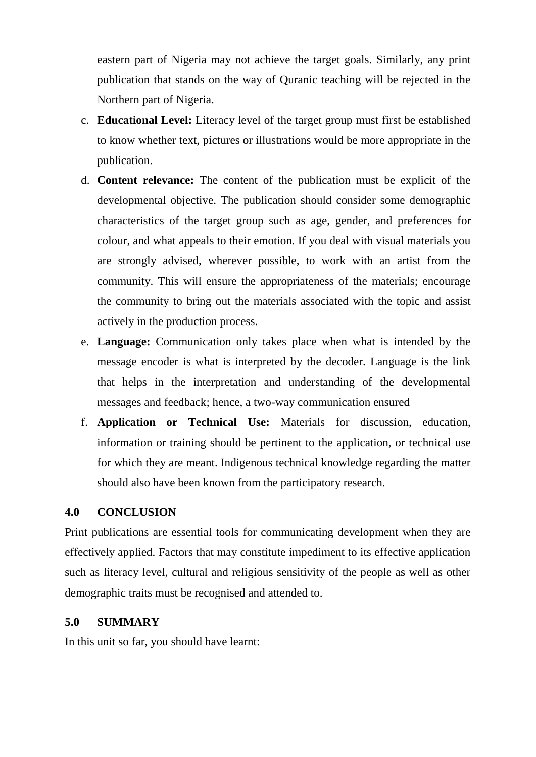eastern part of Nigeria may not achieve the target goals. Similarly, any print publication that stands on the way of Quranic teaching will be rejected in the Northern part of Nigeria.

- c. **Educational Level:** Literacy level of the target group must first be established to know whether text, pictures or illustrations would be more appropriate in the publication.
- d. **Content relevance:** The content of the publication must be explicit of the developmental objective. The publication should consider some demographic characteristics of the target group such as age, gender, and preferences for colour, and what appeals to their emotion. If you deal with visual materials you are strongly advised, wherever possible, to work with an artist from the community. This will ensure the appropriateness of the materials; encourage the community to bring out the materials associated with the topic and assist actively in the production process.
- e. **Language:** Communication only takes place when what is intended by the message encoder is what is interpreted by the decoder. Language is the link that helps in the interpretation and understanding of the developmental messages and feedback; hence, a two-way communication ensured
- f. **Application or Technical Use:** Materials for discussion, education, information or training should be pertinent to the application, or technical use for which they are meant. Indigenous technical knowledge regarding the matter should also have been known from the participatory research.

## **4.0 CONCLUSION**

Print publications are essential tools for communicating development when they are effectively applied. Factors that may constitute impediment to its effective application such as literacy level, cultural and religious sensitivity of the people as well as other demographic traits must be recognised and attended to.

## **5.0 SUMMARY**

In this unit so far, you should have learnt: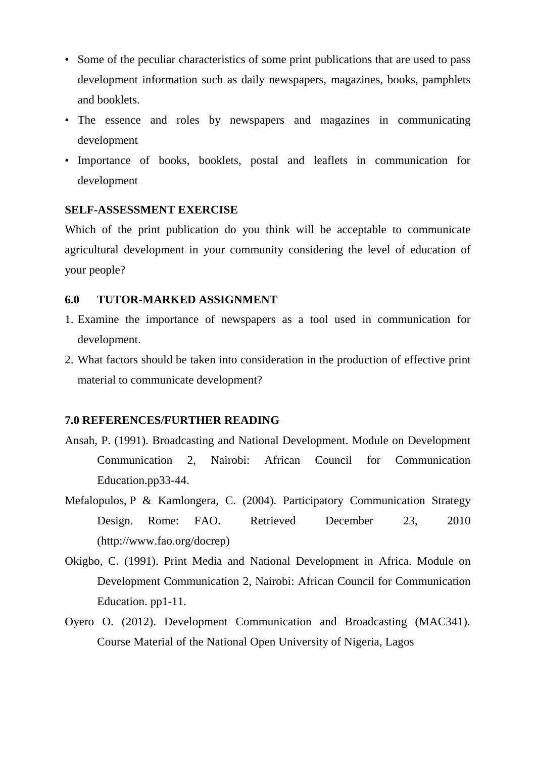- Some of the peculiar characteristics of some print publications that are used to pass development information such as daily newspapers, magazines, books, pamphlets and booklets.
- The essence and roles by newspapers and magazines in communicating development
- Importance of books, booklets, postal and leaflets in communication for development

## **SELF-ASSESSMENT EXERCISE**

Which of the print publication do you think will be acceptable to communicate agricultural development in your community considering the level of education of your people?

#### **6.0 TUTOR-MARKED ASSIGNMENT**

- 1. Examine the importance of newspapers as a tool used in communication for development.
- 2. What factors should be taken into consideration in the production of effective print material to communicate development?

#### **7.0 REFERENCES/FURTHER READING**

- Ansah, P. (1991). Broadcasting and National Development. Module on Development Communication 2, Nairobi: African Council for Communication Education.pp33-44.
- Mefalopulos, P & Kamlongera, C. (2004). Participatory Communication Strategy Design. Rome: FAO. Retrieved December 23, 2010 (http://www.fao.org/docrep)
- Okigbo, C. (1991). Print Media and National Development in Africa. Module on Development Communication 2, Nairobi: African Council for Communication Education. pp1-11.
- Oyero O. (2012). Development Communication and Broadcasting (MAC341). Course Material of the National Open University of Nigeria, Lagos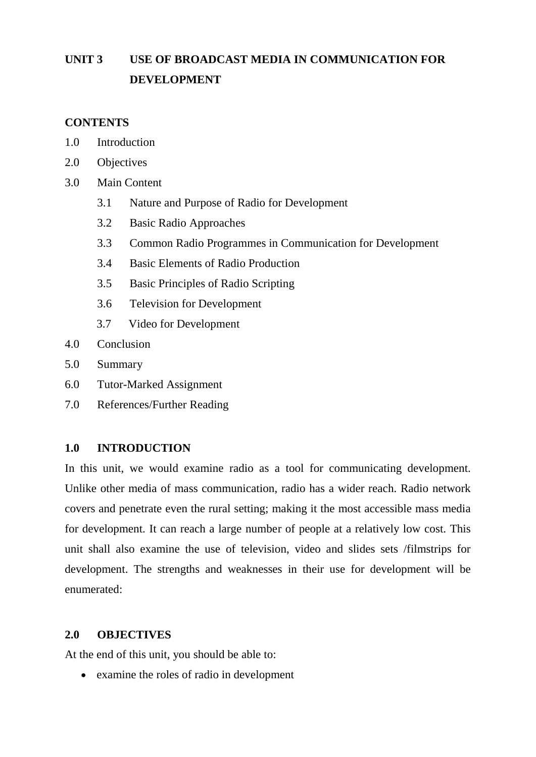# **UNIT 3 USE OF BROADCAST MEDIA IN COMMUNICATION FOR DEVELOPMENT**

## **CONTENTS**

- 1.0 Introduction
- 2.0 Objectives
- 3.0 Main Content
	- 3.1 Nature and Purpose of Radio for Development
	- 3.2 Basic Radio Approaches
	- 3.3 Common Radio Programmes in Communication for Development
	- 3.4 Basic Elements of Radio Production
	- 3.5 Basic Principles of Radio Scripting
	- 3.6 Television for Development
	- 3.7 Video for Development
- 4.0 Conclusion
- 5.0 Summary
- 6.0 Tutor-Marked Assignment
- 7.0 References/Further Reading

## **1.0 INTRODUCTION**

In this unit, we would examine radio as a tool for communicating development. Unlike other media of mass communication, radio has a wider reach. Radio network covers and penetrate even the rural setting; making it the most accessible mass media for development. It can reach a large number of people at a relatively low cost. This unit shall also examine the use of television, video and slides sets /filmstrips for development. The strengths and weaknesses in their use for development will be enumerated:

## **2.0 OBJECTIVES**

At the end of this unit, you should be able to:

examine the roles of radio in development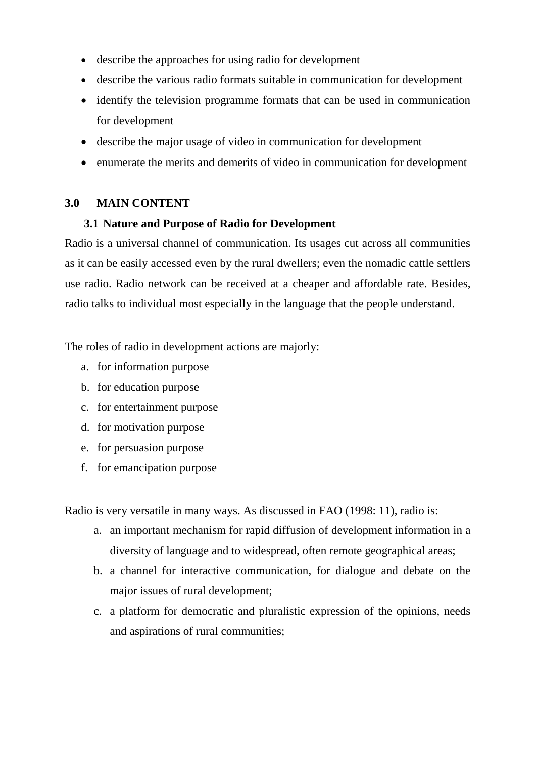- describe the approaches for using radio for development
- describe the various radio formats suitable in communication for development
- identify the television programme formats that can be used in communication for development
- describe the major usage of video in communication for development
- enumerate the merits and demerits of video in communication for development

## **3.0 MAIN CONTENT**

## **3.1 Nature and Purpose of Radio for Development**

Radio is a universal channel of communication. Its usages cut across all communities as it can be easily accessed even by the rural dwellers; even the nomadic cattle settlers use radio. Radio network can be received at a cheaper and affordable rate. Besides, radio talks to individual most especially in the language that the people understand.

The roles of radio in development actions are majorly:

- a. for information purpose
- b. for education purpose
- c. for entertainment purpose
- d. for motivation purpose
- e. for persuasion purpose
- f. for emancipation purpose

Radio is very versatile in many ways. As discussed in FAO (1998: 11), radio is:

- a. an important mechanism for rapid diffusion of development information in a diversity of language and to widespread, often remote geographical areas;
- b. a channel for interactive communication, for dialogue and debate on the major issues of rural development;
- c. a platform for democratic and pluralistic expression of the opinions, needs and aspirations of rural communities;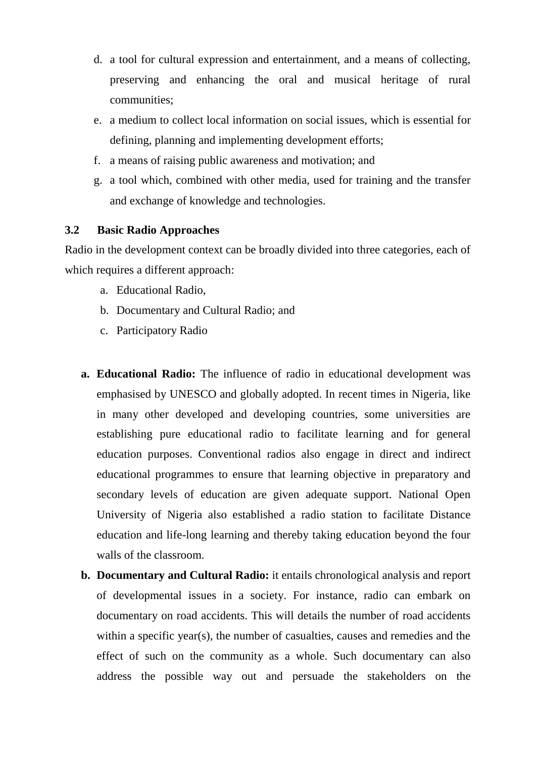- d. a tool for cultural expression and entertainment, and a means of collecting, preserving and enhancing the oral and musical heritage of rural communities;
- e. a medium to collect local information on social issues, which is essential for defining, planning and implementing development efforts;
- f. a means of raising public awareness and motivation; and
- g. a tool which, combined with other media, used for training and the transfer and exchange of knowledge and technologies.

## **3.2 Basic Radio Approaches**

Radio in the development context can be broadly divided into three categories, each of which requires a different approach:

- a. Educational Radio,
- b. Documentary and Cultural Radio; and
- c. Participatory Radio
- **a. Educational Radio:** The influence of radio in educational development was emphasised by UNESCO and globally adopted. In recent times in Nigeria, like in many other developed and developing countries, some universities are establishing pure educational radio to facilitate learning and for general education purposes. Conventional radios also engage in direct and indirect educational programmes to ensure that learning objective in preparatory and secondary levels of education are given adequate support. National Open University of Nigeria also established a radio station to facilitate Distance education and life-long learning and thereby taking education beyond the four walls of the classroom.
- **b. Documentary and Cultural Radio:** it entails chronological analysis and report of developmental issues in a society. For instance, radio can embark on documentary on road accidents. This will details the number of road accidents within a specific year(s), the number of casualties, causes and remedies and the effect of such on the community as a whole. Such documentary can also address the possible way out and persuade the stakeholders on the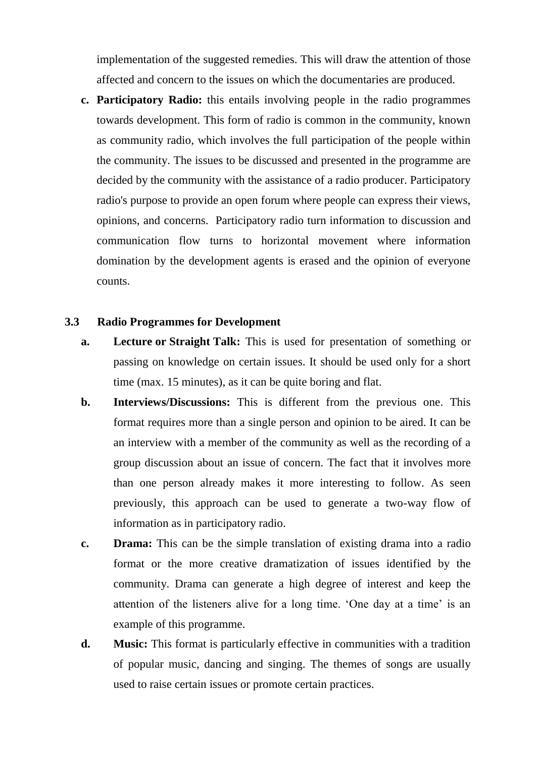implementation of the suggested remedies. This will draw the attention of those affected and concern to the issues on which the documentaries are produced.

**c. Participatory Radio:** this entails involving people in the radio programmes towards development. This form of radio is common in the community, known as community radio, which involves the full participation of the people within the community. The issues to be discussed and presented in the programme are decided by the community with the assistance of a radio producer. Participatory radio's purpose to provide an open forum where people can express their views, opinions, and concerns. Participatory radio turn information to discussion and communication flow turns to horizontal movement where information domination by the development agents is erased and the opinion of everyone counts.

#### **3.3 Radio Programmes for Development**

- **a. Lecture or Straight Talk:** This is used for presentation of something or passing on knowledge on certain issues. It should be used only for a short time (max. 15 minutes), as it can be quite boring and flat.
- **b. Interviews/Discussions:** This is different from the previous one. This format requires more than a single person and opinion to be aired. It can be an interview with a member of the community as well as the recording of a group discussion about an issue of concern. The fact that it involves more than one person already makes it more interesting to follow. As seen previously, this approach can be used to generate a two-way flow of information as in participatory radio.
- **c. Drama:** This can be the simple translation of existing drama into a radio format or the more creative dramatization of issues identified by the community. Drama can generate a high degree of interest and keep the attention of the listeners alive for a long time. "One day at a time" is an example of this programme.
- **d. Music:** This format is particularly effective in communities with a tradition of popular music, dancing and singing. The themes of songs are usually used to raise certain issues or promote certain practices.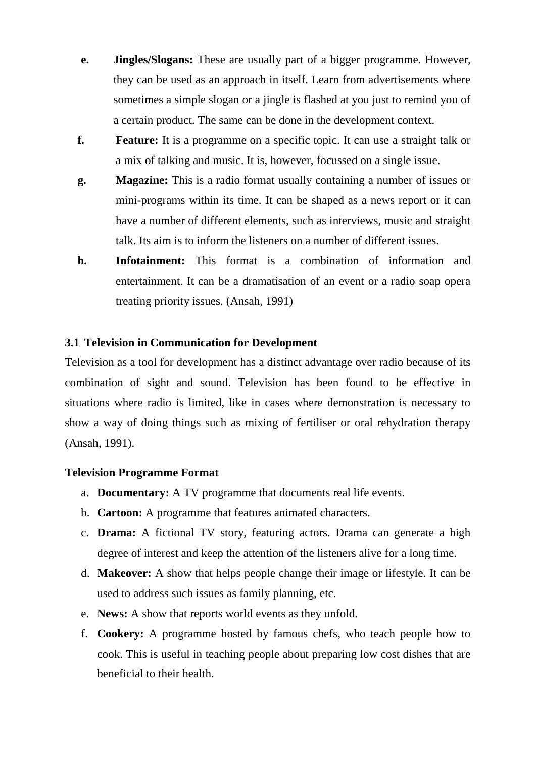- **e. Jingles/Slogans:** These are usually part of a bigger programme. However, they can be used as an approach in itself. Learn from advertisements where sometimes a simple slogan or a jingle is flashed at you just to remind you of a certain product. The same can be done in the development context.
- **f. Feature:** It is a programme on a specific topic. It can use a straight talk or a mix of talking and music. It is, however, focussed on a single issue.
- **g. Magazine:** This is a radio format usually containing a number of issues or mini-programs within its time. It can be shaped as a news report or it can have a number of different elements, such as interviews, music and straight talk. Its aim is to inform the listeners on a number of different issues.
- **h. Infotainment:** This format is a combination of information and entertainment. It can be a dramatisation of an event or a radio soap opera treating priority issues. (Ansah, 1991)

## **3.1 Television in Communication for Development**

Television as a tool for development has a distinct advantage over radio because of its combination of sight and sound. Television has been found to be effective in situations where radio is limited, like in cases where demonstration is necessary to show a way of doing things such as mixing of fertiliser or oral rehydration therapy (Ansah, 1991).

## **Television Programme Format**

- a. **Documentary:** A TV programme that documents real life events.
- b. **Cartoon:** A programme that features animated characters.
- c. **Drama:** A fictional TV story, featuring actors. Drama can generate a high degree of interest and keep the attention of the listeners alive for a long time.
- d. **Makeover:** A show that helps people change their image or lifestyle. It can be used to address such issues as family planning, etc.
- e. **News:** A show that reports world events as they unfold.
- f. **Cookery:** A programme hosted by famous chefs, who teach people how to cook. This is useful in teaching people about preparing low cost dishes that are beneficial to their health.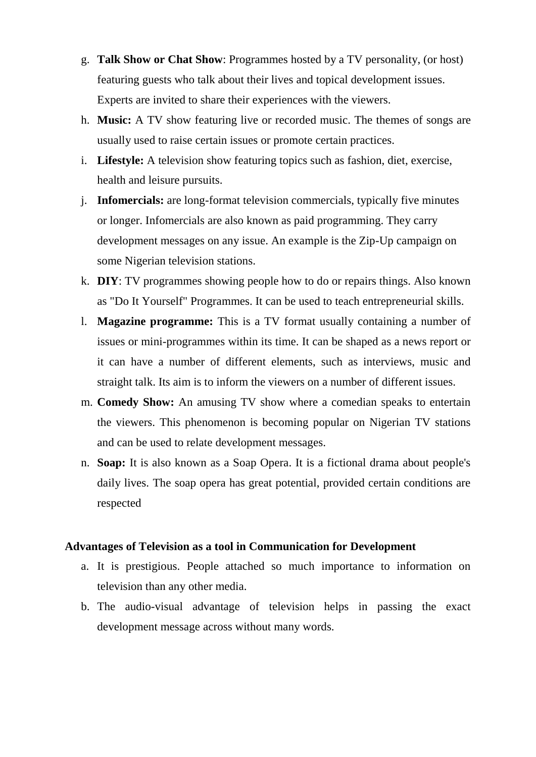- g. **Talk Show or Chat Show**: Programmes hosted by a TV personality, (or host) featuring guests who talk about their lives and topical development issues. Experts are invited to share their experiences with the viewers.
- h. **Music:** A TV show featuring live or recorded music. The themes of songs are usually used to raise certain issues or promote certain practices.
- i. **Lifestyle:** A television show featuring topics such as fashion, diet, exercise, health and leisure pursuits.
- j. **Infomercials:** are long-format television commercials, typically five minutes or longer. Infomercials are also known as paid programming. They carry development messages on any issue. An example is the Zip-Up campaign on some Nigerian television stations.
- k. **DIY**: TV programmes showing people how to do or repairs things. Also known as "Do It Yourself" Programmes. It can be used to teach entrepreneurial skills.
- l. **Magazine programme:** This is a TV format usually containing a number of issues or mini-programmes within its time. It can be shaped as a news report or it can have a number of different elements, such as interviews, music and straight talk. Its aim is to inform the viewers on a number of different issues.
- m. **Comedy Show:** An amusing TV show where a comedian speaks to entertain the viewers. This phenomenon is becoming popular on Nigerian TV stations and can be used to relate development messages.
- n. **Soap:** It is also known as a Soap Opera. It is a fictional drama about people's daily lives. The soap opera has great potential, provided certain conditions are respected

#### **Advantages of Television as a tool in Communication for Development**

- a. It is prestigious. People attached so much importance to information on television than any other media.
- b. The audio-visual advantage of television helps in passing the exact development message across without many words.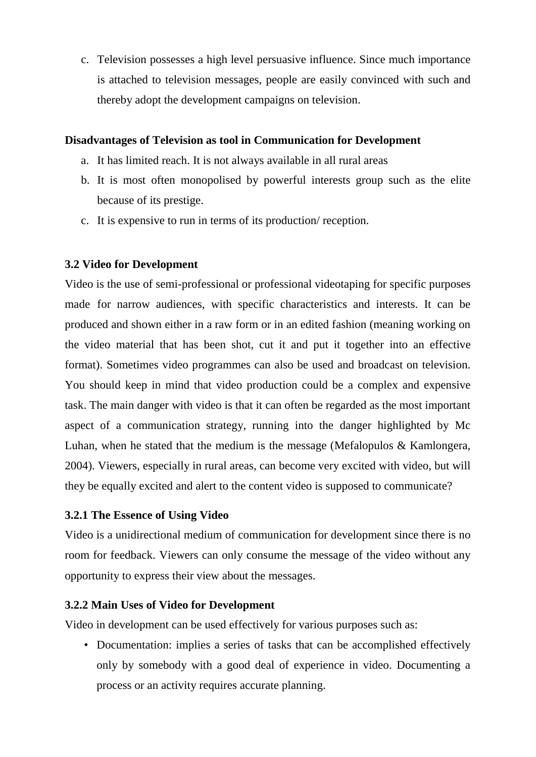c. Television possesses a high level persuasive influence. Since much importance is attached to television messages, people are easily convinced with such and thereby adopt the development campaigns on television.

## **Disadvantages of Television as tool in Communication for Development**

- a. It has limited reach. It is not always available in all rural areas
- b. It is most often monopolised by powerful interests group such as the elite because of its prestige.
- c. It is expensive to run in terms of its production/ reception.

## **3.2 Video for Development**

Video is the use of semi-professional or professional videotaping for specific purposes made for narrow audiences, with specific characteristics and interests. It can be produced and shown either in a raw form or in an edited fashion (meaning working on the video material that has been shot, cut it and put it together into an effective format). Sometimes video programmes can also be used and broadcast on television. You should keep in mind that video production could be a complex and expensive task. The main danger with video is that it can often be regarded as the most important aspect of a communication strategy, running into the danger highlighted by Mc Luhan, when he stated that the medium is the message (Mefalopulos & Kamlongera, 2004). Viewers, especially in rural areas, can become very excited with video, but will they be equally excited and alert to the content video is supposed to communicate?

# **3.2.1 The Essence of Using Video**

Video is a unidirectional medium of communication for development since there is no room for feedback. Viewers can only consume the message of the video without any opportunity to express their view about the messages.

## **3.2.2 Main Uses of Video for Development**

Video in development can be used effectively for various purposes such as:

• Documentation: implies a series of tasks that can be accomplished effectively only by somebody with a good deal of experience in video. Documenting a process or an activity requires accurate planning.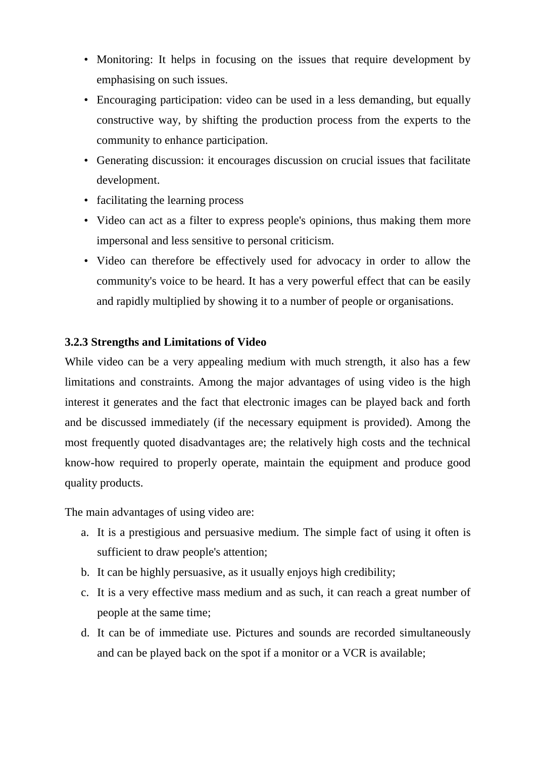- Monitoring: It helps in focusing on the issues that require development by emphasising on such issues.
- Encouraging participation: video can be used in a less demanding, but equally constructive way, by shifting the production process from the experts to the community to enhance participation.
- Generating discussion: it encourages discussion on crucial issues that facilitate development.
- facilitating the learning process
- Video can act as a filter to express people's opinions, thus making them more impersonal and less sensitive to personal criticism.
- Video can therefore be effectively used for advocacy in order to allow the community's voice to be heard. It has a very powerful effect that can be easily and rapidly multiplied by showing it to a number of people or organisations.

## **3.2.3 Strengths and Limitations of Video**

While video can be a very appealing medium with much strength, it also has a few limitations and constraints. Among the major advantages of using video is the high interest it generates and the fact that electronic images can be played back and forth and be discussed immediately (if the necessary equipment is provided). Among the most frequently quoted disadvantages are; the relatively high costs and the technical know-how required to properly operate, maintain the equipment and produce good quality products.

The main advantages of using video are:

- a. It is a prestigious and persuasive medium. The simple fact of using it often is sufficient to draw people's attention;
- b. It can be highly persuasive, as it usually enjoys high credibility;
- c. It is a very effective mass medium and as such, it can reach a great number of people at the same time;
- d. It can be of immediate use. Pictures and sounds are recorded simultaneously and can be played back on the spot if a monitor or a VCR is available;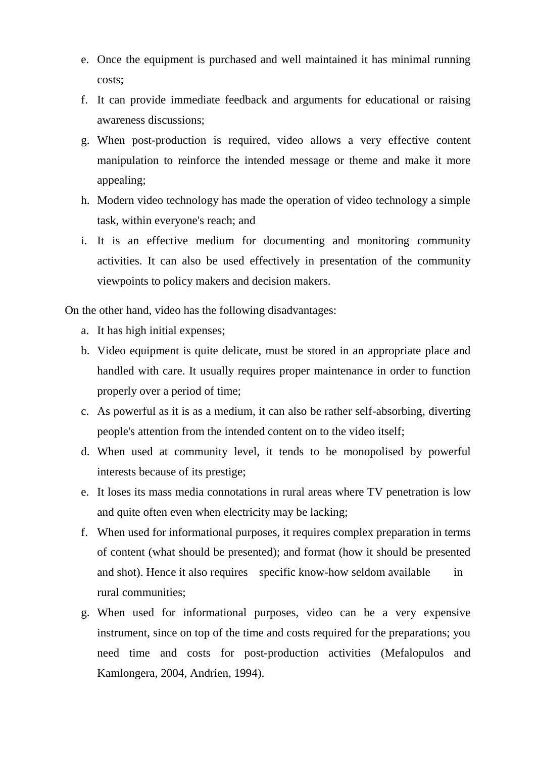- e. Once the equipment is purchased and well maintained it has minimal running costs;
- f. It can provide immediate feedback and arguments for educational or raising awareness discussions;
- g. When post-production is required, video allows a very effective content manipulation to reinforce the intended message or theme and make it more appealing;
- h. Modern video technology has made the operation of video technology a simple task, within everyone's reach; and
- i. It is an effective medium for documenting and monitoring community activities. It can also be used effectively in presentation of the community viewpoints to policy makers and decision makers.

On the other hand, video has the following disadvantages:

- a. It has high initial expenses;
- b. Video equipment is quite delicate, must be stored in an appropriate place and handled with care. It usually requires proper maintenance in order to function properly over a period of time;
- c. As powerful as it is as a medium, it can also be rather self-absorbing, diverting people's attention from the intended content on to the video itself;
- d. When used at community level, it tends to be monopolised by powerful interests because of its prestige;
- e. It loses its mass media connotations in rural areas where TV penetration is low and quite often even when electricity may be lacking;
- f. When used for informational purposes, it requires complex preparation in terms of content (what should be presented); and format (how it should be presented and shot). Hence it also requires specific know-how seldom available in rural communities;
- g. When used for informational purposes, video can be a very expensive instrument, since on top of the time and costs required for the preparations; you need time and costs for post-production activities (Mefalopulos and Kamlongera, 2004, Andrien, 1994).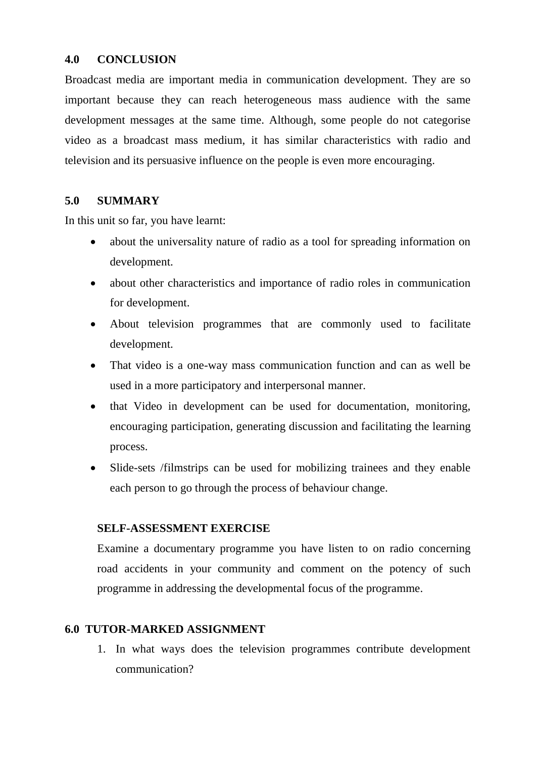## **4.0 CONCLUSION**

Broadcast media are important media in communication development. They are so important because they can reach heterogeneous mass audience with the same development messages at the same time. Although, some people do not categorise video as a broadcast mass medium, it has similar characteristics with radio and television and its persuasive influence on the people is even more encouraging.

## **5.0 SUMMARY**

In this unit so far, you have learnt:

- about the universality nature of radio as a tool for spreading information on development.
- about other characteristics and importance of radio roles in communication for development.
- About television programmes that are commonly used to facilitate development.
- That video is a one-way mass communication function and can as well be used in a more participatory and interpersonal manner.
- that Video in development can be used for documentation, monitoring, encouraging participation, generating discussion and facilitating the learning process.
- Slide-sets /filmstrips can be used for mobilizing trainees and they enable each person to go through the process of behaviour change.

## **SELF-ASSESSMENT EXERCISE**

Examine a documentary programme you have listen to on radio concerning road accidents in your community and comment on the potency of such programme in addressing the developmental focus of the programme.

# **6.0 TUTOR-MARKED ASSIGNMENT**

1. In what ways does the television programmes contribute development communication?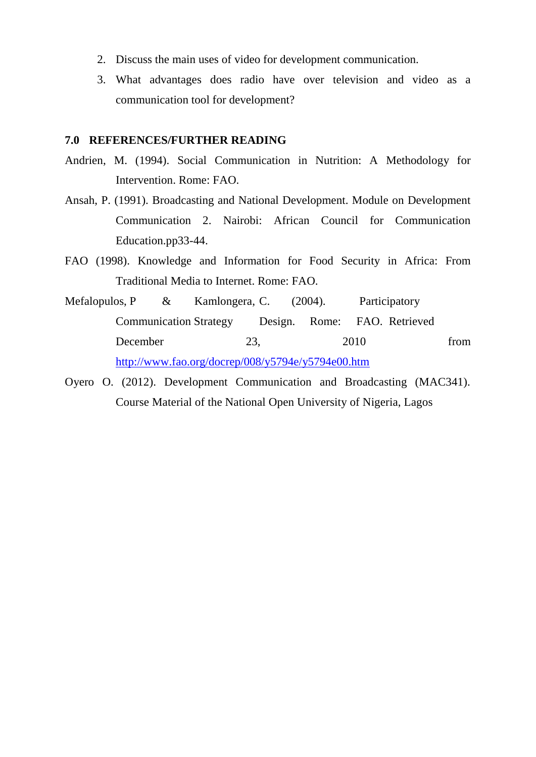- 2. Discuss the main uses of video for development communication.
- 3. What advantages does radio have over television and video as a communication tool for development?

#### **7.0 REFERENCES/FURTHER READING**

- Andrien, M. (1994). Social Communication in Nutrition: A Methodology for Intervention. Rome: FAO.
- Ansah, P. (1991). Broadcasting and National Development. Module on Development Communication 2. Nairobi: African Council for Communication Education.pp33-44.
- FAO (1998). Knowledge and Information for Food Security in Africa: From Traditional Media to Internet. Rome: FAO.
- Mefalopulos, P & Kamlongera, C. (2004). Participatory Communication Strategy Design. Rome: FAO. Retrieved December 23, 2010 from <http://www.fao.org/docrep/008/y5794e/y5794e00.htm>
- Oyero O. (2012). Development Communication and Broadcasting (MAC341). Course Material of the National Open University of Nigeria, Lagos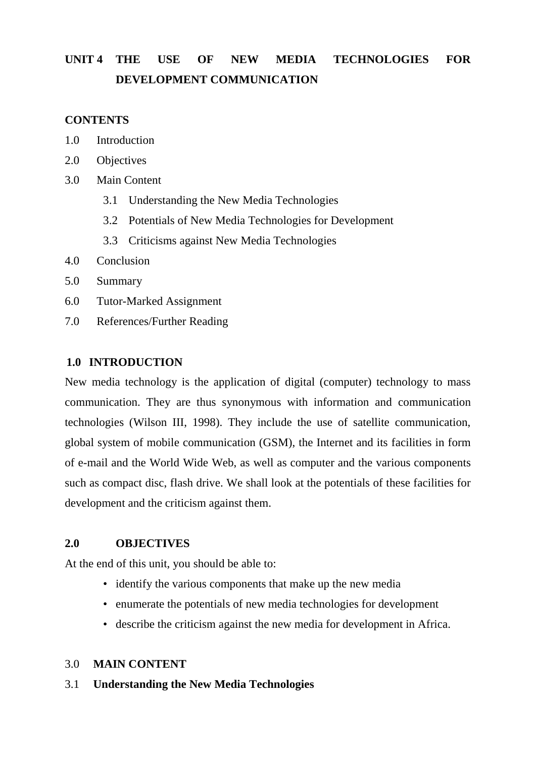# **UNIT 4 THE USE OF NEW MEDIA TECHNOLOGIES FOR DEVELOPMENT COMMUNICATION**

#### **CONTENTS**

- 1.0 Introduction
- 2.0 Objectives
- 3.0 Main Content
	- 3.1 Understanding the New Media Technologies
	- 3.2 Potentials of New Media Technologies for Development
	- 3.3 Criticisms against New Media Technologies
- 4.0 Conclusion
- 5.0 Summary
- 6.0 Tutor-Marked Assignment
- 7.0 References/Further Reading

#### **1.0 INTRODUCTION**

New media technology is the application of digital (computer) technology to mass communication. They are thus synonymous with information and communication technologies (Wilson III, 1998). They include the use of satellite communication, global system of mobile communication (GSM), the Internet and its facilities in form of e-mail and the World Wide Web, as well as computer and the various components such as compact disc, flash drive. We shall look at the potentials of these facilities for development and the criticism against them.

#### **2.0 OBJECTIVES**

At the end of this unit, you should be able to:

- identify the various components that make up the new media
- enumerate the potentials of new media technologies for development
- describe the criticism against the new media for development in Africa.

#### 3.0 **MAIN CONTENT**

#### 3.1 **Understanding the New Media Technologies**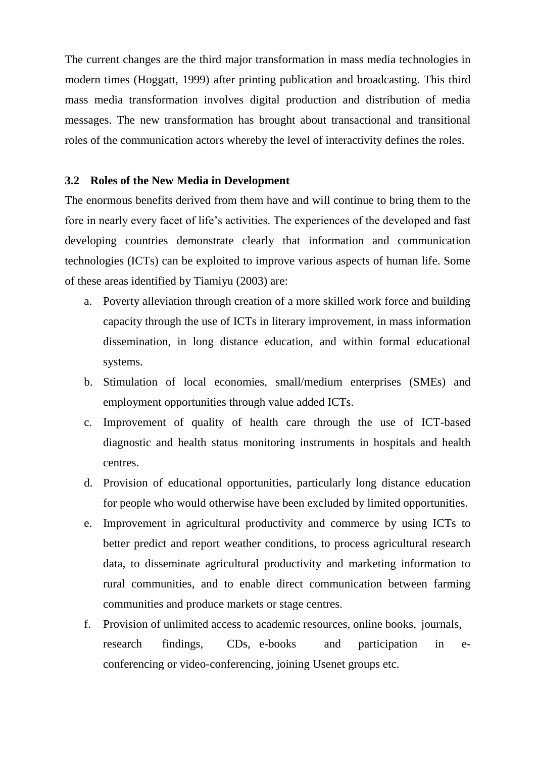The current changes are the third major transformation in mass media technologies in modern times (Hoggatt, 1999) after printing publication and broadcasting. This third mass media transformation involves digital production and distribution of media messages. The new transformation has brought about transactional and transitional roles of the communication actors whereby the level of interactivity defines the roles.

#### **3.2 Roles of the New Media in Development**

The enormous benefits derived from them have and will continue to bring them to the fore in nearly every facet of life"s activities. The experiences of the developed and fast developing countries demonstrate clearly that information and communication technologies (ICTs) can be exploited to improve various aspects of human life. Some of these areas identified by Tiamiyu (2003) are:

- a. Poverty alleviation through creation of a more skilled work force and building capacity through the use of ICTs in literary improvement, in mass information dissemination, in long distance education, and within formal educational systems.
- b. Stimulation of local economies, small/medium enterprises (SMEs) and employment opportunities through value added ICTs.
- c. Improvement of quality of health care through the use of ICT-based diagnostic and health status monitoring instruments in hospitals and health centres.
- d. Provision of educational opportunities, particularly long distance education for people who would otherwise have been excluded by limited opportunities.
- e. Improvement in agricultural productivity and commerce by using ICTs to better predict and report weather conditions, to process agricultural research data, to disseminate agricultural productivity and marketing information to rural communities, and to enable direct communication between farming communities and produce markets or stage centres.
- f. Provision of unlimited access to academic resources, online books, journals, research findings, CDs, e-books and participation in econferencing or video-conferencing, joining Usenet groups etc.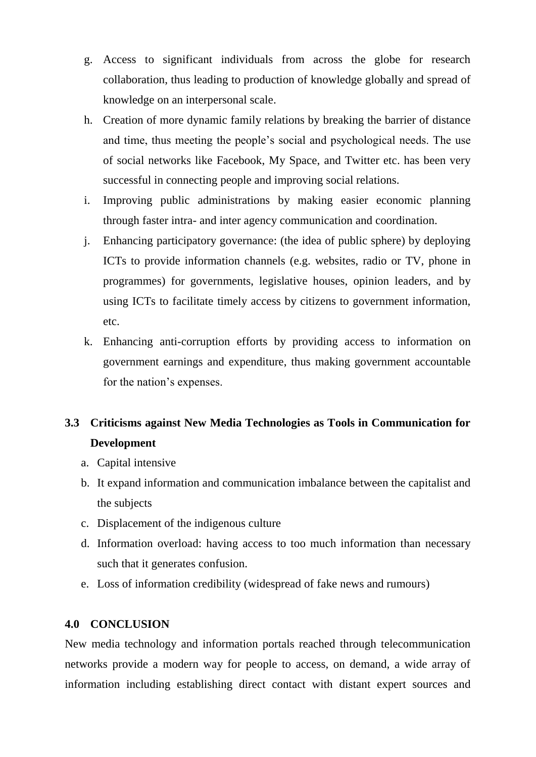- g. Access to significant individuals from across the globe for research collaboration, thus leading to production of knowledge globally and spread of knowledge on an interpersonal scale.
- h. Creation of more dynamic family relations by breaking the barrier of distance and time, thus meeting the people"s social and psychological needs. The use of social networks like Facebook, My Space, and Twitter etc. has been very successful in connecting people and improving social relations.
- i. Improving public administrations by making easier economic planning through faster intra- and inter agency communication and coordination.
- j. Enhancing participatory governance: (the idea of public sphere) by deploying ICTs to provide information channels (e.g. websites, radio or TV, phone in programmes) for governments, legislative houses, opinion leaders, and by using ICTs to facilitate timely access by citizens to government information, etc.
- k. Enhancing anti-corruption efforts by providing access to information on government earnings and expenditure, thus making government accountable for the nation's expenses.

# **3.3 Criticisms against New Media Technologies as Tools in Communication for Development**

- a. Capital intensive
- b. It expand information and communication imbalance between the capitalist and the subjects
- c. Displacement of the indigenous culture
- d. Information overload: having access to too much information than necessary such that it generates confusion.
- e. Loss of information credibility (widespread of fake news and rumours)

## **4.0 CONCLUSION**

New media technology and information portals reached through telecommunication networks provide a modern way for people to access, on demand, a wide array of information including establishing direct contact with distant expert sources and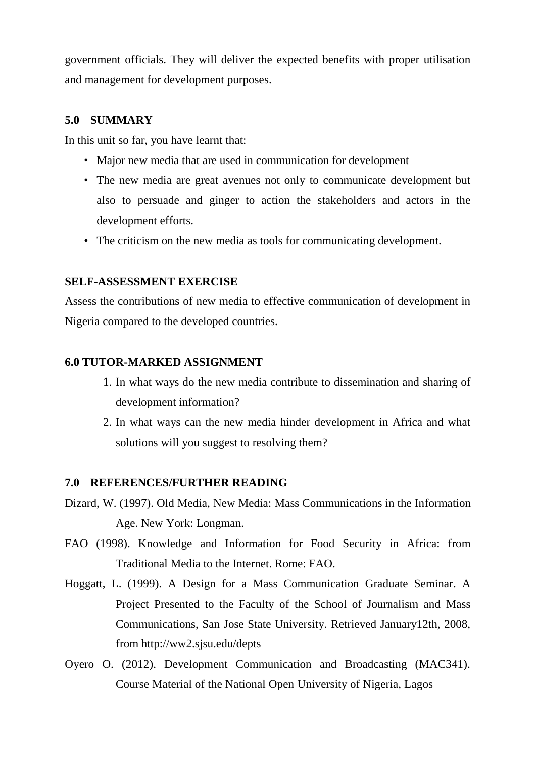government officials. They will deliver the expected benefits with proper utilisation and management for development purposes.

#### **5.0 SUMMARY**

In this unit so far, you have learnt that:

- Major new media that are used in communication for development
- The new media are great avenues not only to communicate development but also to persuade and ginger to action the stakeholders and actors in the development efforts.
- The criticism on the new media as tools for communicating development.

#### **SELF-ASSESSMENT EXERCISE**

Assess the contributions of new media to effective communication of development in Nigeria compared to the developed countries.

## **6.0 TUTOR-MARKED ASSIGNMENT**

- 1. In what ways do the new media contribute to dissemination and sharing of development information?
- 2. In what ways can the new media hinder development in Africa and what solutions will you suggest to resolving them?

#### **7.0 REFERENCES/FURTHER READING**

- Dizard, W. (1997). Old Media, New Media: Mass Communications in the Information Age. New York: Longman.
- FAO (1998). Knowledge and Information for Food Security in Africa: from Traditional Media to the Internet. Rome: FAO.
- Hoggatt, L. (1999). A Design for a Mass Communication Graduate Seminar. A Project Presented to the Faculty of the School of Journalism and Mass Communications, San Jose State University. Retrieved January12th, 2008, from http://ww2.sjsu.edu/depts
- Oyero O. (2012). Development Communication and Broadcasting (MAC341). Course Material of the National Open University of Nigeria, Lagos